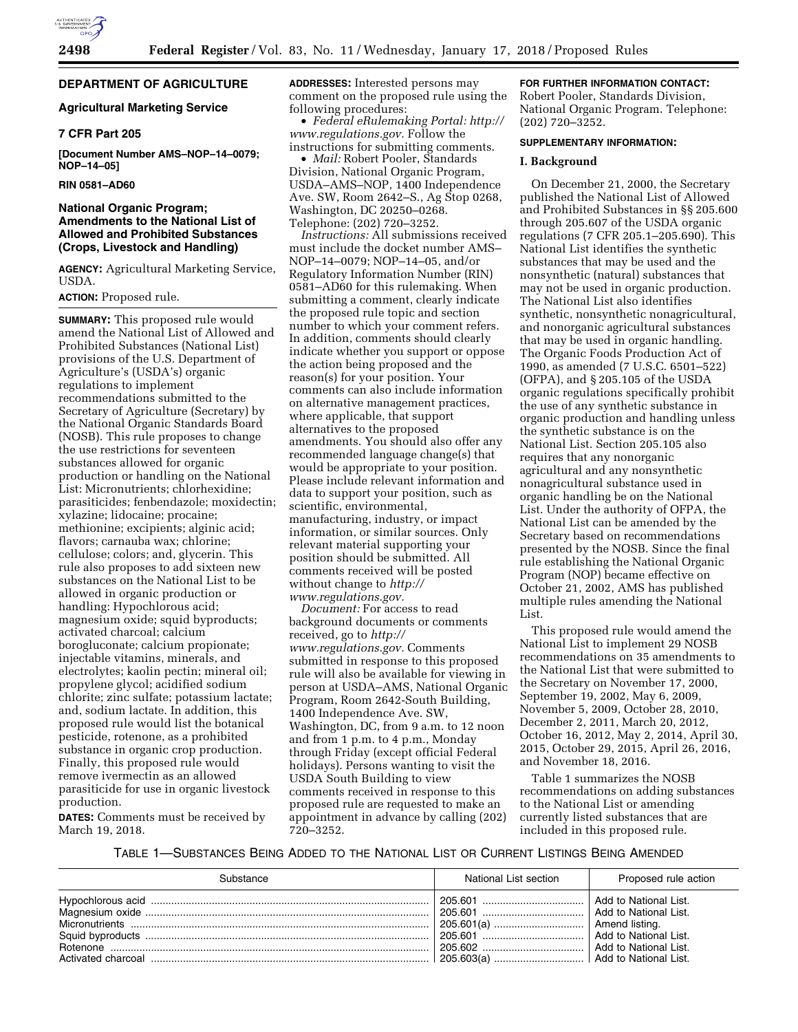

# **DEPARTMENT OF AGRICULTURE**

# **Agricultural Marketing Service**

# **7 CFR Part 205**

**[Document Number AMS–NOP–14–0079; NOP–14–05]** 

## **RIN 0581–AD60**

## **National Organic Program; Amendments to the National List of Allowed and Prohibited Substances (Crops, Livestock and Handling)**

**AGENCY:** Agricultural Marketing Service, USDA.

## **ACTION:** Proposed rule.

**SUMMARY:** This proposed rule would amend the National List of Allowed and Prohibited Substances (National List) provisions of the U.S. Department of Agriculture's (USDA's) organic regulations to implement recommendations submitted to the Secretary of Agriculture (Secretary) by the National Organic Standards Board (NOSB). This rule proposes to change the use restrictions for seventeen substances allowed for organic production or handling on the National List: Micronutrients; chlorhexidine; parasiticides; fenbendazole; moxidectin; xylazine; lidocaine; procaine; methionine; excipients; alginic acid; flavors; carnauba wax; chlorine; cellulose; colors; and, glycerin. This rule also proposes to add sixteen new substances on the National List to be allowed in organic production or handling: Hypochlorous acid; magnesium oxide; squid byproducts; activated charcoal; calcium borogluconate; calcium propionate; injectable vitamins, minerals, and electrolytes; kaolin pectin; mineral oil; propylene glycol; acidified sodium chlorite; zinc sulfate; potassium lactate; and, sodium lactate. In addition, this proposed rule would list the botanical pesticide, rotenone, as a prohibited substance in organic crop production. Finally, this proposed rule would remove ivermectin as an allowed parasiticide for use in organic livestock production.

**DATES:** Comments must be received by March 19, 2018.

**ADDRESSES:** Interested persons may comment on the proposed rule using the following procedures:

• *Federal eRulemaking Portal: [http://](http://www.regulations.gov)  [www.regulations.gov.](http://www.regulations.gov)* Follow the instructions for submitting comments.

• *Mail:* Robert Pooler, Standards Division, National Organic Program, USDA–AMS–NOP, 1400 Independence Ave. SW, Room 2642–S., Ag Stop 0268, Washington, DC 20250–0268. Telephone: (202) 720–3252.

*Instructions:* All submissions received must include the docket number AMS– NOP–14–0079; NOP–14–05, and/or Regulatory Information Number (RIN) 0581–AD60 for this rulemaking. When submitting a comment, clearly indicate the proposed rule topic and section number to which your comment refers. In addition, comments should clearly indicate whether you support or oppose the action being proposed and the reason(s) for your position. Your comments can also include information on alternative management practices, where applicable, that support alternatives to the proposed amendments. You should also offer any recommended language change(s) that would be appropriate to your position. Please include relevant information and data to support your position, such as scientific, environmental, manufacturing, industry, or impact information, or similar sources. Only relevant material supporting your position should be submitted. All comments received will be posted without change to *[http://](http://www.regulations.gov) [www.regulations.gov.](http://www.regulations.gov)* 

*Document:* For access to read background documents or comments received, go to *[http://](http://www.regulations.gov) [www.regulations.gov.](http://www.regulations.gov)* Comments submitted in response to this proposed rule will also be available for viewing in person at USDA–AMS, National Organic Program, Room 2642-South Building, 1400 Independence Ave. SW, Washington, DC, from 9 a.m. to 12 noon and from 1 p.m. to 4 p.m., Monday through Friday (except official Federal holidays). Persons wanting to visit the USDA South Building to view comments received in response to this proposed rule are requested to make an appointment in advance by calling (202) 720–3252.

## **FOR FURTHER INFORMATION CONTACT:**

Robert Pooler, Standards Division, National Organic Program. Telephone: (202) 720–3252.

## **SUPPLEMENTARY INFORMATION:**

#### **I. Background**

On December 21, 2000, the Secretary published the National List of Allowed and Prohibited Substances in §§ 205.600 through 205.607 of the USDA organic regulations (7 CFR 205.1–205.690). This National List identifies the synthetic substances that may be used and the nonsynthetic (natural) substances that may not be used in organic production. The National List also identifies synthetic, nonsynthetic nonagricultural, and nonorganic agricultural substances that may be used in organic handling. The Organic Foods Production Act of 1990, as amended (7 U.S.C. 6501–522) (OFPA), and § 205.105 of the USDA organic regulations specifically prohibit the use of any synthetic substance in organic production and handling unless the synthetic substance is on the National List. Section 205.105 also requires that any nonorganic agricultural and any nonsynthetic nonagricultural substance used in organic handling be on the National List. Under the authority of OFPA, the National List can be amended by the Secretary based on recommendations presented by the NOSB. Since the final rule establishing the National Organic Program (NOP) became effective on October 21, 2002, AMS has published multiple rules amending the National List.

This proposed rule would amend the National List to implement 29 NOSB recommendations on 35 amendments to the National List that were submitted to the Secretary on November 17, 2000, September 19, 2002, May 6, 2009, November 5, 2009, October 28, 2010, December 2, 2011, March 20, 2012, October 16, 2012, May 2, 2014, April 30, 2015, October 29, 2015, April 26, 2016, and November 18, 2016.

Table 1 summarizes the NOSB recommendations on adding substances to the National List or amending currently listed substances that are included in this proposed rule.

# TABLE 1—SUBSTANCES BEING ADDED TO THE NATIONAL LIST OR CURRENT LISTINGS BEING AMENDED

| Substance | National List section               | Proposed rule action                                                                      |
|-----------|-------------------------------------|-------------------------------------------------------------------------------------------|
|           |                                     | Add to National List.<br>Add to National List.<br>Amend listing.<br>Add to National List. |
|           | 205.603(a)    Add to National List. |                                                                                           |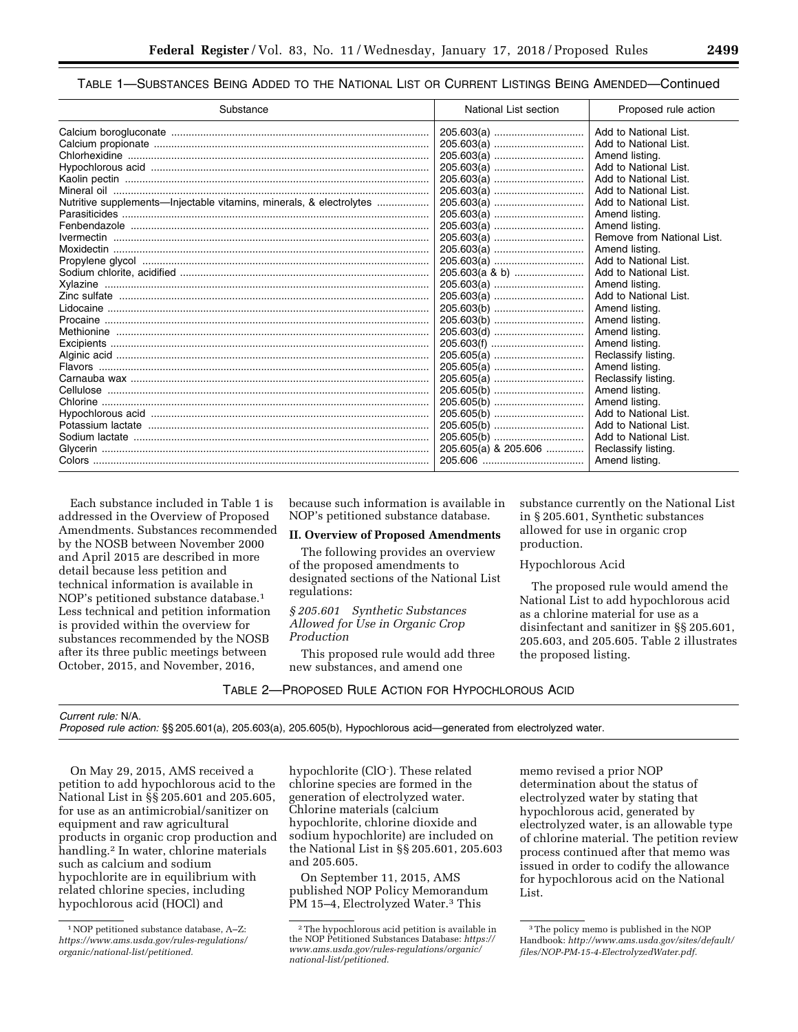## TABLE 1—SUBSTANCES BEING ADDED TO THE NATIONAL LIST OR CURRENT LISTINGS BEING AMENDED—Continued

| Substance                                                           | National List section | Proposed rule action       |
|---------------------------------------------------------------------|-----------------------|----------------------------|
|                                                                     | 205.603(a)            | Add to National List.      |
|                                                                     | 205.603(a)            | Add to National List.      |
|                                                                     | 205.603(a)            | Amend listing.             |
|                                                                     | 205.603(a)            | Add to National List.      |
|                                                                     | 205.603(a)            | Add to National List.      |
|                                                                     |                       | Add to National List.      |
| Nutritive supplements—Injectable vitamins, minerals, & electrolytes |                       | Add to National List.      |
|                                                                     | 205.603(a)            | Amend listing.             |
|                                                                     | 205.603(a)            | Amend listing.             |
|                                                                     |                       | Remove from National List. |
|                                                                     | 205.603(a)            | Amend listing.             |
|                                                                     |                       | Add to National List.      |
|                                                                     | 205.603(a & b)        | Add to National List.      |
|                                                                     | 205.603(a)            | Amend listing.             |
|                                                                     |                       | Add to National List.      |
|                                                                     | 205.603(b)            | Amend listing.             |
|                                                                     | 205.603(b)            | Amend listing.             |
|                                                                     | 205.603(d)            | Amend listing.             |
|                                                                     | 205.603(f)            | Amend listing.             |
|                                                                     | 205.605(a)            | Reclassify listing.        |
|                                                                     |                       | Amend listing.             |
|                                                                     | 205.605(a)            | Reclassify listing.        |
|                                                                     | 205.605(b)            | Amend listing.             |
|                                                                     |                       | Amend listing.             |
|                                                                     | 205.605(b)            | Add to National List.      |
|                                                                     |                       | Add to National List.      |
|                                                                     |                       | Add to National List.      |
|                                                                     | 205.605(a) & 205.606  | Reclassify listing.        |
|                                                                     |                       | Amend listing.             |

Each substance included in Table 1 is addressed in the Overview of Proposed Amendments. Substances recommended by the NOSB between November 2000 and April 2015 are described in more detail because less petition and technical information is available in NOP's petitioned substance database.1 Less technical and petition information is provided within the overview for substances recommended by the NOSB after its three public meetings between October, 2015, and November, 2016,

because such information is available in NOP's petitioned substance database.

# **II. Overview of Proposed Amendments**

The following provides an overview of the proposed amendments to designated sections of the National List regulations:

## *§ 205.601 Synthetic Substances Allowed for Use in Organic Crop Production*

This proposed rule would add three new substances, and amend one

TABLE 2—PROPOSED RULE ACTION FOR HYPOCHLOROUS ACID

substance currently on the National List in § 205.601, Synthetic substances allowed for use in organic crop production.

## Hypochlorous Acid

The proposed rule would amend the National List to add hypochlorous acid as a chlorine material for use as a disinfectant and sanitizer in §§ 205.601, 205.603, and 205.605. Table 2 illustrates the proposed listing.

*Current rule:* N/A.

*Proposed rule action:* §§ 205.601(a), 205.603(a), 205.605(b), Hypochlorous acid—generated from electrolyzed water.

On May 29, 2015, AMS received a petition to add hypochlorous acid to the National List in §§ 205.601 and 205.605, for use as an antimicrobial/sanitizer on equipment and raw agricultural products in organic crop production and handling.2 In water, chlorine materials such as calcium and sodium hypochlorite are in equilibrium with related chlorine species, including hypochlorous acid (HOCl) and

hypochlorite (ClO- ). These related chlorine species are formed in the generation of electrolyzed water. Chlorine materials (calcium hypochlorite, chlorine dioxide and sodium hypochlorite) are included on the National List in §§ 205.601, 205.603 and 205.605.

On September 11, 2015, AMS published NOP Policy Memorandum PM 15–4, Electrolyzed Water.<sup>3</sup> This

memo revised a prior NOP determination about the status of electrolyzed water by stating that hypochlorous acid, generated by electrolyzed water, is an allowable type of chlorine material. The petition review process continued after that memo was issued in order to codify the allowance for hypochlorous acid on the National List.

<sup>1</sup>NOP petitioned substance database, A–Z: *[https://www.ams.usda.gov/rules-regulations/](https://www.ams.usda.gov/rules-regulations/organic/national-list/petitioned)  [organic/national-list/petitioned.](https://www.ams.usda.gov/rules-regulations/organic/national-list/petitioned)* 

<sup>2</sup>The hypochlorous acid petition is available in the NOP Petitioned Substances Database: *[https://](https://www.ams.usda.gov/rules-regulations/organic/national-list/petitioned) [www.ams.usda.gov/rules-regulations/organic/](https://www.ams.usda.gov/rules-regulations/organic/national-list/petitioned)  [national-list/petitioned.](https://www.ams.usda.gov/rules-regulations/organic/national-list/petitioned)* 

<sup>3</sup>The policy memo is published in the NOP Handbook: *[http://www.ams.usda.gov/sites/default/](http://www.ams.usda.gov/sites/default/files/NOP-PM-15-4-ElectrolyzedWater.pdf) [files/NOP-PM-15-4-ElectrolyzedWater.pdf.](http://www.ams.usda.gov/sites/default/files/NOP-PM-15-4-ElectrolyzedWater.pdf)*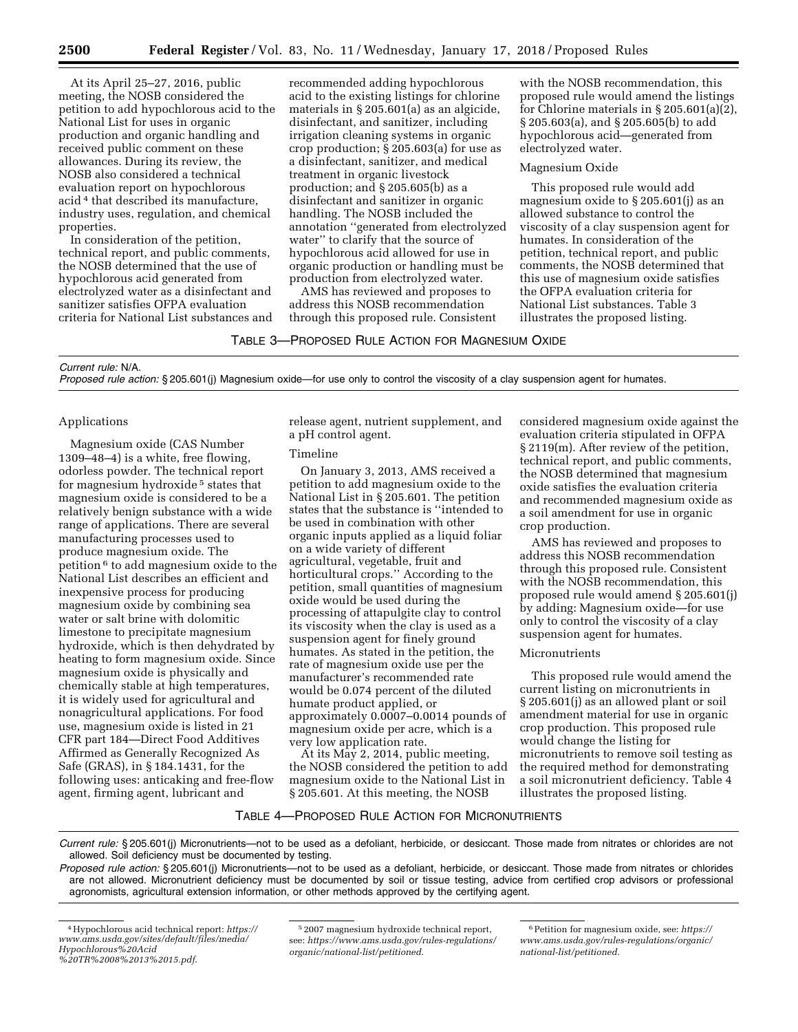At its April 25–27, 2016, public meeting, the NOSB considered the petition to add hypochlorous acid to the National List for uses in organic production and organic handling and received public comment on these allowances. During its review, the NOSB also considered a technical evaluation report on hypochlorous acid 4 that described its manufacture, industry uses, regulation, and chemical properties.

In consideration of the petition, technical report, and public comments, the NOSB determined that the use of hypochlorous acid generated from electrolyzed water as a disinfectant and sanitizer satisfies OFPA evaluation criteria for National List substances and recommended adding hypochlorous acid to the existing listings for chlorine materials in § 205.601(a) as an algicide, disinfectant, and sanitizer, including irrigation cleaning systems in organic crop production; § 205.603(a) for use as a disinfectant, sanitizer, and medical treatment in organic livestock production; and § 205.605(b) as a disinfectant and sanitizer in organic handling. The NOSB included the annotation ''generated from electrolyzed water'' to clarify that the source of hypochlorous acid allowed for use in organic production or handling must be production from electrolyzed water.

AMS has reviewed and proposes to address this NOSB recommendation through this proposed rule. Consistent

with the NOSB recommendation, this proposed rule would amend the listings for Chlorine materials in § 205.601(a)(2), § 205.603(a), and § 205.605(b) to add hypochlorous acid—generated from electrolyzed water.

#### Magnesium Oxide

This proposed rule would add magnesium oxide to § 205.601(j) as an allowed substance to control the viscosity of a clay suspension agent for humates. In consideration of the petition, technical report, and public comments, the NOSB determined that this use of magnesium oxide satisfies the OFPA evaluation criteria for National List substances. Table 3 illustrates the proposed listing.

TABLE 3—PROPOSED RULE ACTION FOR MAGNESIUM OXIDE

### *Current rule:* N/A.

*Proposed rule action:* § 205.601(j) Magnesium oxide—for use only to control the viscosity of a clay suspension agent for humates.

### Applications

Magnesium oxide (CAS Number 1309–48–4) is a white, free flowing, odorless powder. The technical report for magnesium hydroxide 5 states that magnesium oxide is considered to be a relatively benign substance with a wide range of applications. There are several manufacturing processes used to produce magnesium oxide. The petition 6 to add magnesium oxide to the National List describes an efficient and inexpensive process for producing magnesium oxide by combining sea water or salt brine with dolomitic limestone to precipitate magnesium hydroxide, which is then dehydrated by heating to form magnesium oxide. Since magnesium oxide is physically and chemically stable at high temperatures, it is widely used for agricultural and nonagricultural applications. For food use, magnesium oxide is listed in 21 CFR part 184—Direct Food Additives Affirmed as Generally Recognized As Safe (GRAS), in § 184.1431, for the following uses: anticaking and free-flow agent, firming agent, lubricant and

release agent, nutrient supplement, and a pH control agent.

#### Timeline

On January 3, 2013, AMS received a petition to add magnesium oxide to the National List in § 205.601. The petition states that the substance is ''intended to be used in combination with other organic inputs applied as a liquid foliar on a wide variety of different agricultural, vegetable, fruit and horticultural crops.'' According to the petition, small quantities of magnesium oxide would be used during the processing of attapulgite clay to control its viscosity when the clay is used as a suspension agent for finely ground humates. As stated in the petition, the rate of magnesium oxide use per the manufacturer's recommended rate would be 0.074 percent of the diluted humate product applied, or approximately 0.0007–0.0014 pounds of magnesium oxide per acre, which is a very low application rate.

At its May 2, 2014, public meeting, the NOSB considered the petition to add magnesium oxide to the National List in § 205.601. At this meeting, the NOSB

considered magnesium oxide against the evaluation criteria stipulated in OFPA § 2119(m). After review of the petition, technical report, and public comments, the NOSB determined that magnesium oxide satisfies the evaluation criteria and recommended magnesium oxide as a soil amendment for use in organic crop production.

AMS has reviewed and proposes to address this NOSB recommendation through this proposed rule. Consistent with the NOSB recommendation, this proposed rule would amend § 205.601(j) by adding: Magnesium oxide—for use only to control the viscosity of a clay suspension agent for humates.

## Micronutrients

This proposed rule would amend the current listing on micronutrients in § 205.601(j) as an allowed plant or soil amendment material for use in organic crop production. This proposed rule would change the listing for micronutrients to remove soil testing as the required method for demonstrating a soil micronutrient deficiency. Table 4 illustrates the proposed listing.

## TABLE 4—PROPOSED RULE ACTION FOR MICRONUTRIENTS

*Current rule:* § 205.601(j) Micronutrients—not to be used as a defoliant, herbicide, or desiccant. Those made from nitrates or chlorides are not allowed. Soil deficiency must be documented by testing.

*Proposed rule action:* § 205.601(j) Micronutrients—not to be used as a defoliant, herbicide, or desiccant. Those made from nitrates or chlorides are not allowed. Micronutrient deficiency must be documented by soil or tissue testing, advice from certified crop advisors or professional agronomists, agricultural extension information, or other methods approved by the certifying agent.

<sup>4</sup>Hypochlorous acid technical report: *[https://](https://www.ams.usda.gov/sites/default/files/media/Hypochlorous%20Acid%20TR%2008%2013%2015.pdf) [www.ams.usda.gov/sites/default/files/media/](https://www.ams.usda.gov/sites/default/files/media/Hypochlorous%20Acid%20TR%2008%2013%2015.pdf)  [Hypochlorous%20Acid](https://www.ams.usda.gov/sites/default/files/media/Hypochlorous%20Acid%20TR%2008%2013%2015.pdf)*

*[<sup>%20</sup>TR%2008%2013%2015.pdf](https://www.ams.usda.gov/sites/default/files/media/Hypochlorous%20Acid%20TR%2008%2013%2015.pdf)*.

<sup>5</sup> 2007 magnesium hydroxide technical report, see: *[https://www.ams.usda.gov/rules-regulations/](https://www.ams.usda.gov/rules-regulations/organic/national-list/petitioned)  [organic/national-list/petitioned](https://www.ams.usda.gov/rules-regulations/organic/national-list/petitioned)*.

<sup>6</sup>Petition for magnesium oxide, see: *[https://](https://www.ams.usda.gov/rules-regulations/organic/national-list/petitioned) [www.ams.usda.gov/rules-regulations/organic/](https://www.ams.usda.gov/rules-regulations/organic/national-list/petitioned)  [national-list/petitioned.](https://www.ams.usda.gov/rules-regulations/organic/national-list/petitioned)*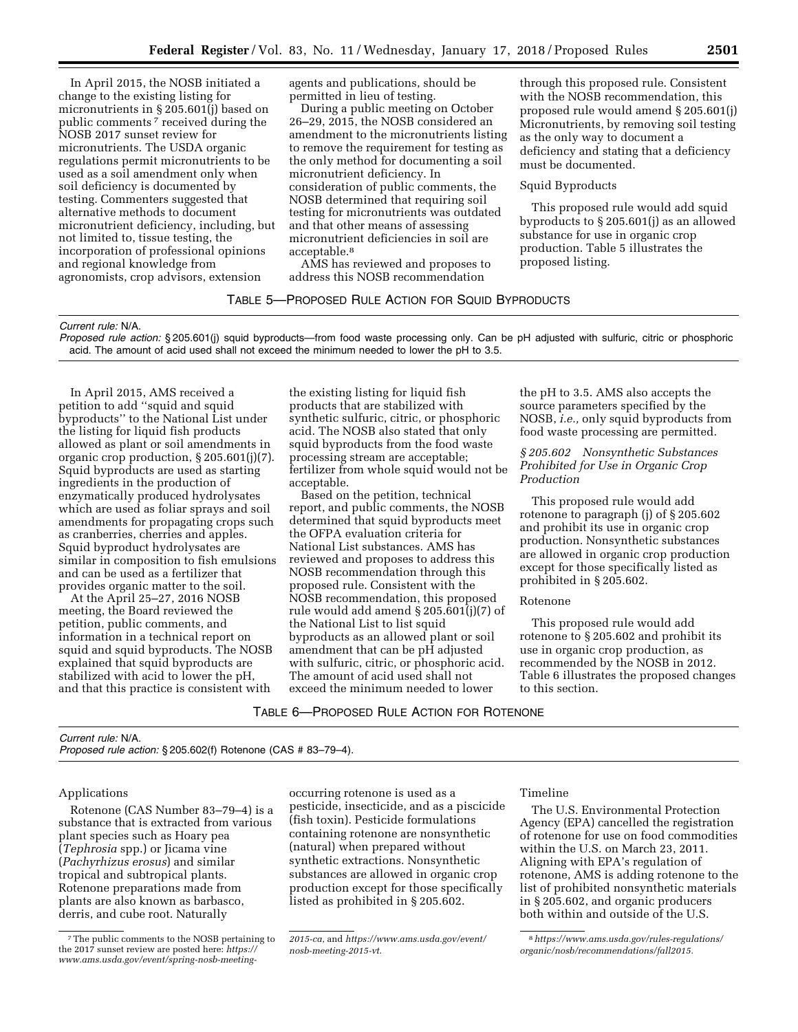In April 2015, the NOSB initiated a change to the existing listing for micronutrients in § 205.601(j) based on public comments 7 received during the NOSB 2017 sunset review for micronutrients. The USDA organic regulations permit micronutrients to be used as a soil amendment only when soil deficiency is documented by testing. Commenters suggested that alternative methods to document micronutrient deficiency, including, but not limited to, tissue testing, the incorporation of professional opinions and regional knowledge from agronomists, crop advisors, extension

agents and publications, should be permitted in lieu of testing.

During a public meeting on October 26–29, 2015, the NOSB considered an amendment to the micronutrients listing to remove the requirement for testing as the only method for documenting a soil micronutrient deficiency. In consideration of public comments, the NOSB determined that requiring soil testing for micronutrients was outdated and that other means of assessing micronutrient deficiencies in soil are acceptable.8

AMS has reviewed and proposes to address this NOSB recommendation

# TABLE 5—PROPOSED RULE ACTION FOR SQUID BYPRODUCTS

#### *Current rule:* N/A.

*Proposed rule action:* § 205.601(j) squid byproducts—from food waste processing only. Can be pH adjusted with sulfuric, citric or phosphoric acid. The amount of acid used shall not exceed the minimum needed to lower the pH to 3.5.

In April 2015, AMS received a petition to add ''squid and squid byproducts'' to the National List under the listing for liquid fish products allowed as plant or soil amendments in organic crop production, § 205.601(j)(7). Squid byproducts are used as starting ingredients in the production of enzymatically produced hydrolysates which are used as foliar sprays and soil amendments for propagating crops such as cranberries, cherries and apples. Squid byproduct hydrolysates are similar in composition to fish emulsions and can be used as a fertilizer that provides organic matter to the soil.

At the April 25–27, 2016 NOSB meeting, the Board reviewed the petition, public comments, and information in a technical report on squid and squid byproducts. The NOSB explained that squid byproducts are stabilized with acid to lower the pH, and that this practice is consistent with

the existing listing for liquid fish products that are stabilized with synthetic sulfuric, citric, or phosphoric acid. The NOSB also stated that only squid byproducts from the food waste processing stream are acceptable; fertilizer from whole squid would not be acceptable.

Based on the petition, technical report, and public comments, the NOSB determined that squid byproducts meet the OFPA evaluation criteria for National List substances. AMS has reviewed and proposes to address this NOSB recommendation through this proposed rule. Consistent with the NOSB recommendation, this proposed rule would add amend § 205.601(j)(7) of the National List to list squid byproducts as an allowed plant or soil amendment that can be pH adjusted with sulfuric, citric, or phosphoric acid. The amount of acid used shall not exceed the minimum needed to lower

the pH to 3.5. AMS also accepts the source parameters specified by the NOSB, *i.e.,* only squid byproducts from food waste processing are permitted.

through this proposed rule. Consistent with the NOSB recommendation, this proposed rule would amend § 205.601(j) Micronutrients, by removing soil testing

deficiency and stating that a deficiency

This proposed rule would add squid byproducts to § 205.601(j) as an allowed substance for use in organic crop production. Table 5 illustrates the

as the only way to document a

must be documented. Squid Byproducts

proposed listing.

## *§ 205.602 Nonsynthetic Substances Prohibited for Use in Organic Crop Production*

This proposed rule would add rotenone to paragraph (j) of § 205.602 and prohibit its use in organic crop production. Nonsynthetic substances are allowed in organic crop production except for those specifically listed as prohibited in § 205.602.

### Rotenone

This proposed rule would add rotenone to § 205.602 and prohibit its use in organic crop production, as recommended by the NOSB in 2012. Table 6 illustrates the proposed changes to this section.

TABLE 6—PROPOSED RULE ACTION FOR ROTENONE

#### *Current rule:* N/A. *Proposed rule action:* § 205.602(f) Rotenone (CAS # 83–79–4).

### Applications

Rotenone (CAS Number 83–79–4) is a substance that is extracted from various plant species such as Hoary pea (*Tephrosia* spp.) or Jicama vine (*Pachyrhizus erosus*) and similar tropical and subtropical plants. Rotenone preparations made from plants are also known as barbasco, derris, and cube root. Naturally

occurring rotenone is used as a pesticide, insecticide, and as a piscicide (fish toxin). Pesticide formulations containing rotenone are nonsynthetic (natural) when prepared without synthetic extractions. Nonsynthetic substances are allowed in organic crop production except for those specifically listed as prohibited in § 205.602.

### Timeline

The U.S. Environmental Protection Agency (EPA) cancelled the registration of rotenone for use on food commodities within the U.S. on March 23, 2011. Aligning with EPA's regulation of rotenone, AMS is adding rotenone to the list of prohibited nonsynthetic materials in § 205.602, and organic producers both within and outside of the U.S.

<sup>7</sup>The public comments to the NOSB pertaining to the 2017 sunset review are posted here: *[https://](https://www.ams.usda.gov/event/spring-nosb-meeting-2015-ca) [www.ams.usda.gov/event/spring-nosb-meeting-](https://www.ams.usda.gov/event/spring-nosb-meeting-2015-ca)*

*[<sup>2015-</sup>ca,](https://www.ams.usda.gov/event/spring-nosb-meeting-2015-ca)* and *[https://www.ams.usda.gov/event/](https://www.ams.usda.gov/event/nosb-meeting-2015-vt) [nosb-meeting-2015-vt](https://www.ams.usda.gov/event/nosb-meeting-2015-vt)*.

<sup>8</sup>*[https://www.ams.usda.gov/rules-regulations/](https://www.ams.usda.gov/rules-regulations/organic/nosb/recommendations/fall2015)  [organic/nosb/recommendations/fall2015.](https://www.ams.usda.gov/rules-regulations/organic/nosb/recommendations/fall2015)*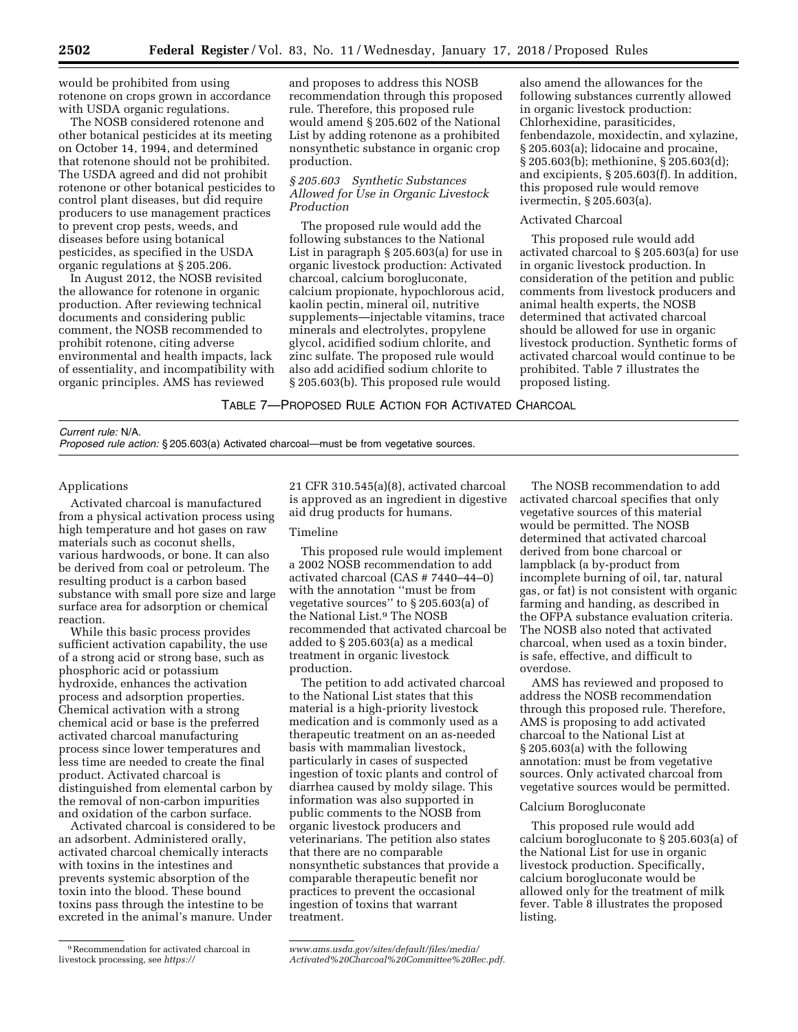would be prohibited from using rotenone on crops grown in accordance with USDA organic regulations.

The NOSB considered rotenone and other botanical pesticides at its meeting on October 14, 1994, and determined that rotenone should not be prohibited. The USDA agreed and did not prohibit rotenone or other botanical pesticides to control plant diseases, but did require producers to use management practices to prevent crop pests, weeds, and diseases before using botanical pesticides, as specified in the USDA organic regulations at § 205.206.

In August 2012, the NOSB revisited the allowance for rotenone in organic production. After reviewing technical documents and considering public comment, the NOSB recommended to prohibit rotenone, citing adverse environmental and health impacts, lack of essentiality, and incompatibility with organic principles. AMS has reviewed

and proposes to address this NOSB recommendation through this proposed rule. Therefore, this proposed rule would amend § 205.602 of the National List by adding rotenone as a prohibited nonsynthetic substance in organic crop production.

## *§ 205.603 Synthetic Substances Allowed for Use in Organic Livestock Production*

The proposed rule would add the following substances to the National List in paragraph § 205.603(a) for use in organic livestock production: Activated charcoal, calcium borogluconate, calcium propionate, hypochlorous acid, kaolin pectin, mineral oil, nutritive supplements—injectable vitamins, trace minerals and electrolytes, propylene glycol, acidified sodium chlorite, and zinc sulfate. The proposed rule would also add acidified sodium chlorite to § 205.603(b). This proposed rule would

also amend the allowances for the following substances currently allowed in organic livestock production: Chlorhexidine, parasiticides, fenbendazole, moxidectin, and xylazine, § 205.603(a); lidocaine and procaine, § 205.603(b); methionine, § 205.603(d); and excipients, § 205.603(f). In addition, this proposed rule would remove ivermectin, § 205.603(a).

## Activated Charcoal

This proposed rule would add activated charcoal to § 205.603(a) for use in organic livestock production. In consideration of the petition and public comments from livestock producers and animal health experts, the NOSB determined that activated charcoal should be allowed for use in organic livestock production. Synthetic forms of activated charcoal would continue to be prohibited. Table 7 illustrates the proposed listing.

TABLE 7—PROPOSED RULE ACTION FOR ACTIVATED CHARCOAL

#### *Current rule:* N/A.

*Proposed rule action:* § 205.603(a) Activated charcoal—must be from vegetative sources.

#### Applications

Activated charcoal is manufactured from a physical activation process using high temperature and hot gases on raw materials such as coconut shells, various hardwoods, or bone. It can also be derived from coal or petroleum. The resulting product is a carbon based substance with small pore size and large surface area for adsorption or chemical reaction.

While this basic process provides sufficient activation capability, the use of a strong acid or strong base, such as phosphoric acid or potassium hydroxide, enhances the activation process and adsorption properties. Chemical activation with a strong chemical acid or base is the preferred activated charcoal manufacturing process since lower temperatures and less time are needed to create the final product. Activated charcoal is distinguished from elemental carbon by the removal of non-carbon impurities and oxidation of the carbon surface.

Activated charcoal is considered to be an adsorbent. Administered orally, activated charcoal chemically interacts with toxins in the intestines and prevents systemic absorption of the toxin into the blood. These bound toxins pass through the intestine to be excreted in the animal's manure. Under

21 CFR 310.545(a)(8), activated charcoal is approved as an ingredient in digestive aid drug products for humans.

## Timeline

This proposed rule would implement a 2002 NOSB recommendation to add activated charcoal (CAS # 7440–44–0) with the annotation ''must be from vegetative sources'' to § 205.603(a) of the National List.9 The NOSB recommended that activated charcoal be added to § 205.603(a) as a medical treatment in organic livestock production.

The petition to add activated charcoal to the National List states that this material is a high-priority livestock medication and is commonly used as a therapeutic treatment on an as-needed basis with mammalian livestock, particularly in cases of suspected ingestion of toxic plants and control of diarrhea caused by moldy silage. This information was also supported in public comments to the NOSB from organic livestock producers and veterinarians. The petition also states that there are no comparable nonsynthetic substances that provide a comparable therapeutic benefit nor practices to prevent the occasional ingestion of toxins that warrant treatment.

The NOSB recommendation to add activated charcoal specifies that only vegetative sources of this material would be permitted. The NOSB determined that activated charcoal derived from bone charcoal or lampblack (a by-product from incomplete burning of oil, tar, natural gas, or fat) is not consistent with organic farming and handing, as described in the OFPA substance evaluation criteria. The NOSB also noted that activated charcoal, when used as a toxin binder, is safe, effective, and difficult to overdose.

AMS has reviewed and proposed to address the NOSB recommendation through this proposed rule. Therefore, AMS is proposing to add activated charcoal to the National List at § 205.603(a) with the following annotation: must be from vegetative sources. Only activated charcoal from vegetative sources would be permitted.

## Calcium Borogluconate

This proposed rule would add calcium borogluconate to § 205.603(a) of the National List for use in organic livestock production. Specifically, calcium borogluconate would be allowed only for the treatment of milk fever. Table 8 illustrates the proposed listing.

<sup>9</sup>Recommendation for activated charcoal in livestock processing, see *[https://](https://www.ams.usda.gov/sites/default/files/media/Activated%20Charcoal%20Committee%20Rec.pdf)*

*[www.ams.usda.gov/sites/default/files/media/](https://www.ams.usda.gov/sites/default/files/media/Activated%20Charcoal%20Committee%20Rec.pdf)  [Activated%20Charcoal%20Committee%20Rec.pdf.](https://www.ams.usda.gov/sites/default/files/media/Activated%20Charcoal%20Committee%20Rec.pdf)*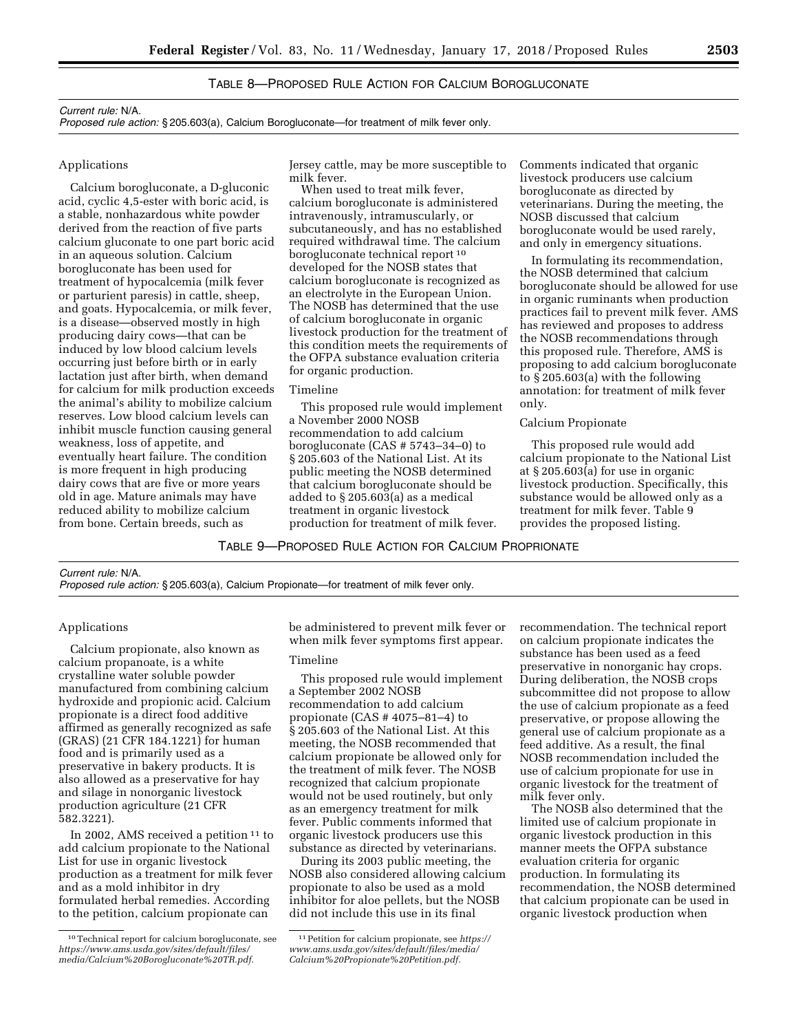# TABLE 8—PROPOSED RULE ACTION FOR CALCIUM BOROGLUCONATE

#### *Current rule:* N/A.

*Proposed rule action:* § 205.603(a), Calcium Borogluconate—for treatment of milk fever only.

## Applications

Calcium borogluconate, a D-gluconic acid, cyclic 4,5-ester with boric acid, is a stable, nonhazardous white powder derived from the reaction of five parts calcium gluconate to one part boric acid in an aqueous solution. Calcium borogluconate has been used for treatment of hypocalcemia (milk fever or parturient paresis) in cattle, sheep, and goats. Hypocalcemia, or milk fever, is a disease—observed mostly in high producing dairy cows—that can be induced by low blood calcium levels occurring just before birth or in early lactation just after birth, when demand for calcium for milk production exceeds the animal's ability to mobilize calcium reserves. Low blood calcium levels can inhibit muscle function causing general weakness, loss of appetite, and eventually heart failure. The condition is more frequent in high producing dairy cows that are five or more years old in age. Mature animals may have reduced ability to mobilize calcium from bone. Certain breeds, such as

Jersey cattle, may be more susceptible to milk fever.

When used to treat milk fever, calcium borogluconate is administered intravenously, intramuscularly, or subcutaneously, and has no established required withdrawal time. The calcium borogluconate technical report 10 developed for the NOSB states that calcium borogluconate is recognized as an electrolyte in the European Union. The NOSB has determined that the use of calcium borogluconate in organic livestock production for the treatment of this condition meets the requirements of the OFPA substance evaluation criteria for organic production.

#### Timeline

This proposed rule would implement a November 2000 NOSB recommendation to add calcium borogluconate (CAS # 5743–34–0) to § 205.603 of the National List. At its public meeting the NOSB determined that calcium borogluconate should be added to § 205.603(a) as a medical treatment in organic livestock production for treatment of milk fever.

Comments indicated that organic livestock producers use calcium borogluconate as directed by veterinarians. During the meeting, the NOSB discussed that calcium borogluconate would be used rarely, and only in emergency situations.

In formulating its recommendation, the NOSB determined that calcium borogluconate should be allowed for use in organic ruminants when production practices fail to prevent milk fever. AMS has reviewed and proposes to address the NOSB recommendations through this proposed rule. Therefore, AMS is proposing to add calcium borogluconate to § 205.603(a) with the following annotation: for treatment of milk fever only.

# Calcium Propionate

This proposed rule would add calcium propionate to the National List at § 205.603(a) for use in organic livestock production. Specifically, this substance would be allowed only as a treatment for milk fever. Table 9 provides the proposed listing.

TABLE 9—PROPOSED RULE ACTION FOR CALCIUM PROPRIONATE

| Current rule: N/A.                                                                       |  |
|------------------------------------------------------------------------------------------|--|
| Proposed rule action: § 205.603(a), Calcium Propionate—for treatment of milk fever only. |  |

### Applications

Calcium propionate, also known as calcium propanoate, is a white crystalline water soluble powder manufactured from combining calcium hydroxide and propionic acid. Calcium propionate is a direct food additive affirmed as generally recognized as safe (GRAS) (21 CFR 184.1221) for human food and is primarily used as a preservative in bakery products. It is also allowed as a preservative for hay and silage in nonorganic livestock production agriculture (21 CFR 582.3221).

In 2002, AMS received a petition 11 to add calcium propionate to the National List for use in organic livestock production as a treatment for milk fever and as a mold inhibitor in dry formulated herbal remedies. According to the petition, calcium propionate can

be administered to prevent milk fever or when milk fever symptoms first appear.

#### Timeline

This proposed rule would implement a September 2002 NOSB recommendation to add calcium propionate (CAS # 4075–81–4) to § 205.603 of the National List. At this meeting, the NOSB recommended that calcium propionate be allowed only for the treatment of milk fever. The NOSB recognized that calcium propionate would not be used routinely, but only as an emergency treatment for milk fever. Public comments informed that organic livestock producers use this substance as directed by veterinarians.

During its 2003 public meeting, the NOSB also considered allowing calcium propionate to also be used as a mold inhibitor for aloe pellets, but the NOSB did not include this use in its final

recommendation. The technical report on calcium propionate indicates the substance has been used as a feed preservative in nonorganic hay crops. During deliberation, the NOSB crops subcommittee did not propose to allow the use of calcium propionate as a feed preservative, or propose allowing the general use of calcium propionate as a feed additive. As a result, the final NOSB recommendation included the use of calcium propionate for use in organic livestock for the treatment of milk fever only.

The NOSB also determined that the limited use of calcium propionate in organic livestock production in this manner meets the OFPA substance evaluation criteria for organic production. In formulating its recommendation, the NOSB determined that calcium propionate can be used in organic livestock production when

<sup>10</sup>Technical report for calcium borogluconate, see *[https://www.ams.usda.gov/sites/default/files/](https://www.ams.usda.gov/sites/default/files/media/Calcium%20Borogluconate%20TR.pdf)  [media/Calcium%20Borogluconate%20TR.pdf.](https://www.ams.usda.gov/sites/default/files/media/Calcium%20Borogluconate%20TR.pdf)* 

<sup>11</sup>Petition for calcium propionate, see *[https://](https://www.ams.usda.gov/sites/default/files/media/Calcium%20Propionate%20Petition.pdf) [www.ams.usda.gov/sites/default/files/media/](https://www.ams.usda.gov/sites/default/files/media/Calcium%20Propionate%20Petition.pdf)  [Calcium%20Propionate%20Petition.pdf.](https://www.ams.usda.gov/sites/default/files/media/Calcium%20Propionate%20Petition.pdf)*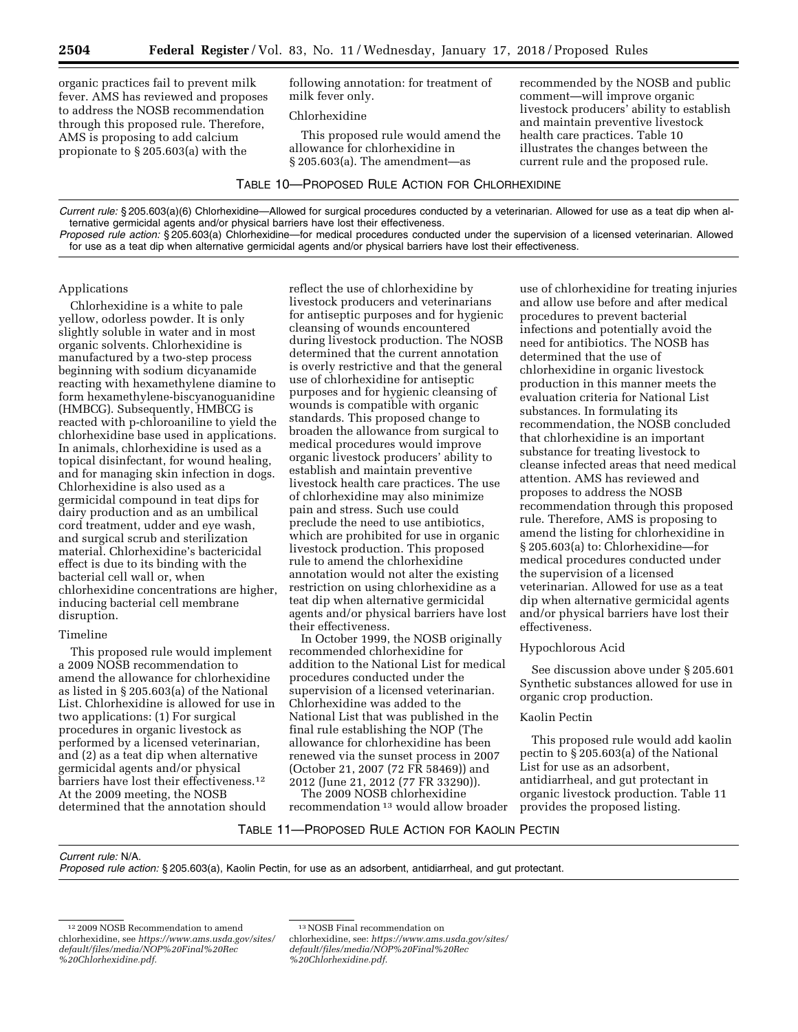organic practices fail to prevent milk fever. AMS has reviewed and proposes to address the NOSB recommendation through this proposed rule. Therefore, AMS is proposing to add calcium propionate to § 205.603(a) with the

following annotation: for treatment of milk fever only.

Chlorhexidine

This proposed rule would amend the allowance for chlorhexidine in § 205.603(a). The amendment—as

TABLE 10—PROPOSED RULE ACTION FOR CHLORHEXIDINE

recommended by the NOSB and public comment—will improve organic livestock producers' ability to establish and maintain preventive livestock health care practices. Table 10 illustrates the changes between the current rule and the proposed rule.

*Current rule:* § 205.603(a)(6) Chlorhexidine—Allowed for surgical procedures conducted by a veterinarian. Allowed for use as a teat dip when alternative germicidal agents and/or physical barriers have lost their effectiveness.

*Proposed rule action:* § 205.603(a) Chlorhexidine—for medical procedures conducted under the supervision of a licensed veterinarian. Allowed for use as a teat dip when alternative germicidal agents and/or physical barriers have lost their effectiveness.

### Applications

Chlorhexidine is a white to pale yellow, odorless powder. It is only slightly soluble in water and in most organic solvents. Chlorhexidine is manufactured by a two-step process beginning with sodium dicyanamide reacting with hexamethylene diamine to form hexamethylene-biscyanoguanidine (HMBCG). Subsequently, HMBCG is reacted with p-chloroaniline to yield the chlorhexidine base used in applications. In animals, chlorhexidine is used as a topical disinfectant, for wound healing, and for managing skin infection in dogs. Chlorhexidine is also used as a germicidal compound in teat dips for dairy production and as an umbilical cord treatment, udder and eye wash, and surgical scrub and sterilization material. Chlorhexidine's bactericidal effect is due to its binding with the bacterial cell wall or, when chlorhexidine concentrations are higher, inducing bacterial cell membrane disruption.

## Timeline

This proposed rule would implement a 2009 NOSB recommendation to amend the allowance for chlorhexidine as listed in § 205.603(a) of the National List. Chlorhexidine is allowed for use in two applications: (1) For surgical procedures in organic livestock as performed by a licensed veterinarian, and (2) as a teat dip when alternative germicidal agents and/or physical barriers have lost their effectiveness.<sup>12</sup> At the 2009 meeting, the NOSB determined that the annotation should

reflect the use of chlorhexidine by livestock producers and veterinarians for antiseptic purposes and for hygienic cleansing of wounds encountered during livestock production. The NOSB determined that the current annotation is overly restrictive and that the general use of chlorhexidine for antiseptic purposes and for hygienic cleansing of wounds is compatible with organic standards. This proposed change to broaden the allowance from surgical to medical procedures would improve organic livestock producers' ability to establish and maintain preventive livestock health care practices. The use of chlorhexidine may also minimize pain and stress. Such use could preclude the need to use antibiotics, which are prohibited for use in organic livestock production. This proposed rule to amend the chlorhexidine annotation would not alter the existing restriction on using chlorhexidine as a teat dip when alternative germicidal agents and/or physical barriers have lost their effectiveness.

In October 1999, the NOSB originally recommended chlorhexidine for addition to the National List for medical procedures conducted under the supervision of a licensed veterinarian. Chlorhexidine was added to the National List that was published in the final rule establishing the NOP (The allowance for chlorhexidine has been renewed via the sunset process in 2007 (October 21, 2007 (72 FR 58469)) and 2012 (June 21, 2012 (77 FR 33290)). The 2009 NOSB chlorhexidine

recommendation 13 would allow broader

use of chlorhexidine for treating injuries and allow use before and after medical procedures to prevent bacterial infections and potentially avoid the need for antibiotics. The NOSB has determined that the use of chlorhexidine in organic livestock production in this manner meets the evaluation criteria for National List substances. In formulating its recommendation, the NOSB concluded that chlorhexidine is an important substance for treating livestock to cleanse infected areas that need medical attention. AMS has reviewed and proposes to address the NOSB recommendation through this proposed rule. Therefore, AMS is proposing to amend the listing for chlorhexidine in § 205.603(a) to: Chlorhexidine—for medical procedures conducted under the supervision of a licensed veterinarian. Allowed for use as a teat dip when alternative germicidal agents and/or physical barriers have lost their effectiveness.

### Hypochlorous Acid

See discussion above under § 205.601 Synthetic substances allowed for use in organic crop production.

## Kaolin Pectin

This proposed rule would add kaolin pectin to § 205.603(a) of the National List for use as an adsorbent, antidiarrheal, and gut protectant in organic livestock production. Table 11 provides the proposed listing.

# TABLE 11—PROPOSED RULE ACTION FOR KAOLIN PECTIN

*Current rule:* N/A.

*Proposed rule action:* § 205.603(a), Kaolin Pectin, for use as an adsorbent, antidiarrheal, and gut protectant.

*[%20Chlorhexidine.pdf.](https://www.ams.usda.gov/sites/default/files/media/NOP%20Final%20Rec%20Chlorhexidine.pdf)* 

<sup>12</sup> 2009 NOSB Recommendation to amend chlorhexidine, see *[https://www.ams.usda.gov/sites/](https://www.ams.usda.gov/sites/default/files/media/NOP%20Final%20Rec%20Chlorhexidine.pdf) [default/files/media/NOP%20Final%20Rec](https://www.ams.usda.gov/sites/default/files/media/NOP%20Final%20Rec%20Chlorhexidine.pdf) [%20Chlorhexidine.pdf.](https://www.ams.usda.gov/sites/default/files/media/NOP%20Final%20Rec%20Chlorhexidine.pdf)* 

<sup>13</sup>NOSB Final recommendation on

chlorhexidine, see: *[https://www.ams.usda.gov/sites/](https://www.ams.usda.gov/sites/default/files/media/NOP%20Final%20Rec%20Chlorhexidine.pdf)  [default/files/media/NOP%20Final%20Rec](https://www.ams.usda.gov/sites/default/files/media/NOP%20Final%20Rec%20Chlorhexidine.pdf)*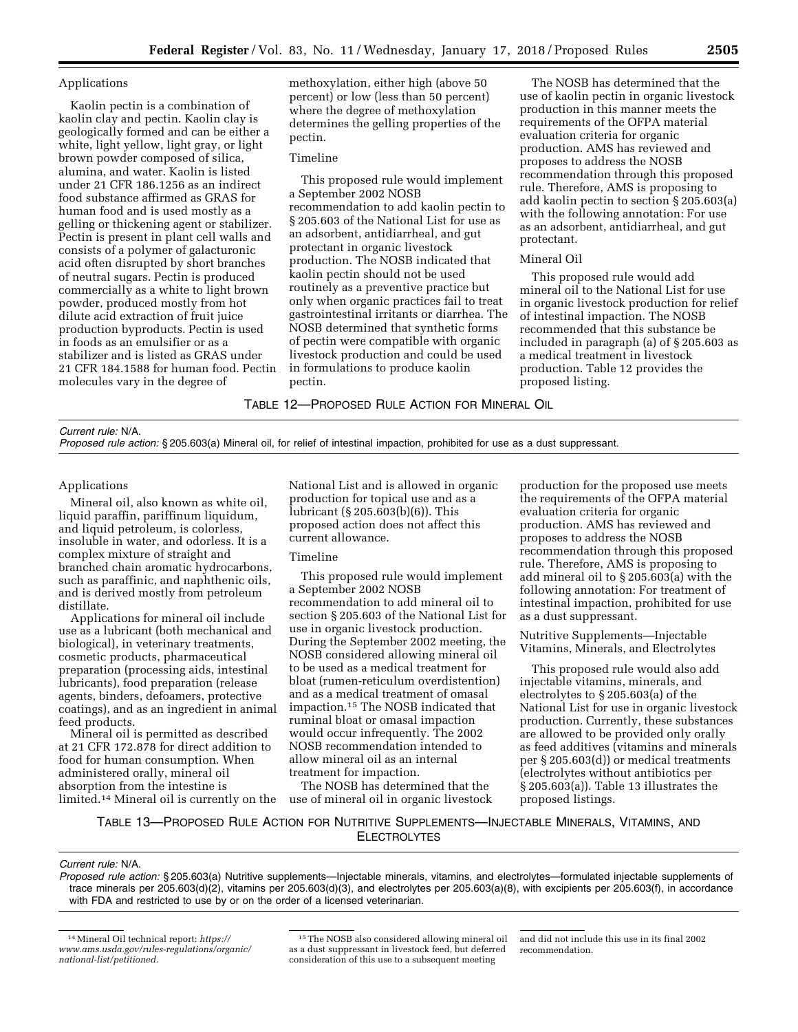## Applications

Kaolin pectin is a combination of kaolin clay and pectin. Kaolin clay is geologically formed and can be either a white, light yellow, light gray, or light brown powder composed of silica, alumina, and water. Kaolin is listed under 21 CFR 186.1256 as an indirect food substance affirmed as GRAS for human food and is used mostly as a gelling or thickening agent or stabilizer. Pectin is present in plant cell walls and consists of a polymer of galacturonic acid often disrupted by short branches of neutral sugars. Pectin is produced commercially as a white to light brown powder, produced mostly from hot dilute acid extraction of fruit juice production byproducts. Pectin is used in foods as an emulsifier or as a stabilizer and is listed as GRAS under 21 CFR 184.1588 for human food. Pectin molecules vary in the degree of

methoxylation, either high (above 50 percent) or low (less than 50 percent) where the degree of methoxylation determines the gelling properties of the pectin.

## Timeline

This proposed rule would implement a September 2002 NOSB recommendation to add kaolin pectin to § 205.603 of the National List for use as an adsorbent, antidiarrheal, and gut protectant in organic livestock production. The NOSB indicated that kaolin pectin should not be used routinely as a preventive practice but only when organic practices fail to treat gastrointestinal irritants or diarrhea. The NOSB determined that synthetic forms of pectin were compatible with organic livestock production and could be used in formulations to produce kaolin pectin.

The NOSB has determined that the use of kaolin pectin in organic livestock production in this manner meets the requirements of the OFPA material evaluation criteria for organic production. AMS has reviewed and proposes to address the NOSB recommendation through this proposed rule. Therefore, AMS is proposing to add kaolin pectin to section § 205.603(a) with the following annotation: For use as an adsorbent, antidiarrheal, and gut protectant.

### Mineral Oil

This proposed rule would add mineral oil to the National List for use in organic livestock production for relief of intestinal impaction. The NOSB recommended that this substance be included in paragraph (a) of § 205.603 as a medical treatment in livestock production. Table 12 provides the proposed listing.

TABLE 12—PROPOSED RULE ACTION FOR MINERAL OIL

## *Current rule:* N/A.

*Proposed rule action:* § 205.603(a) Mineral oil, for relief of intestinal impaction, prohibited for use as a dust suppressant.

### Applications

Mineral oil, also known as white oil, liquid paraffin, pariffinum liquidum, and liquid petroleum, is colorless, insoluble in water, and odorless. It is a complex mixture of straight and branched chain aromatic hydrocarbons, such as paraffinic, and naphthenic oils, and is derived mostly from petroleum distillate.

Applications for mineral oil include use as a lubricant (both mechanical and biological), in veterinary treatments, cosmetic products, pharmaceutical preparation (processing aids, intestinal lubricants), food preparation (release agents, binders, defoamers, protective coatings), and as an ingredient in animal feed products.

Mineral oil is permitted as described at 21 CFR 172.878 for direct addition to food for human consumption. When administered orally, mineral oil absorption from the intestine is limited.14 Mineral oil is currently on the National List and is allowed in organic production for topical use and as a lubricant (§ 205.603(b)(6)). This proposed action does not affect this current allowance.

## Timeline

This proposed rule would implement a September 2002 NOSB recommendation to add mineral oil to section § 205.603 of the National List for use in organic livestock production. During the September 2002 meeting, the NOSB considered allowing mineral oil to be used as a medical treatment for bloat (rumen-reticulum overdistention) and as a medical treatment of omasal impaction.15 The NOSB indicated that ruminal bloat or omasal impaction would occur infrequently. The 2002 NOSB recommendation intended to allow mineral oil as an internal treatment for impaction.

The NOSB has determined that the use of mineral oil in organic livestock

production for the proposed use meets the requirements of the OFPA material evaluation criteria for organic production. AMS has reviewed and proposes to address the NOSB recommendation through this proposed rule. Therefore, AMS is proposing to add mineral oil to § 205.603(a) with the following annotation: For treatment of intestinal impaction, prohibited for use as a dust suppressant.

Nutritive Supplements—Injectable Vitamins, Minerals, and Electrolytes

This proposed rule would also add injectable vitamins, minerals, and electrolytes to § 205.603(a) of the National List for use in organic livestock production. Currently, these substances are allowed to be provided only orally as feed additives (vitamins and minerals per § 205.603(d)) or medical treatments (electrolytes without antibiotics per § 205.603(a)). Table 13 illustrates the proposed listings.

TABLE 13—PROPOSED RULE ACTION FOR NUTRITIVE SUPPLEMENTS—INJECTABLE MINERALS, VITAMINS, AND **ELECTROLYTES** 

### *Current rule:* N/A.

*Proposed rule action:* § 205.603(a) Nutritive supplements—Injectable minerals, vitamins, and electrolytes—formulated injectable supplements of trace minerals per 205.603(d)(2), vitamins per 205.603(d)(3), and electrolytes per 205.603(a)(8), with excipients per 205.603(f), in accordance with FDA and restricted to use by or on the order of a licensed veterinarian.

<sup>14</sup>Mineral Oil technical report: *[https://](https://www.ams.usda.gov/rules-regulations/organic/national-list/petitioned) [www.ams.usda.gov/rules-regulations/organic/](https://www.ams.usda.gov/rules-regulations/organic/national-list/petitioned)  [national-list/petitioned.](https://www.ams.usda.gov/rules-regulations/organic/national-list/petitioned)* 

<sup>15</sup>The NOSB also considered allowing mineral oil as a dust suppressant in livestock feed, but deferred consideration of this use to a subsequent meeting

and did not include this use in its final 2002 recommendation.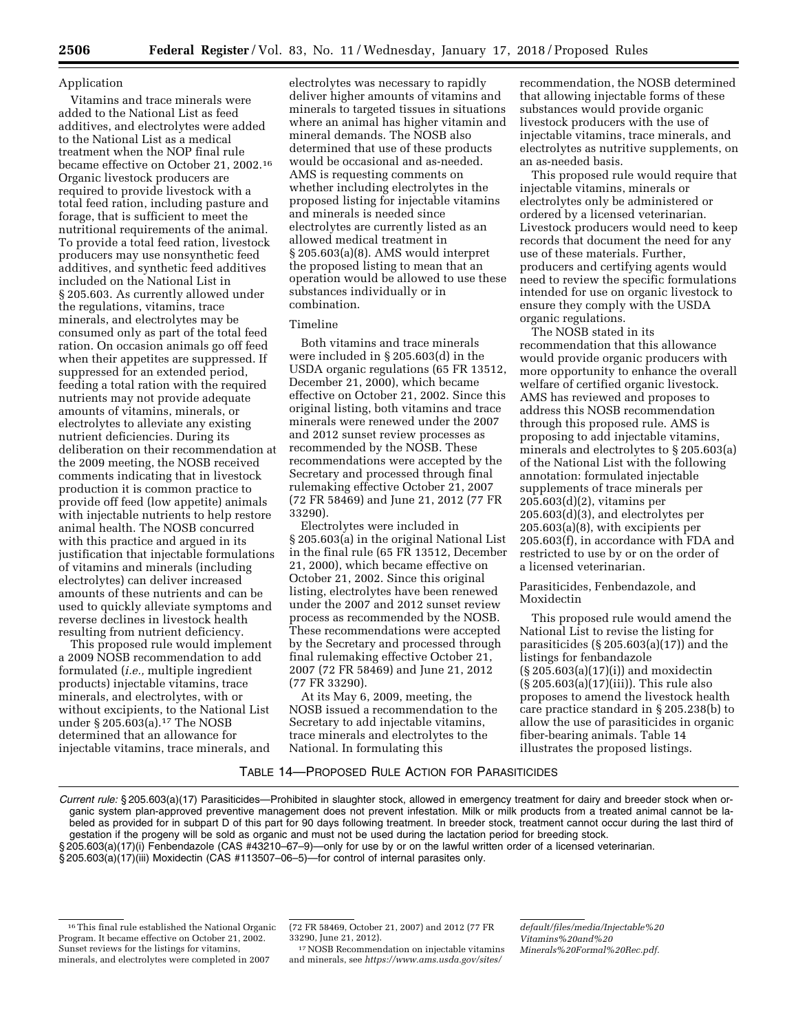## Application

Vitamins and trace minerals were added to the National List as feed additives, and electrolytes were added to the National List as a medical treatment when the NOP final rule became effective on October 21, 2002.16 Organic livestock producers are required to provide livestock with a total feed ration, including pasture and forage, that is sufficient to meet the nutritional requirements of the animal. To provide a total feed ration, livestock producers may use nonsynthetic feed additives, and synthetic feed additives included on the National List in § 205.603. As currently allowed under the regulations, vitamins, trace minerals, and electrolytes may be consumed only as part of the total feed ration. On occasion animals go off feed when their appetites are suppressed. If suppressed for an extended period, feeding a total ration with the required nutrients may not provide adequate amounts of vitamins, minerals, or electrolytes to alleviate any existing nutrient deficiencies. During its deliberation on their recommendation at the 2009 meeting, the NOSB received comments indicating that in livestock production it is common practice to provide off feed (low appetite) animals with injectable nutrients to help restore animal health. The NOSB concurred with this practice and argued in its justification that injectable formulations of vitamins and minerals (including electrolytes) can deliver increased amounts of these nutrients and can be used to quickly alleviate symptoms and reverse declines in livestock health resulting from nutrient deficiency.

This proposed rule would implement a 2009 NOSB recommendation to add formulated (*i.e.,* multiple ingredient products) injectable vitamins, trace minerals, and electrolytes, with or without excipients, to the National List under § 205.603(a).<sup>17</sup> The NOSB determined that an allowance for injectable vitamins, trace minerals, and

electrolytes was necessary to rapidly deliver higher amounts of vitamins and minerals to targeted tissues in situations where an animal has higher vitamin and mineral demands. The NOSB also determined that use of these products would be occasional and as-needed. AMS is requesting comments on whether including electrolytes in the proposed listing for injectable vitamins and minerals is needed since electrolytes are currently listed as an allowed medical treatment in § 205.603(a)(8). AMS would interpret the proposed listing to mean that an operation would be allowed to use these substances individually or in combination.

# Timeline

Both vitamins and trace minerals were included in § 205.603(d) in the USDA organic regulations (65 FR 13512, December 21, 2000), which became effective on October 21, 2002. Since this original listing, both vitamins and trace minerals were renewed under the 2007 and 2012 sunset review processes as recommended by the NOSB. These recommendations were accepted by the Secretary and processed through final rulemaking effective October 21, 2007 (72 FR 58469) and June 21, 2012 (77 FR 33290).

Electrolytes were included in § 205.603(a) in the original National List in the final rule (65 FR 13512, December 21, 2000), which became effective on October 21, 2002. Since this original listing, electrolytes have been renewed under the 2007 and 2012 sunset review process as recommended by the NOSB. These recommendations were accepted by the Secretary and processed through final rulemaking effective October 21, 2007 (72 FR 58469) and June 21, 2012 (77 FR 33290).

At its May 6, 2009, meeting, the NOSB issued a recommendation to the Secretary to add injectable vitamins, trace minerals and electrolytes to the National. In formulating this

recommendation, the NOSB determined that allowing injectable forms of these substances would provide organic livestock producers with the use of injectable vitamins, trace minerals, and electrolytes as nutritive supplements, on an as-needed basis.

This proposed rule would require that injectable vitamins, minerals or electrolytes only be administered or ordered by a licensed veterinarian. Livestock producers would need to keep records that document the need for any use of these materials. Further, producers and certifying agents would need to review the specific formulations intended for use on organic livestock to ensure they comply with the USDA organic regulations.

The NOSB stated in its recommendation that this allowance would provide organic producers with more opportunity to enhance the overall welfare of certified organic livestock. AMS has reviewed and proposes to address this NOSB recommendation through this proposed rule. AMS is proposing to add injectable vitamins, minerals and electrolytes to § 205.603(a) of the National List with the following annotation: formulated injectable supplements of trace minerals per 205.603(d)(2), vitamins per 205.603(d)(3), and electrolytes per 205.603(a)(8), with excipients per 205.603(f), in accordance with FDA and restricted to use by or on the order of a licensed veterinarian.

### Parasiticides, Fenbendazole, and Moxidectin

This proposed rule would amend the National List to revise the listing for parasiticides (§ 205.603(a)(17)) and the listings for fenbandazole (§ 205.603(a)(17)(i)) and moxidectin (§ 205.603(a)(17)(iii)). This rule also proposes to amend the livestock health care practice standard in § 205.238(b) to allow the use of parasiticides in organic fiber-bearing animals. Table 14 illustrates the proposed listings.

## TABLE 14—PROPOSED RULE ACTION FOR PARASITICIDES

*Current rule:* § 205.603(a)(17) Parasiticides—Prohibited in slaughter stock, allowed in emergency treatment for dairy and breeder stock when organic system plan-approved preventive management does not prevent infestation. Milk or milk products from a treated animal cannot be labeled as provided for in subpart D of this part for 90 days following treatment. In breeder stock, treatment cannot occur during the last third of gestation if the progeny will be sold as organic and must not be used during the lactation period for breeding stock.

§ 205.603(a)(17)(i) Fenbendazole (CAS #43210-67-9)—only for use by or on the lawful written order of a licensed veterinarian.

§ 205.603(a)(17)(iii) Moxidectin (CAS #113507–06–5)—for control of internal parasites only.

17NOSB Recommendation on injectable vitamins and minerals, see *[https://www.ams.usda.gov/sites/](https://www.ams.usda.gov/sites/default/files/media/Injectable%20Vitamins%20and%20Minerals%20Formal%20Rec.pdf)* 

*[default/files/media/Injectable%20](https://www.ams.usda.gov/sites/default/files/media/Injectable%20Vitamins%20and%20Minerals%20Formal%20Rec.pdf) [Vitamins%20and%20](https://www.ams.usda.gov/sites/default/files/media/Injectable%20Vitamins%20and%20Minerals%20Formal%20Rec.pdf) [Minerals%20Formal%20Rec.pdf.](https://www.ams.usda.gov/sites/default/files/media/Injectable%20Vitamins%20and%20Minerals%20Formal%20Rec.pdf)* 

<sup>16</sup>This final rule established the National Organic Program. It became effective on October 21, 2002. Sunset reviews for the listings for vitamins, minerals, and electrolytes were completed in 2007

<sup>(72</sup> FR 58469, October 21, 2007) and 2012 (77 FR 33290, June 21, 2012).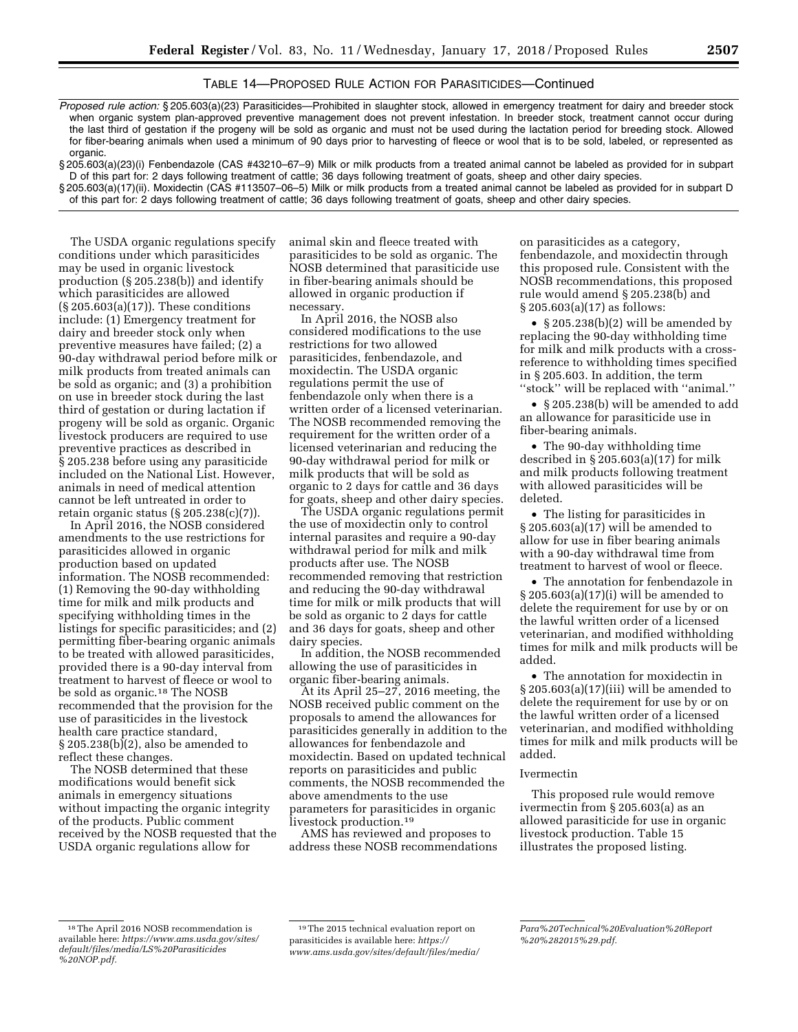## TABLE 14—PROPOSED RULE ACTION FOR PARASITICIDES—Continued

*Proposed rule action:* § 205.603(a)(23) Parasiticides—Prohibited in slaughter stock, allowed in emergency treatment for dairy and breeder stock when organic system plan-approved preventive management does not prevent infestation. In breeder stock, treatment cannot occur during the last third of gestation if the progeny will be sold as organic and must not be used during the lactation period for breeding stock. Allowed for fiber-bearing animals when used a minimum of 90 days prior to harvesting of fleece or wool that is to be sold, labeled, or represented as organic.

§ 205.603(a)(23)(i) Fenbendazole (CAS #43210–67–9) Milk or milk products from a treated animal cannot be labeled as provided for in subpart D of this part for: 2 days following treatment of cattle; 36 days following treatment of goats, sheep and other dairy species.

§ 205.603(a)(17)(ii). Moxidectin (CAS #113507–06–5) Milk or milk products from a treated animal cannot be labeled as provided for in subpart D of this part for: 2 days following treatment of cattle; 36 days following treatment of goats, sheep and other dairy species.

The USDA organic regulations specify conditions under which parasiticides may be used in organic livestock production (§ 205.238(b)) and identify which parasiticides are allowed (§ 205.603(a)(17)). These conditions include: (1) Emergency treatment for dairy and breeder stock only when preventive measures have failed; (2) a 90-day withdrawal period before milk or milk products from treated animals can be sold as organic; and (3) a prohibition on use in breeder stock during the last third of gestation or during lactation if progeny will be sold as organic. Organic livestock producers are required to use preventive practices as described in § 205.238 before using any parasiticide included on the National List. However, animals in need of medical attention cannot be left untreated in order to retain organic status (§ 205.238(c)(7)).

In April 2016, the NOSB considered amendments to the use restrictions for parasiticides allowed in organic production based on updated information. The NOSB recommended: (1) Removing the 90-day withholding time for milk and milk products and specifying withholding times in the listings for specific parasiticides; and (2) permitting fiber-bearing organic animals to be treated with allowed parasiticides, provided there is a 90-day interval from treatment to harvest of fleece or wool to be sold as organic.18 The NOSB recommended that the provision for the use of parasiticides in the livestock health care practice standard, § 205.238(b)(2), also be amended to reflect these changes.

The NOSB determined that these modifications would benefit sick animals in emergency situations without impacting the organic integrity of the products. Public comment received by the NOSB requested that the USDA organic regulations allow for

animal skin and fleece treated with parasiticides to be sold as organic. The NOSB determined that parasiticide use in fiber-bearing animals should be allowed in organic production if necessary.

In April 2016, the NOSB also considered modifications to the use restrictions for two allowed parasiticides, fenbendazole, and moxidectin. The USDA organic regulations permit the use of fenbendazole only when there is a written order of a licensed veterinarian. The NOSB recommended removing the requirement for the written order of a licensed veterinarian and reducing the 90-day withdrawal period for milk or milk products that will be sold as organic to 2 days for cattle and 36 days for goats, sheep and other dairy species.

The USDA organic regulations permit the use of moxidectin only to control internal parasites and require a 90-day withdrawal period for milk and milk products after use. The NOSB recommended removing that restriction and reducing the 90-day withdrawal time for milk or milk products that will be sold as organic to 2 days for cattle and 36 days for goats, sheep and other dairy species.

In addition, the NOSB recommended allowing the use of parasiticides in organic fiber-bearing animals.

At its April 25–27, 2016 meeting, the NOSB received public comment on the proposals to amend the allowances for parasiticides generally in addition to the allowances for fenbendazole and moxidectin. Based on updated technical reports on parasiticides and public comments, the NOSB recommended the above amendments to the use parameters for parasiticides in organic livestock production.19

AMS has reviewed and proposes to address these NOSB recommendations

on parasiticides as a category, fenbendazole, and moxidectin through this proposed rule. Consistent with the NOSB recommendations, this proposed rule would amend § 205.238(b) and § 205.603(a)(17) as follows:

• § 205.238(b)(2) will be amended by replacing the 90-day withholding time for milk and milk products with a crossreference to withholding times specified in § 205.603. In addition, the term ''stock'' will be replaced with ''animal.''

• § 205.238(b) will be amended to add an allowance for parasiticide use in fiber-bearing animals.

• The 90-day withholding time described in  $\S 205.603(a)(17)$  for milk and milk products following treatment with allowed parasiticides will be deleted.

• The listing for parasiticides in § 205.603(a)(17) will be amended to allow for use in fiber bearing animals with a 90-day withdrawal time from treatment to harvest of wool or fleece.

• The annotation for fenbendazole in § 205.603(a)(17)(i) will be amended to delete the requirement for use by or on the lawful written order of a licensed veterinarian, and modified withholding times for milk and milk products will be added.

• The annotation for moxidectin in § 205.603(a)(17)(iii) will be amended to delete the requirement for use by or on the lawful written order of a licensed veterinarian, and modified withholding times for milk and milk products will be added.

### Ivermectin

This proposed rule would remove ivermectin from § 205.603(a) as an allowed parasiticide for use in organic livestock production. Table 15 illustrates the proposed listing.

<sup>18</sup>The April 2016 NOSB recommendation is available here: *[https://www.ams.usda.gov/sites/](https://www.ams.usda.gov/sites/default/files/media/LS%20Parasiticides%20NOP.pdf)  [default/files/media/LS%20Parasiticides](https://www.ams.usda.gov/sites/default/files/media/LS%20Parasiticides%20NOP.pdf) [%20NOP.pdf.](https://www.ams.usda.gov/sites/default/files/media/LS%20Parasiticides%20NOP.pdf)* 

<sup>19</sup>The 2015 technical evaluation report on parasiticides is available here: *[https://](https://www.ams.usda.gov/sites/default/files/media/Para%20Technical%20Evaluation%20Report%20%282015%29.pdf) [www.ams.usda.gov/sites/default/files/media/](https://www.ams.usda.gov/sites/default/files/media/Para%20Technical%20Evaluation%20Report%20%282015%29.pdf)* 

*[Para%20Technical%20Evaluation%20Report](https://www.ams.usda.gov/sites/default/files/media/Para%20Technical%20Evaluation%20Report%20%282015%29.pdf) [%20%282015%29.pdf.](https://www.ams.usda.gov/sites/default/files/media/Para%20Technical%20Evaluation%20Report%20%282015%29.pdf)*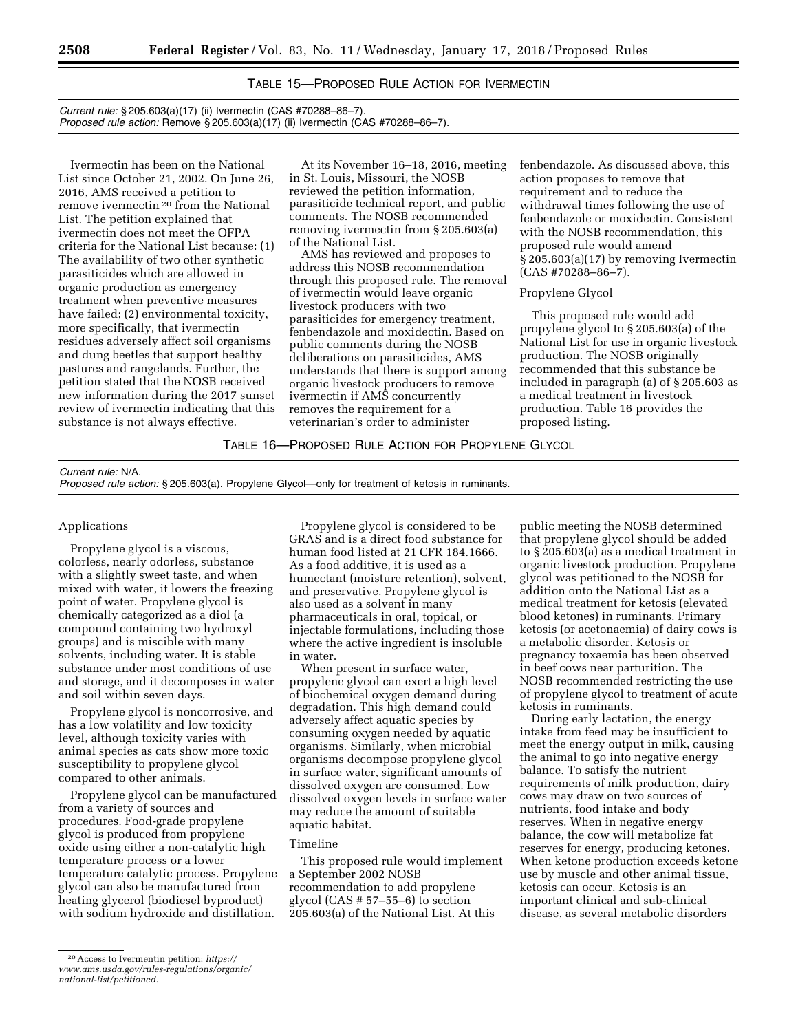# TABLE 15—PROPOSED RULE ACTION FOR IVERMECTIN

*Current rule:* § 205.603(a)(17) (ii) Ivermectin (CAS #70288–86–7). *Proposed rule action:* Remove § 205.603(a)(17) (ii) Ivermectin (CAS #70288–86–7).

Ivermectin has been on the National List since October 21, 2002. On June 26, 2016, AMS received a petition to remove ivermectin 20 from the National List. The petition explained that ivermectin does not meet the OFPA criteria for the National List because: (1) The availability of two other synthetic parasiticides which are allowed in organic production as emergency treatment when preventive measures have failed; (2) environmental toxicity, more specifically, that ivermectin residues adversely affect soil organisms and dung beetles that support healthy pastures and rangelands. Further, the petition stated that the NOSB received new information during the 2017 sunset review of ivermectin indicating that this substance is not always effective.

At its November 16–18, 2016, meeting in St. Louis, Missouri, the NOSB reviewed the petition information, parasiticide technical report, and public comments. The NOSB recommended removing ivermectin from § 205.603(a) of the National List.

AMS has reviewed and proposes to address this NOSB recommendation through this proposed rule. The removal of ivermectin would leave organic livestock producers with two parasiticides for emergency treatment, fenbendazole and moxidectin. Based on public comments during the NOSB deliberations on parasiticides, AMS understands that there is support among organic livestock producers to remove ivermectin if AMS concurrently removes the requirement for a veterinarian's order to administer

fenbendazole. As discussed above, this action proposes to remove that requirement and to reduce the withdrawal times following the use of fenbendazole or moxidectin. Consistent with the NOSB recommendation, this proposed rule would amend § 205.603(a)(17) by removing Ivermectin (CAS #70288–86–7).

## Propylene Glycol

This proposed rule would add propylene glycol to § 205.603(a) of the National List for use in organic livestock production. The NOSB originally recommended that this substance be included in paragraph (a) of § 205.603 as a medical treatment in livestock production. Table 16 provides the proposed listing.

## TABLE 16—PROPOSED RULE ACTION FOR PROPYLENE GLYCOL

*Current rule:* N/A.

*Proposed rule action:* § 205.603(a). Propylene Glycol—only for treatment of ketosis in ruminants.

#### Applications

Propylene glycol is a viscous, colorless, nearly odorless, substance with a slightly sweet taste, and when mixed with water, it lowers the freezing point of water. Propylene glycol is chemically categorized as a diol (a compound containing two hydroxyl groups) and is miscible with many solvents, including water. It is stable substance under most conditions of use and storage, and it decomposes in water and soil within seven days.

Propylene glycol is noncorrosive, and has a low volatility and low toxicity level, although toxicity varies with animal species as cats show more toxic susceptibility to propylene glycol compared to other animals.

Propylene glycol can be manufactured from a variety of sources and procedures. Food-grade propylene glycol is produced from propylene oxide using either a non-catalytic high temperature process or a lower temperature catalytic process. Propylene glycol can also be manufactured from heating glycerol (biodiesel byproduct) with sodium hydroxide and distillation.

Propylene glycol is considered to be GRAS and is a direct food substance for human food listed at 21 CFR 184.1666. As a food additive, it is used as a humectant (moisture retention), solvent, and preservative. Propylene glycol is also used as a solvent in many pharmaceuticals in oral, topical, or injectable formulations, including those where the active ingredient is insoluble in water.

When present in surface water, propylene glycol can exert a high level of biochemical oxygen demand during degradation. This high demand could adversely affect aquatic species by consuming oxygen needed by aquatic organisms. Similarly, when microbial organisms decompose propylene glycol in surface water, significant amounts of dissolved oxygen are consumed. Low dissolved oxygen levels in surface water may reduce the amount of suitable aquatic habitat.

### Timeline

This proposed rule would implement a September 2002 NOSB recommendation to add propylene glycol (CAS # 57–55–6) to section 205.603(a) of the National List. At this

public meeting the NOSB determined that propylene glycol should be added to § 205.603(a) as a medical treatment in organic livestock production. Propylene glycol was petitioned to the NOSB for addition onto the National List as a medical treatment for ketosis (elevated blood ketones) in ruminants. Primary ketosis (or acetonaemia) of dairy cows is a metabolic disorder. Ketosis or pregnancy toxaemia has been observed in beef cows near parturition. The NOSB recommended restricting the use of propylene glycol to treatment of acute ketosis in ruminants.

During early lactation, the energy intake from feed may be insufficient to meet the energy output in milk, causing the animal to go into negative energy balance. To satisfy the nutrient requirements of milk production, dairy cows may draw on two sources of nutrients, food intake and body reserves. When in negative energy balance, the cow will metabolize fat reserves for energy, producing ketones. When ketone production exceeds ketone use by muscle and other animal tissue, ketosis can occur. Ketosis is an important clinical and sub-clinical disease, as several metabolic disorders

<sup>20</sup>Access to Ivermentin petition: *[https://](https://www.ams.usda.gov/rules-regulations/organic/national-list/petitioned) [www.ams.usda.gov/rules-regulations/organic/](https://www.ams.usda.gov/rules-regulations/organic/national-list/petitioned)  [national-list/petitioned.](https://www.ams.usda.gov/rules-regulations/organic/national-list/petitioned)*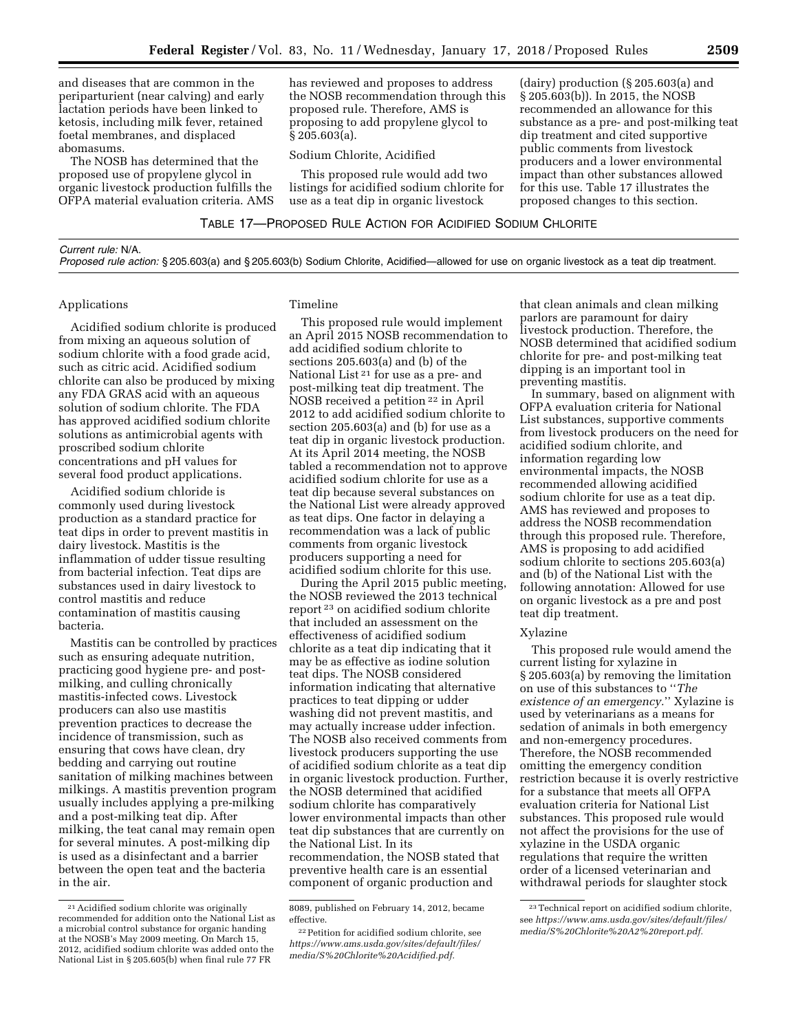and diseases that are common in the periparturient (near calving) and early lactation periods have been linked to ketosis, including milk fever, retained foetal membranes, and displaced abomasums.

The NOSB has determined that the proposed use of propylene glycol in organic livestock production fulfills the OFPA material evaluation criteria. AMS has reviewed and proposes to address the NOSB recommendation through this proposed rule. Therefore, AMS is proposing to add propylene glycol to § 205.603(a).

### Sodium Chlorite, Acidified

This proposed rule would add two listings for acidified sodium chlorite for use as a teat dip in organic livestock

(dairy) production (§ 205.603(a) and § 205.603(b)). In 2015, the NOSB recommended an allowance for this substance as a pre- and post-milking teat dip treatment and cited supportive public comments from livestock producers and a lower environmental impact than other substances allowed for this use. Table 17 illustrates the proposed changes to this section.

| Current rule: N/A.                                                                                                                           |  |
|----------------------------------------------------------------------------------------------------------------------------------------------|--|
| Proposed rule action: § 205.603(a) and § 205.603(b) Sodium Chlorite, Acidified—allowed for use on organic livestock as a teat dip treatment. |  |

### Applications

Acidified sodium chlorite is produced from mixing an aqueous solution of sodium chlorite with a food grade acid, such as citric acid. Acidified sodium chlorite can also be produced by mixing any FDA GRAS acid with an aqueous solution of sodium chlorite. The FDA has approved acidified sodium chlorite solutions as antimicrobial agents with proscribed sodium chlorite concentrations and pH values for several food product applications.

Acidified sodium chloride is commonly used during livestock production as a standard practice for teat dips in order to prevent mastitis in dairy livestock. Mastitis is the inflammation of udder tissue resulting from bacterial infection. Teat dips are substances used in dairy livestock to control mastitis and reduce contamination of mastitis causing bacteria.

Mastitis can be controlled by practices such as ensuring adequate nutrition, practicing good hygiene pre- and postmilking, and culling chronically mastitis-infected cows. Livestock producers can also use mastitis prevention practices to decrease the incidence of transmission, such as ensuring that cows have clean, dry bedding and carrying out routine sanitation of milking machines between milkings. A mastitis prevention program usually includes applying a pre-milking and a post-milking teat dip. After milking, the teat canal may remain open for several minutes. A post-milking dip is used as a disinfectant and a barrier between the open teat and the bacteria in the air.

## Timeline

This proposed rule would implement an April 2015 NOSB recommendation to add acidified sodium chlorite to sections 205.603(a) and (b) of the National List 21 for use as a pre- and post-milking teat dip treatment. The NOSB received a petition 22 in April 2012 to add acidified sodium chlorite to section 205.603(a) and (b) for use as a teat dip in organic livestock production. At its April 2014 meeting, the NOSB tabled a recommendation not to approve acidified sodium chlorite for use as a teat dip because several substances on the National List were already approved as teat dips. One factor in delaying a recommendation was a lack of public comments from organic livestock producers supporting a need for acidified sodium chlorite for this use.

During the April 2015 public meeting, the NOSB reviewed the 2013 technical report 23 on acidified sodium chlorite that included an assessment on the effectiveness of acidified sodium chlorite as a teat dip indicating that it may be as effective as iodine solution teat dips. The NOSB considered information indicating that alternative practices to teat dipping or udder washing did not prevent mastitis, and may actually increase udder infection. The NOSB also received comments from livestock producers supporting the use of acidified sodium chlorite as a teat dip in organic livestock production. Further, the NOSB determined that acidified sodium chlorite has comparatively lower environmental impacts than other teat dip substances that are currently on the National List. In its recommendation, the NOSB stated that preventive health care is an essential component of organic production and

that clean animals and clean milking parlors are paramount for dairy livestock production. Therefore, the NOSB determined that acidified sodium chlorite for pre- and post-milking teat dipping is an important tool in preventing mastitis.

In summary, based on alignment with OFPA evaluation criteria for National List substances, supportive comments from livestock producers on the need for acidified sodium chlorite, and information regarding low environmental impacts, the NOSB recommended allowing acidified sodium chlorite for use as a teat dip. AMS has reviewed and proposes to address the NOSB recommendation through this proposed rule. Therefore, AMS is proposing to add acidified sodium chlorite to sections 205.603(a) and (b) of the National List with the following annotation: Allowed for use on organic livestock as a pre and post teat dip treatment.

#### Xylazine

This proposed rule would amend the current listing for xylazine in § 205.603(a) by removing the limitation on use of this substances to ''*The existence of an emergency.*'' Xylazine is used by veterinarians as a means for sedation of animals in both emergency and non-emergency procedures. Therefore, the NOSB recommended omitting the emergency condition restriction because it is overly restrictive for a substance that meets all OFPA evaluation criteria for National List substances. This proposed rule would not affect the provisions for the use of xylazine in the USDA organic regulations that require the written order of a licensed veterinarian and withdrawal periods for slaughter stock

<sup>21</sup>Acidified sodium chlorite was originally recommended for addition onto the National List as a microbial control substance for organic handing at the NOSB's May 2009 meeting. On March 15, 2012, acidified sodium chlorite was added onto the National List in § 205.605(b) when final rule 77 FR

<sup>8089,</sup> published on February 14, 2012, became effective.

<sup>22</sup>Petition for acidified sodium chlorite, see *[https://www.ams.usda.gov/sites/default/files/](https://www.ams.usda.gov/sites/default/files/media/S%20Chlorite%20Acidified.pdf)  [media/S%20Chlorite%20Acidified.pdf.](https://www.ams.usda.gov/sites/default/files/media/S%20Chlorite%20Acidified.pdf)* 

<sup>23</sup>Technical report on acidified sodium chlorite, see *[https://www.ams.usda.gov/sites/default/files/](https://www.ams.usda.gov/sites/default/files/media/S%20Chlorite%20A2%20report.pdf)  [media/S%20Chlorite%20A2%20report.pdf.](https://www.ams.usda.gov/sites/default/files/media/S%20Chlorite%20A2%20report.pdf)*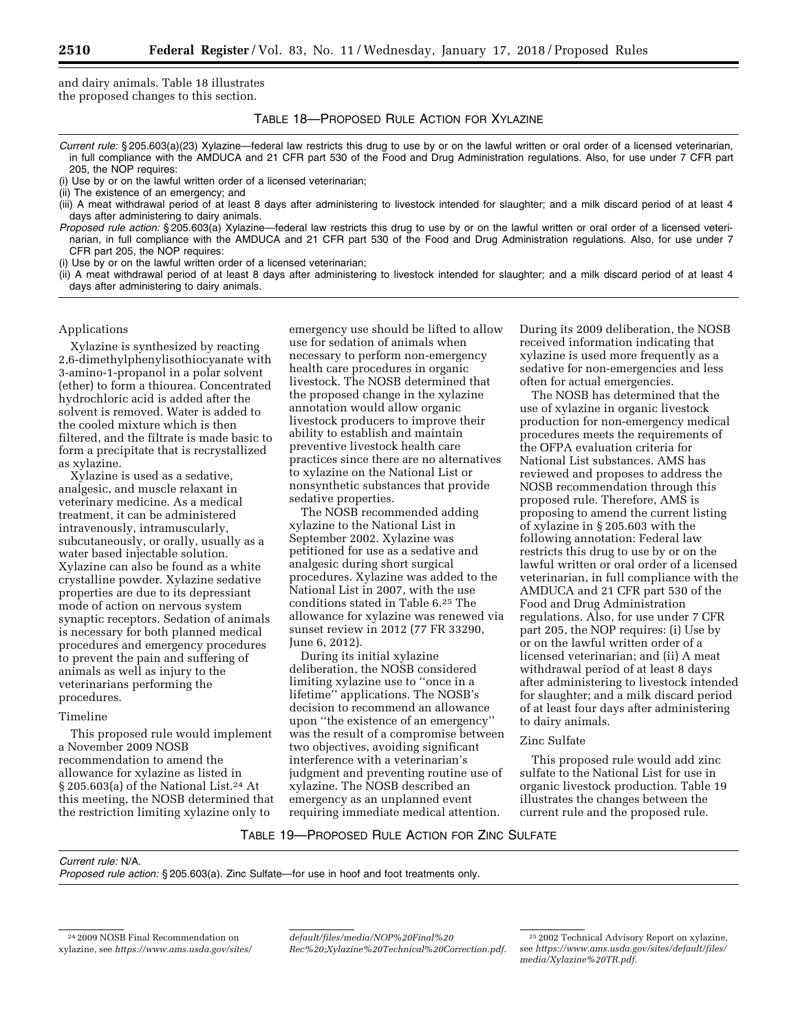and dairy animals. Table 18 illustrates the proposed changes to this section.

## TABLE 18—PROPOSED RULE ACTION FOR XYLAZINE

- *Current rule:* § 205.603(a)(23) Xylazine—federal law restricts this drug to use by or on the lawful written or oral order of a licensed veterinarian, in full compliance with the AMDUCA and 21 CFR part 530 of the Food and Drug Administration regulations*.* Also, for use under 7 CFR part 205, the NOP requires:
- (i) Use by or on the lawful written order of a licensed veterinarian;

- (iii) A meat withdrawal period of at least 8 days after administering to livestock intended for slaughter; and a milk discard period of at least 4 days after administering to dairy animals.
- *Proposed rule action:* § 205.603(a) Xylazine—federal law restricts this drug to use by or on the lawful written or oral order of a licensed veterinarian, in full compliance with the AMDUCA and 21 CFR part 530 of the Food and Drug Administration regulations. Also, for use under 7 CFR part 205, the NOP requires:
- (i) Use by or on the lawful written order of a licensed veterinarian;
- (ii) A meat withdrawal period of at least 8 days after administering to livestock intended for slaughter; and a milk discard period of at least 4 days after administering to dairy animals.

### Applications

Xylazine is synthesized by reacting 2,6-dimethylphenylisothiocyanate with 3-amino-1-propanol in a polar solvent (ether) to form a thiourea. Concentrated hydrochloric acid is added after the solvent is removed. Water is added to the cooled mixture which is then filtered, and the filtrate is made basic to form a precipitate that is recrystallized as xylazine.

Xylazine is used as a sedative, analgesic, and muscle relaxant in veterinary medicine. As a medical treatment, it can be administered intravenously, intramuscularly, subcutaneously, or orally, usually as a water based injectable solution. Xylazine can also be found as a white crystalline powder. Xylazine sedative properties are due to its depressiant mode of action on nervous system synaptic receptors. Sedation of animals is necessary for both planned medical procedures and emergency procedures to prevent the pain and suffering of animals as well as injury to the veterinarians performing the procedures.

#### Timeline

This proposed rule would implement a November 2009 NOSB recommendation to amend the allowance for xylazine as listed in § 205.603(a) of the National List.24 At this meeting, the NOSB determined that the restriction limiting xylazine only to

emergency use should be lifted to allow use for sedation of animals when necessary to perform non-emergency health care procedures in organic livestock. The NOSB determined that the proposed change in the xylazine annotation would allow organic livestock producers to improve their ability to establish and maintain preventive livestock health care practices since there are no alternatives to xylazine on the National List or nonsynthetic substances that provide sedative properties.

The NOSB recommended adding xylazine to the National List in September 2002. Xylazine was petitioned for use as a sedative and analgesic during short surgical procedures. Xylazine was added to the National List in 2007, with the use conditions stated in Table 6.25 The allowance for xylazine was renewed via sunset review in 2012 (77 FR 33290, June 6, 2012).

During its initial xylazine deliberation, the NOSB considered limiting xylazine use to ''once in a lifetime'' applications. The NOSB's decision to recommend an allowance upon ''the existence of an emergency'' was the result of a compromise between two objectives, avoiding significant interference with a veterinarian's judgment and preventing routine use of xylazine. The NOSB described an emergency as an unplanned event requiring immediate medical attention.

During its 2009 deliberation, the NOSB received information indicating that xylazine is used more frequently as a sedative for non-emergencies and less often for actual emergencies.

The NOSB has determined that the use of xylazine in organic livestock production for non-emergency medical procedures meets the requirements of the OFPA evaluation criteria for National List substances. AMS has reviewed and proposes to address the NOSB recommendation through this proposed rule. Therefore, AMS is proposing to amend the current listing of xylazine in § 205.603 with the following annotation: Federal law restricts this drug to use by or on the lawful written or oral order of a licensed veterinarian, in full compliance with the AMDUCA and 21 CFR part 530 of the Food and Drug Administration regulations. Also, for use under 7 CFR part 205, the NOP requires: (i) Use by or on the lawful written order of a licensed veterinarian; and (ii) A meat withdrawal period of at least 8 days after administering to livestock intended for slaughter; and a milk discard period of at least four days after administering to dairy animals.

### Zinc Sulfate

This proposed rule would add zinc sulfate to the National List for use in organic livestock production. Table 19 illustrates the changes between the current rule and the proposed rule.

### TABLE 19—PROPOSED RULE ACTION FOR ZINC SULFATE

*Current rule:* N/A.

*Proposed rule action:* § 205.603(a). Zinc Sulfate—for use in hoof and foot treatments only.

*[default/files/media/NOP%20Final%20](https://www.ams.usda.gov/sites/default/files/media/NOP%20Final%20Rec%20;Xylazine%20Technical%20Correction.pdf) [Rec%20;Xylazine%20Technical%20Correction.pdf](https://www.ams.usda.gov/sites/default/files/media/NOP%20Final%20Rec%20;Xylazine%20Technical%20Correction.pdf)*.

<sup>(</sup>ii) The existence of an emergency; and

<sup>24</sup> 2009 NOSB Final Recommendation on xylazine, see *[https://www.ams.usda.gov/sites/](https://www.ams.usda.gov/sites/default/files/media/NOP%20Final%20Rec%20;Xylazine%20Technical%20Correction.pdf)* 

<sup>25</sup> 2002 Technical Advisory Report on xylazine, see *[https://www.ams.usda.gov/sites/default/files/](https://www.ams.usda.gov/sites/default/files/media/Xylazine%20TR.pdf)  [media/Xylazine%20TR.pdf.](https://www.ams.usda.gov/sites/default/files/media/Xylazine%20TR.pdf)*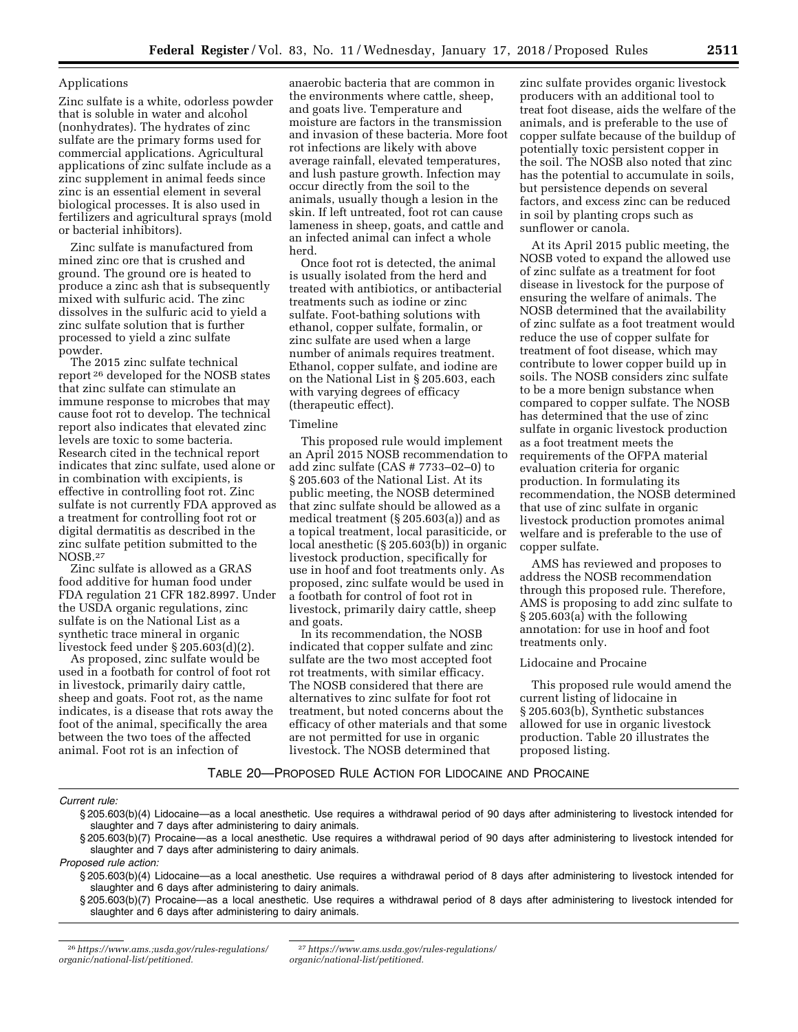### Applications

Zinc sulfate is a white, odorless powder that is soluble in water and alcohol (nonhydrates). The hydrates of zinc sulfate are the primary forms used for commercial applications. Agricultural applications of zinc sulfate include as a zinc supplement in animal feeds since zinc is an essential element in several biological processes. It is also used in fertilizers and agricultural sprays (mold or bacterial inhibitors).

Zinc sulfate is manufactured from mined zinc ore that is crushed and ground. The ground ore is heated to produce a zinc ash that is subsequently mixed with sulfuric acid. The zinc dissolves in the sulfuric acid to yield a zinc sulfate solution that is further processed to yield a zinc sulfate powder.

The 2015 zinc sulfate technical report 26 developed for the NOSB states that zinc sulfate can stimulate an immune response to microbes that may cause foot rot to develop. The technical report also indicates that elevated zinc levels are toxic to some bacteria. Research cited in the technical report indicates that zinc sulfate, used alone or in combination with excipients, is effective in controlling foot rot. Zinc sulfate is not currently FDA approved as a treatment for controlling foot rot or digital dermatitis as described in the zinc sulfate petition submitted to the NOSB.27

Zinc sulfate is allowed as a GRAS food additive for human food under FDA regulation 21 CFR 182.8997. Under the USDA organic regulations, zinc sulfate is on the National List as a synthetic trace mineral in organic livestock feed under § 205.603(d)(2).

As proposed, zinc sulfate would be used in a footbath for control of foot rot in livestock, primarily dairy cattle, sheep and goats. Foot rot, as the name indicates, is a disease that rots away the foot of the animal, specifically the area between the two toes of the affected animal. Foot rot is an infection of

anaerobic bacteria that are common in the environments where cattle, sheep, and goats live. Temperature and moisture are factors in the transmission and invasion of these bacteria. More foot rot infections are likely with above average rainfall, elevated temperatures, and lush pasture growth. Infection may occur directly from the soil to the animals, usually though a lesion in the skin. If left untreated, foot rot can cause lameness in sheep, goats, and cattle and an infected animal can infect a whole herd.

Once foot rot is detected, the animal is usually isolated from the herd and treated with antibiotics, or antibacterial treatments such as iodine or zinc sulfate. Foot-bathing solutions with ethanol, copper sulfate, formalin, or zinc sulfate are used when a large number of animals requires treatment. Ethanol, copper sulfate, and iodine are on the National List in § 205.603, each with varying degrees of efficacy (therapeutic effect).

# Timeline

This proposed rule would implement an April 2015 NOSB recommendation to add zinc sulfate (CAS # 7733–02–0) to § 205.603 of the National List. At its public meeting, the NOSB determined that zinc sulfate should be allowed as a medical treatment (§ 205.603(a)) and as a topical treatment, local parasiticide, or local anesthetic (§ 205.603(b)) in organic livestock production, specifically for use in hoof and foot treatments only. As proposed, zinc sulfate would be used in a footbath for control of foot rot in livestock, primarily dairy cattle, sheep and goats.

In its recommendation, the NOSB indicated that copper sulfate and zinc sulfate are the two most accepted foot rot treatments, with similar efficacy. The NOSB considered that there are alternatives to zinc sulfate for foot rot treatment, but noted concerns about the efficacy of other materials and that some are not permitted for use in organic livestock. The NOSB determined that

zinc sulfate provides organic livestock producers with an additional tool to treat foot disease, aids the welfare of the animals, and is preferable to the use of copper sulfate because of the buildup of potentially toxic persistent copper in the soil. The NOSB also noted that zinc has the potential to accumulate in soils, but persistence depends on several factors, and excess zinc can be reduced in soil by planting crops such as sunflower or canola.

At its April 2015 public meeting, the NOSB voted to expand the allowed use of zinc sulfate as a treatment for foot disease in livestock for the purpose of ensuring the welfare of animals. The NOSB determined that the availability of zinc sulfate as a foot treatment would reduce the use of copper sulfate for treatment of foot disease, which may contribute to lower copper build up in soils. The NOSB considers zinc sulfate to be a more benign substance when compared to copper sulfate. The NOSB has determined that the use of zinc sulfate in organic livestock production as a foot treatment meets the requirements of the OFPA material evaluation criteria for organic production. In formulating its recommendation, the NOSB determined that use of zinc sulfate in organic livestock production promotes animal welfare and is preferable to the use of copper sulfate.

AMS has reviewed and proposes to address the NOSB recommendation through this proposed rule. Therefore, AMS is proposing to add zinc sulfate to § 205.603(a) with the following annotation: for use in hoof and foot treatments only.

#### Lidocaine and Procaine

This proposed rule would amend the current listing of lidocaine in § 205.603(b), Synthetic substances allowed for use in organic livestock production. Table 20 illustrates the proposed listing.

### TABLE 20—PROPOSED RULE ACTION FOR LIDOCAINE AND PROCAINE

### *Current rule:*

§ 205.603(b)(7) Procaine—as a local anesthetic. Use requires a withdrawal period of 90 days after administering to livestock intended for slaughter and 7 days after administering to dairy animals.

*Proposed rule action:* 

- § 205.603(b)(4) Lidocaine—as a local anesthetic. Use requires a withdrawal period of 8 days after administering to livestock intended for slaughter and 6 days after administering to dairy animals.
- § 205.603(b)(7) Procaine—as a local anesthetic. Use requires a withdrawal period of 8 days after administering to livestock intended for slaughter and 6 days after administering to dairy animals.

<sup>§ 205.603(</sup>b)(4) Lidocaine—as a local anesthetic. Use requires a withdrawal period of 90 days after administering to livestock intended for slaughter and 7 days after administering to dairy animals.

<sup>26</sup>*[https://www.ams.;usda.gov/rules-regulations/](https://www.ams.;usda.gov/rules-regulations/organic/national-list/petitioned)  [organic/national-list/petitioned.](https://www.ams.;usda.gov/rules-regulations/organic/national-list/petitioned)* 

<sup>27</sup>*[https://www.ams.usda.gov/rules-regulations/](https://www.ams.usda.gov/rules-regulations/organic/national-list/petitioned) [organic/national-list/petitioned.](https://www.ams.usda.gov/rules-regulations/organic/national-list/petitioned)*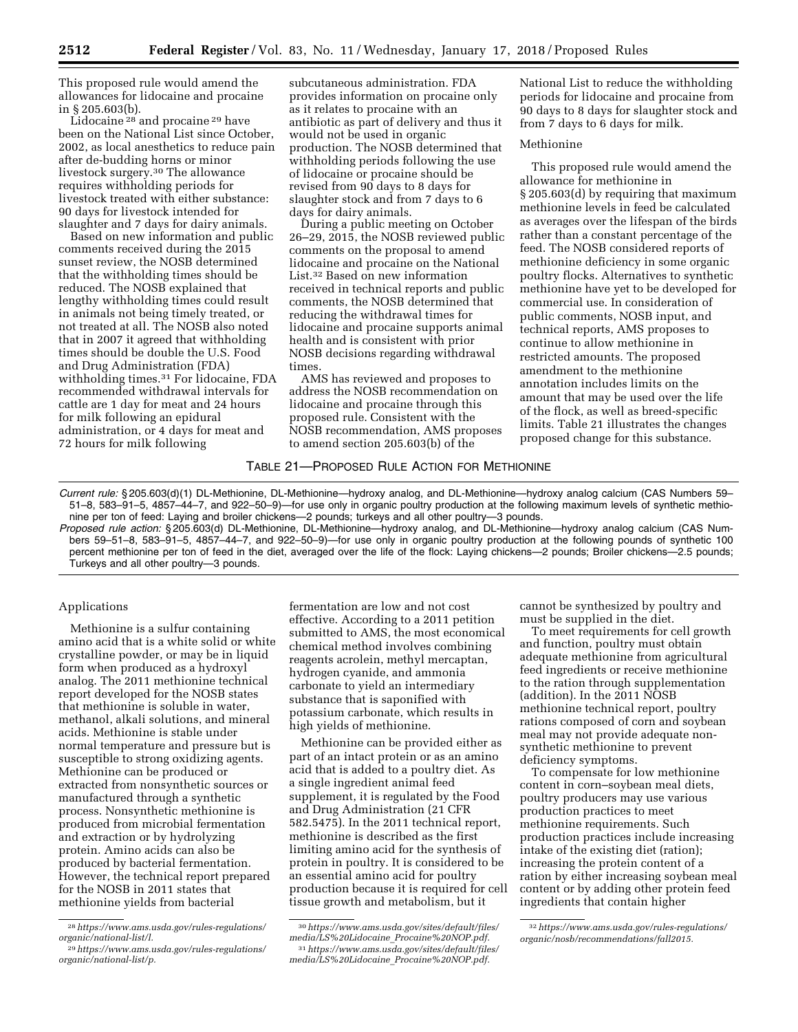This proposed rule would amend the allowances for lidocaine and procaine in § 205.603(b).

Lidocaine 28 and procaine 29 have been on the National List since October, 2002, as local anesthetics to reduce pain after de-budding horns or minor livestock surgery.30 The allowance requires withholding periods for livestock treated with either substance: 90 days for livestock intended for slaughter and 7 days for dairy animals.

Based on new information and public comments received during the 2015 sunset review, the NOSB determined that the withholding times should be reduced. The NOSB explained that lengthy withholding times could result in animals not being timely treated, or not treated at all. The NOSB also noted that in 2007 it agreed that withholding times should be double the U.S. Food and Drug Administration (FDA) withholding times.31 For lidocaine, FDA recommended withdrawal intervals for cattle are 1 day for meat and 24 hours for milk following an epidural administration, or 4 days for meat and 72 hours for milk following

subcutaneous administration. FDA provides information on procaine only as it relates to procaine with an antibiotic as part of delivery and thus it would not be used in organic production. The NOSB determined that withholding periods following the use of lidocaine or procaine should be revised from 90 days to 8 days for slaughter stock and from 7 days to 6 days for dairy animals.

During a public meeting on October 26–29, 2015, the NOSB reviewed public comments on the proposal to amend lidocaine and procaine on the National List.32 Based on new information received in technical reports and public comments, the NOSB determined that reducing the withdrawal times for lidocaine and procaine supports animal health and is consistent with prior NOSB decisions regarding withdrawal times.

AMS has reviewed and proposes to address the NOSB recommendation on lidocaine and procaine through this proposed rule. Consistent with the NOSB recommendation, AMS proposes to amend section 205.603(b) of the

National List to reduce the withholding periods for lidocaine and procaine from 90 days to 8 days for slaughter stock and from 7 days to 6 days for milk.

### Methionine

This proposed rule would amend the allowance for methionine in § 205.603(d) by requiring that maximum methionine levels in feed be calculated as averages over the lifespan of the birds rather than a constant percentage of the feed. The NOSB considered reports of methionine deficiency in some organic poultry flocks. Alternatives to synthetic methionine have yet to be developed for commercial use. In consideration of public comments, NOSB input, and technical reports, AMS proposes to continue to allow methionine in restricted amounts. The proposed amendment to the methionine annotation includes limits on the amount that may be used over the life of the flock, as well as breed-specific limits. Table 21 illustrates the changes proposed change for this substance.

### TABLE 21—PROPOSED RULE ACTION FOR METHIONINE

*Current rule:* § 205.603(d)(1) DL-Methionine, DL-Methionine—hydroxy analog, and DL-Methionine—hydroxy analog calcium (CAS Numbers 59– 51–8, 583–91–5, 4857–44–7, and 922–50–9)—for use only in organic poultry production at the following maximum levels of synthetic methionine per ton of feed: Laying and broiler chickens—2 pounds; turkeys and all other poultry—3 pounds.

*Proposed rule action:* § 205.603(d) DL-Methionine, DL-Methionine—hydroxy analog, and DL-Methionine—hydroxy analog calcium (CAS Numbers 59–51–8, 583–91–5, 4857–44–7, and 922–50–9)—for use only in organic poultry production at the following pounds of synthetic 100 percent methionine per ton of feed in the diet, averaged over the life of the flock: Laying chickens—2 pounds; Broiler chickens—2.5 pounds; Turkeys and all other poultry—3 pounds.

### Applications

Methionine is a sulfur containing amino acid that is a white solid or white crystalline powder, or may be in liquid form when produced as a hydroxyl analog. The 2011 methionine technical report developed for the NOSB states that methionine is soluble in water, methanol, alkali solutions, and mineral acids. Methionine is stable under normal temperature and pressure but is susceptible to strong oxidizing agents. Methionine can be produced or extracted from nonsynthetic sources or manufactured through a synthetic process. Nonsynthetic methionine is produced from microbial fermentation and extraction or by hydrolyzing protein. Amino acids can also be produced by bacterial fermentation. However, the technical report prepared for the NOSB in 2011 states that methionine yields from bacterial

fermentation are low and not cost effective. According to a 2011 petition submitted to AMS, the most economical chemical method involves combining reagents acrolein, methyl mercaptan, hydrogen cyanide, and ammonia carbonate to yield an intermediary substance that is saponified with potassium carbonate, which results in high yields of methionine.

Methionine can be provided either as part of an intact protein or as an amino acid that is added to a poultry diet. As a single ingredient animal feed supplement, it is regulated by the Food and Drug Administration (21 CFR 582.5475). In the 2011 technical report, methionine is described as the first limiting amino acid for the synthesis of protein in poultry. It is considered to be an essential amino acid for poultry production because it is required for cell tissue growth and metabolism, but it

cannot be synthesized by poultry and must be supplied in the diet.

To meet requirements for cell growth and function, poultry must obtain adequate methionine from agricultural feed ingredients or receive methionine to the ration through supplementation (addition). In the 2011 NOSB methionine technical report, poultry rations composed of corn and soybean meal may not provide adequate nonsynthetic methionine to prevent deficiency symptoms.

To compensate for low methionine content in corn–soybean meal diets, poultry producers may use various production practices to meet methionine requirements. Such production practices include increasing intake of the existing diet (ration); increasing the protein content of a ration by either increasing soybean meal content or by adding other protein feed ingredients that contain higher

<sup>28</sup>*[https://www.ams.usda.gov/rules-regulations/](https://www.ams.usda.gov/rules-regulations/organic/national-list/l) [organic/national-list/l.](https://www.ams.usda.gov/rules-regulations/organic/national-list/l)* 

<sup>29</sup>*[https://www.ams.usda.gov/rules-regulations/](https://www.ams.usda.gov/rules-regulations/organic/national-list/p) [organic/national-list/p.](https://www.ams.usda.gov/rules-regulations/organic/national-list/p)* 

<sup>30</sup>*[https://www.ams.usda.gov/sites/default/files/](https://www.ams.usda.gov/sites/default/files/media/LS%20Lidocaine_Procaine%20NOP.pdf)  [media/LS%20Lidocaine](https://www.ams.usda.gov/sites/default/files/media/LS%20Lidocaine_Procaine%20NOP.pdf)*\_*Procaine%20NOP.pdf.*  31*[https://www.ams.usda.gov/sites/default/files/](https://www.ams.usda.gov/sites/default/files/media/LS%20Lidocaine_Procaine%20NOP.pdf)  [media/LS%20Lidocaine](https://www.ams.usda.gov/sites/default/files/media/LS%20Lidocaine_Procaine%20NOP.pdf)*\_*Procaine%20NOP.pdf.* 

<sup>32</sup>*[https://www.ams.usda.gov/rules-regulations/](https://www.ams.usda.gov/rules-regulations/organic/nosb/recommendations/fall2015) [organic/nosb/recommendations/fall2015.](https://www.ams.usda.gov/rules-regulations/organic/nosb/recommendations/fall2015)*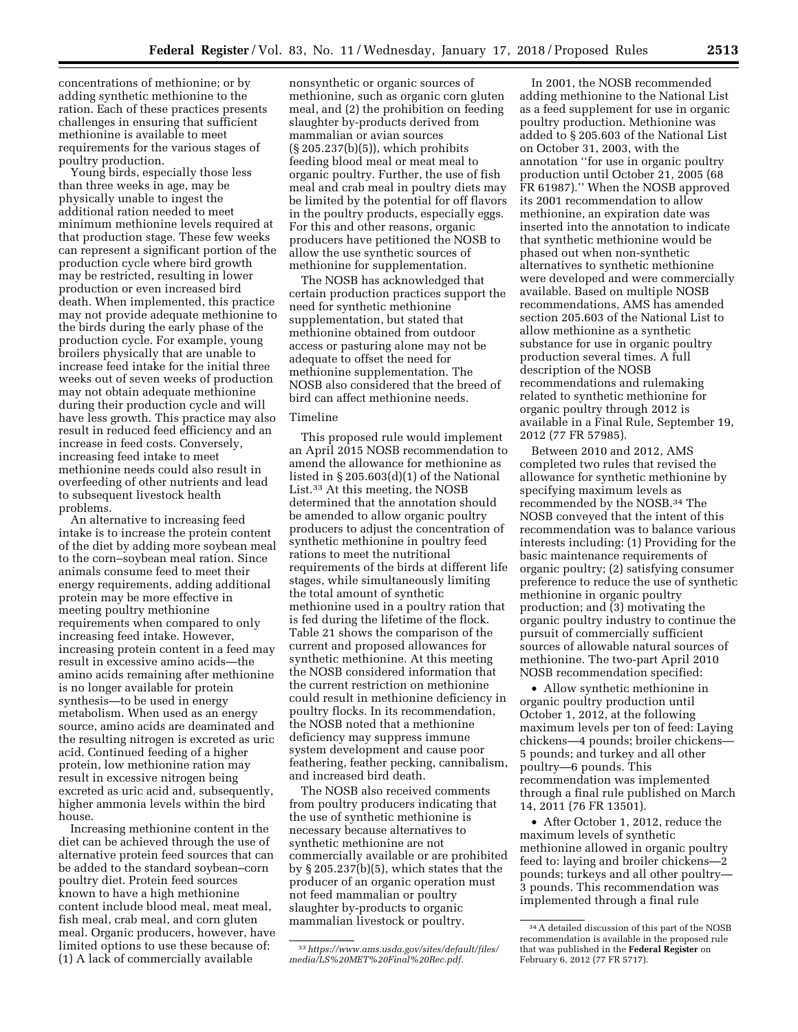concentrations of methionine; or by adding synthetic methionine to the ration. Each of these practices presents challenges in ensuring that sufficient methionine is available to meet requirements for the various stages of poultry production.

Young birds, especially those less than three weeks in age, may be physically unable to ingest the additional ration needed to meet minimum methionine levels required at that production stage. These few weeks can represent a significant portion of the production cycle where bird growth may be restricted, resulting in lower production or even increased bird death. When implemented, this practice may not provide adequate methionine to the birds during the early phase of the production cycle. For example, young broilers physically that are unable to increase feed intake for the initial three weeks out of seven weeks of production may not obtain adequate methionine during their production cycle and will have less growth. This practice may also result in reduced feed efficiency and an increase in feed costs. Conversely, increasing feed intake to meet methionine needs could also result in overfeeding of other nutrients and lead to subsequent livestock health problems.

An alternative to increasing feed intake is to increase the protein content of the diet by adding more soybean meal to the corn–soybean meal ration. Since animals consume feed to meet their energy requirements, adding additional protein may be more effective in meeting poultry methionine requirements when compared to only increasing feed intake. However, increasing protein content in a feed may result in excessive amino acids—the amino acids remaining after methionine is no longer available for protein synthesis—to be used in energy metabolism. When used as an energy source, amino acids are deaminated and the resulting nitrogen is excreted as uric acid. Continued feeding of a higher protein, low methionine ration may result in excessive nitrogen being excreted as uric acid and, subsequently, higher ammonia levels within the bird house.

Increasing methionine content in the diet can be achieved through the use of alternative protein feed sources that can be added to the standard soybean–corn poultry diet. Protein feed sources known to have a high methionine content include blood meal, meat meal, fish meal, crab meal, and corn gluten meal. Organic producers, however, have limited options to use these because of: (1) A lack of commercially available

nonsynthetic or organic sources of methionine, such as organic corn gluten meal, and (2) the prohibition on feeding slaughter by-products derived from mammalian or avian sources (§ 205.237(b)(5)), which prohibits feeding blood meal or meat meal to organic poultry. Further, the use of fish meal and crab meal in poultry diets may be limited by the potential for off flavors in the poultry products, especially eggs. For this and other reasons, organic producers have petitioned the NOSB to allow the use synthetic sources of methionine for supplementation.

The NOSB has acknowledged that certain production practices support the need for synthetic methionine supplementation, but stated that methionine obtained from outdoor access or pasturing alone may not be adequate to offset the need for methionine supplementation. The NOSB also considered that the breed of bird can affect methionine needs.

## Timeline

This proposed rule would implement an April 2015 NOSB recommendation to amend the allowance for methionine as listed in § 205.603(d)(1) of the National List.33 At this meeting, the NOSB determined that the annotation should be amended to allow organic poultry producers to adjust the concentration of synthetic methionine in poultry feed rations to meet the nutritional requirements of the birds at different life stages, while simultaneously limiting the total amount of synthetic methionine used in a poultry ration that is fed during the lifetime of the flock. Table 21 shows the comparison of the current and proposed allowances for synthetic methionine. At this meeting the NOSB considered information that the current restriction on methionine could result in methionine deficiency in poultry flocks. In its recommendation, the NOSB noted that a methionine deficiency may suppress immune system development and cause poor feathering, feather pecking, cannibalism, and increased bird death.

The NOSB also received comments from poultry producers indicating that the use of synthetic methionine is necessary because alternatives to synthetic methionine are not commercially available or are prohibited by § 205.237(b)(5), which states that the producer of an organic operation must not feed mammalian or poultry slaughter by-products to organic mammalian livestock or poultry.

In 2001, the NOSB recommended adding methionine to the National List as a feed supplement for use in organic poultry production. Methionine was added to § 205.603 of the National List on October 31, 2003, with the annotation ''for use in organic poultry production until October 21, 2005 (68 FR 61987).'' When the NOSB approved its 2001 recommendation to allow methionine, an expiration date was inserted into the annotation to indicate that synthetic methionine would be phased out when non-synthetic alternatives to synthetic methionine were developed and were commercially available. Based on multiple NOSB recommendations, AMS has amended section 205.603 of the National List to allow methionine as a synthetic substance for use in organic poultry production several times. A full description of the NOSB recommendations and rulemaking related to synthetic methionine for organic poultry through 2012 is available in a Final Rule, September 19, 2012 (77 FR 57985).

Between 2010 and 2012, AMS completed two rules that revised the allowance for synthetic methionine by specifying maximum levels as recommended by the NOSB.34 The NOSB conveyed that the intent of this recommendation was to balance various interests including: (1) Providing for the basic maintenance requirements of organic poultry; (2) satisfying consumer preference to reduce the use of synthetic methionine in organic poultry production; and (3) motivating the organic poultry industry to continue the pursuit of commercially sufficient sources of allowable natural sources of methionine. The two-part April 2010 NOSB recommendation specified:

• Allow synthetic methionine in organic poultry production until October 1, 2012, at the following maximum levels per ton of feed: Laying chickens—4 pounds; broiler chickens— 5 pounds; and turkey and all other poultry—6 pounds. This recommendation was implemented through a final rule published on March 14, 2011 (76 FR 13501).

• After October 1, 2012, reduce the maximum levels of synthetic methionine allowed in organic poultry feed to: laying and broiler chickens—2 pounds; turkeys and all other poultry— 3 pounds. This recommendation was implemented through a final rule

<sup>33</sup>*[https://www.ams.usda.gov/sites/default/files/](https://www.ams.usda.gov/sites/default/files/media/LS%20MET%20Final%20Rec.pdf)  [media/LS%20MET%20Final%20Rec.pdf.](https://www.ams.usda.gov/sites/default/files/media/LS%20MET%20Final%20Rec.pdf)* 

<sup>34</sup>A detailed discussion of this part of the NOSB recommendation is available in the proposed rule that was published in the **Federal Register** on February 6, 2012 (77 FR 5717).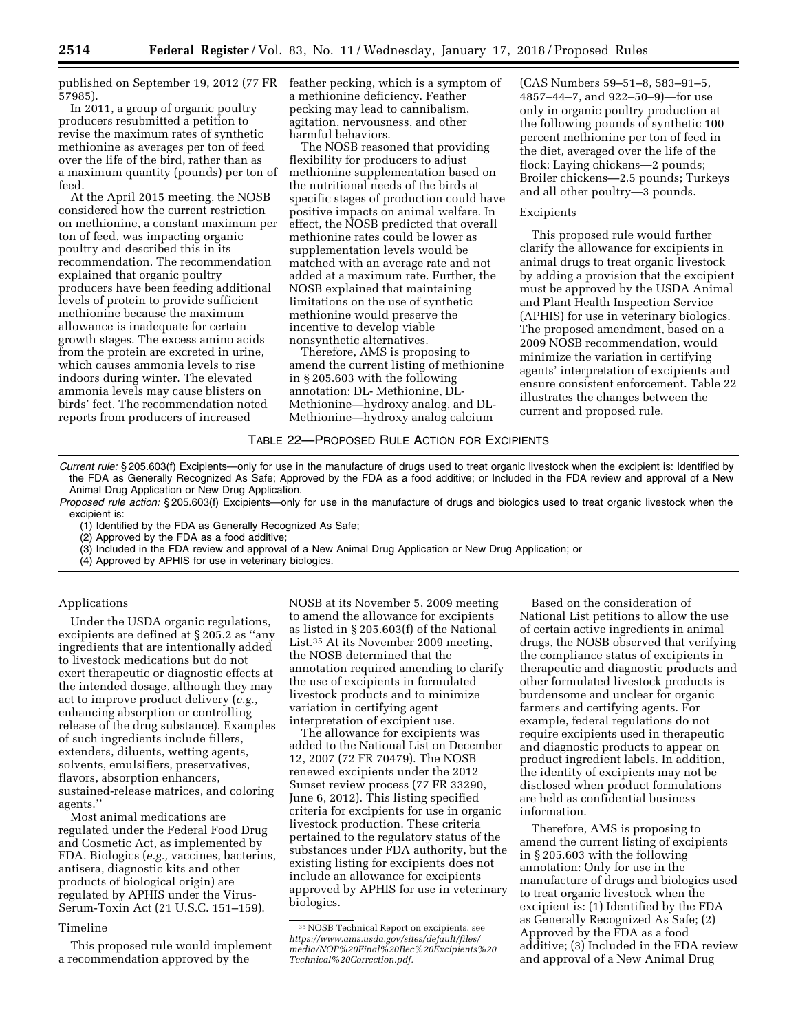published on September 19, 2012 (77 FR feather pecking, which is a symptom of 57985).

In 2011, a group of organic poultry producers resubmitted a petition to revise the maximum rates of synthetic methionine as averages per ton of feed over the life of the bird, rather than as a maximum quantity (pounds) per ton of feed.

At the April 2015 meeting, the NOSB considered how the current restriction on methionine, a constant maximum per ton of feed, was impacting organic poultry and described this in its recommendation. The recommendation explained that organic poultry producers have been feeding additional levels of protein to provide sufficient methionine because the maximum allowance is inadequate for certain growth stages. The excess amino acids from the protein are excreted in urine, which causes ammonia levels to rise indoors during winter. The elevated ammonia levels may cause blisters on birds' feet. The recommendation noted reports from producers of increased

a methionine deficiency. Feather pecking may lead to cannibalism, agitation, nervousness, and other harmful behaviors.

The NOSB reasoned that providing flexibility for producers to adjust methionine supplementation based on the nutritional needs of the birds at specific stages of production could have positive impacts on animal welfare. In effect, the NOSB predicted that overall methionine rates could be lower as supplementation levels would be matched with an average rate and not added at a maximum rate. Further, the NOSB explained that maintaining limitations on the use of synthetic methionine would preserve the incentive to develop viable nonsynthetic alternatives.

Therefore, AMS is proposing to amend the current listing of methionine in § 205.603 with the following annotation: DL- Methionine, DL-Methionine—hydroxy analog, and DL-Methionine—hydroxy analog calcium

(CAS Numbers 59–51–8, 583–91–5, 4857–44–7, and 922–50–9)—for use only in organic poultry production at the following pounds of synthetic 100 percent methionine per ton of feed in the diet, averaged over the life of the flock: Laying chickens—2 pounds; Broiler chickens—2.5 pounds; Turkeys and all other poultry—3 pounds.

## Excipients

This proposed rule would further clarify the allowance for excipients in animal drugs to treat organic livestock by adding a provision that the excipient must be approved by the USDA Animal and Plant Health Inspection Service (APHIS) for use in veterinary biologics. The proposed amendment, based on a 2009 NOSB recommendation, would minimize the variation in certifying agents' interpretation of excipients and ensure consistent enforcement. Table 22 illustrates the changes between the current and proposed rule.

## TABLE 22—PROPOSED RULE ACTION FOR EXCIPIENTS

*Current rule:* § 205.603(f) Excipients—only for use in the manufacture of drugs used to treat organic livestock when the excipient is: Identified by the FDA as Generally Recognized As Safe; Approved by the FDA as a food additive; or Included in the FDA review and approval of a New Animal Drug Application or New Drug Application.

*Proposed rule action:* § 205.603(f) Excipients—only for use in the manufacture of drugs and biologics used to treat organic livestock when the excipient is:

(1) Identified by the FDA as Generally Recognized As Safe;

(2) Approved by the FDA as a food additive;

(3) Included in the FDA review and approval of a New Animal Drug Application or New Drug Application; or

(4) Approved by APHIS for use in veterinary biologics.

### Applications

Under the USDA organic regulations, excipients are defined at § 205.2 as ''any ingredients that are intentionally added to livestock medications but do not exert therapeutic or diagnostic effects at the intended dosage, although they may act to improve product delivery (*e.g.,*  enhancing absorption or controlling release of the drug substance). Examples of such ingredients include fillers, extenders, diluents, wetting agents, solvents, emulsifiers, preservatives, flavors, absorption enhancers, sustained-release matrices, and coloring agents.''

Most animal medications are regulated under the Federal Food Drug and Cosmetic Act, as implemented by FDA. Biologics (*e.g.,* vaccines, bacterins, antisera, diagnostic kits and other products of biological origin) are regulated by APHIS under the Virus-Serum-Toxin Act (21 U.S.C. 151–159).

#### Timeline

This proposed rule would implement a recommendation approved by the

NOSB at its November 5, 2009 meeting to amend the allowance for excipients as listed in § 205.603(f) of the National List.35 At its November 2009 meeting, the NOSB determined that the annotation required amending to clarify the use of excipients in formulated livestock products and to minimize variation in certifying agent interpretation of excipient use.

The allowance for excipients was added to the National List on December 12, 2007 (72 FR 70479). The NOSB renewed excipients under the 2012 Sunset review process (77 FR 33290, June 6, 2012). This listing specified criteria for excipients for use in organic livestock production. These criteria pertained to the regulatory status of the substances under FDA authority, but the existing listing for excipients does not include an allowance for excipients approved by APHIS for use in veterinary biologics.

Based on the consideration of National List petitions to allow the use of certain active ingredients in animal drugs, the NOSB observed that verifying the compliance status of excipients in therapeutic and diagnostic products and other formulated livestock products is burdensome and unclear for organic farmers and certifying agents. For example, federal regulations do not require excipients used in therapeutic and diagnostic products to appear on product ingredient labels. In addition, the identity of excipients may not be disclosed when product formulations are held as confidential business information.

Therefore, AMS is proposing to amend the current listing of excipients in § 205.603 with the following annotation: Only for use in the manufacture of drugs and biologics used to treat organic livestock when the excipient is: (1) Identified by the FDA as Generally Recognized As Safe; (2) Approved by the FDA as a food additive; (3) Included in the FDA review and approval of a New Animal Drug

<sup>35</sup>NOSB Technical Report on excipients, see *[https://www.ams.usda.gov/sites/default/files/](https://www.ams.usda.gov/sites/default/files/media/NOP%20Final%20Rec%20Excipients%20Technical%20Correction.pdf)  [media/NOP%20Final%20Rec%20Excipients%20](https://www.ams.usda.gov/sites/default/files/media/NOP%20Final%20Rec%20Excipients%20Technical%20Correction.pdf) [Technical%20Correction.pdf.](https://www.ams.usda.gov/sites/default/files/media/NOP%20Final%20Rec%20Excipients%20Technical%20Correction.pdf)*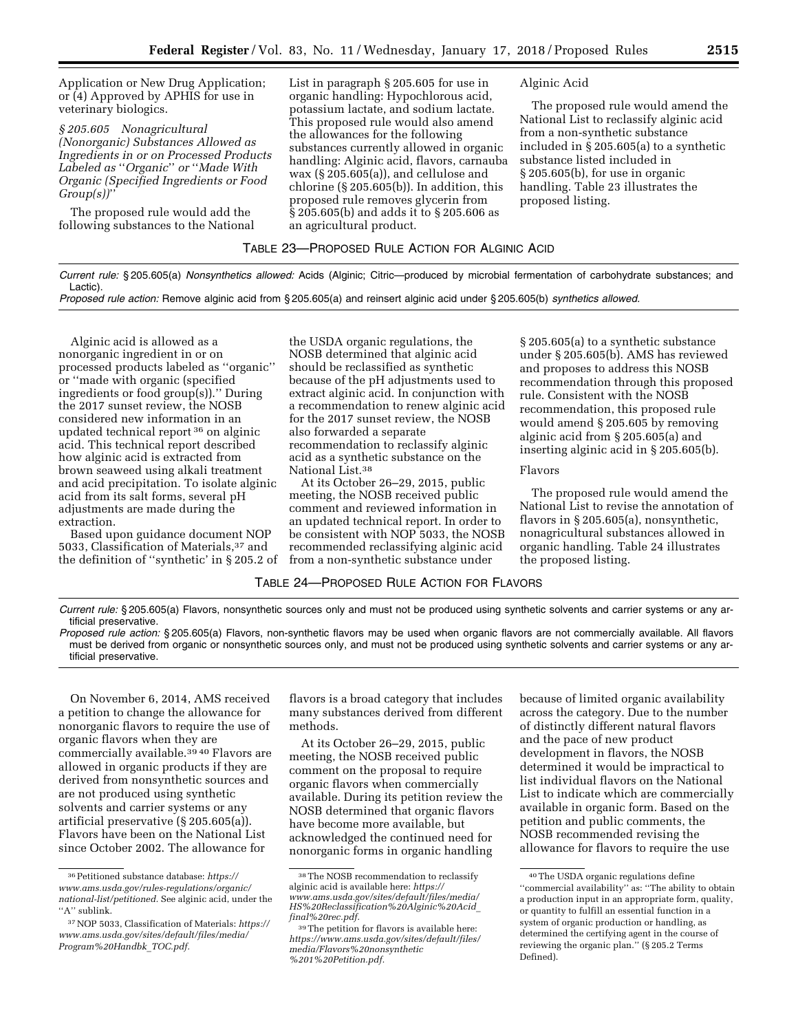Application or New Drug Application; or (4) Approved by APHIS for use in veterinary biologics.

*§ 205.605 Nonagricultural (Nonorganic) Substances Allowed as Ingredients in or on Processed Products Labeled as* ''*Organic*'' *or* ''*Made With Organic (Specified Ingredients or Food Group(s))*''

The proposed rule would add the following substances to the National List in paragraph § 205.605 for use in organic handling: Hypochlorous acid, potassium lactate, and sodium lactate. This proposed rule would also amend the allowances for the following substances currently allowed in organic handling: Alginic acid, flavors, carnauba wax (§ 205.605(a)), and cellulose and chlorine (§ 205.605(b)). In addition, this proposed rule removes glycerin from § 205.605(b) and adds it to § 205.606 as an agricultural product.

## Alginic Acid

The proposed rule would amend the National List to reclassify alginic acid from a non-synthetic substance included in § 205.605(a) to a synthetic substance listed included in § 205.605(b), for use in organic handling. Table 23 illustrates the proposed listing.

## TABLE 23—PROPOSED RULE ACTION FOR ALGINIC ACID

*Current rule:* § 205.605(a) *Nonsynthetics allowed:* Acids (Alginic; Citric—produced by microbial fermentation of carbohydrate substances; and Lactic).

*Proposed rule action:* Remove alginic acid from § 205.605(a) and reinsert alginic acid under § 205.605(b) *synthetics allowed.* 

Alginic acid is allowed as a nonorganic ingredient in or on processed products labeled as ''organic'' or ''made with organic (specified ingredients or food group(s)).'' During the 2017 sunset review, the NOSB considered new information in an updated technical report 36 on alginic acid. This technical report described how alginic acid is extracted from brown seaweed using alkali treatment and acid precipitation. To isolate alginic acid from its salt forms, several pH adjustments are made during the extraction.

Based upon guidance document NOP 5033, Classification of Materials,37 and the definition of ''synthetic' in § 205.2 of

the USDA organic regulations, the NOSB determined that alginic acid should be reclassified as synthetic because of the pH adjustments used to extract alginic acid. In conjunction with a recommendation to renew alginic acid for the 2017 sunset review, the NOSB also forwarded a separate recommendation to reclassify alginic acid as a synthetic substance on the National List.38

At its October 26–29, 2015, public meeting, the NOSB received public comment and reviewed information in an updated technical report. In order to be consistent with NOP 5033, the NOSB recommended reclassifying alginic acid from a non-synthetic substance under

§ 205.605(a) to a synthetic substance under § 205.605(b). AMS has reviewed and proposes to address this NOSB recommendation through this proposed rule. Consistent with the NOSB recommendation, this proposed rule would amend § 205.605 by removing alginic acid from § 205.605(a) and inserting alginic acid in § 205.605(b).

## Flavors

The proposed rule would amend the National List to revise the annotation of flavors in § 205.605(a), nonsynthetic, nonagricultural substances allowed in organic handling. Table 24 illustrates the proposed listing.

# TABLE 24—PROPOSED RULE ACTION FOR FLAVORS

*Current rule:* § 205.605(a) Flavors, nonsynthetic sources only and must not be produced using synthetic solvents and carrier systems or any artificial preservative.

*Proposed rule action:* § 205.605(a) Flavors, non-synthetic flavors may be used when organic flavors are not commercially available. All flavors must be derived from organic or nonsynthetic sources only, and must not be produced using synthetic solvents and carrier systems or any artificial preservative.

On November 6, 2014, AMS received a petition to change the allowance for nonorganic flavors to require the use of organic flavors when they are commercially available.<sup>39 40</sup> Flavors are allowed in organic products if they are derived from nonsynthetic sources and are not produced using synthetic solvents and carrier systems or any artificial preservative (§ 205.605(a)). Flavors have been on the National List since October 2002. The allowance for

flavors is a broad category that includes many substances derived from different methods.

At its October 26–29, 2015, public meeting, the NOSB received public comment on the proposal to require organic flavors when commercially available. During its petition review the NOSB determined that organic flavors have become more available, but acknowledged the continued need for nonorganic forms in organic handling

because of limited organic availability across the category. Due to the number of distinctly different natural flavors and the pace of new product development in flavors, the NOSB determined it would be impractical to list individual flavors on the National List to indicate which are commercially available in organic form. Based on the petition and public comments, the NOSB recommended revising the allowance for flavors to require the use

<sup>36</sup>Petitioned substance database: *[https://](https://www.ams.usda.gov/rules-regulations/organic/national-list/petitioned) [www.ams.usda.gov/rules-regulations/organic/](https://www.ams.usda.gov/rules-regulations/organic/national-list/petitioned)  [national-list/petitioned.](https://www.ams.usda.gov/rules-regulations/organic/national-list/petitioned)* See alginic acid, under the "A" sublink.

<sup>37</sup>NOP 5033, Classification of Materials: *[https://](https://www.ams.usda.gov/sites/default/files/media/Program%20Handbk_TOC.pdf)  [www.ams.usda.gov/sites/default/files/media/](https://www.ams.usda.gov/sites/default/files/media/Program%20Handbk_TOC.pdf)  [Program%20Handbk](https://www.ams.usda.gov/sites/default/files/media/Program%20Handbk_TOC.pdf)*\_*TOC.pdf.* 

<sup>38</sup>The NOSB recommendation to reclassify alginic acid is available here: *[https://](https://www.ams.usda.gov/sites/default/files/media/HS%20Reclassification%20Alginic%20Acid_final%20rec.pdf) [www.ams.usda.gov/sites/default/files/media/](https://www.ams.usda.gov/sites/default/files/media/HS%20Reclassification%20Alginic%20Acid_final%20rec.pdf)  [HS%20Reclassification%20Alginic%20Acid](https://www.ams.usda.gov/sites/default/files/media/HS%20Reclassification%20Alginic%20Acid_final%20rec.pdf)*\_ *[final%20rec.pdf.](https://www.ams.usda.gov/sites/default/files/media/HS%20Reclassification%20Alginic%20Acid_final%20rec.pdf)* 

<sup>39</sup>The petition for flavors is available here: *[https://www.ams.usda.gov/sites/default/files/](https://www.ams.usda.gov/sites/default/files/media/Flavors%20nonsynthetic%201%20Petition.pdf)  [media/Flavors%20nonsynthetic](https://www.ams.usda.gov/sites/default/files/media/Flavors%20nonsynthetic%201%20Petition.pdf) [%201%20Petition.pdf.](https://www.ams.usda.gov/sites/default/files/media/Flavors%20nonsynthetic%201%20Petition.pdf)* 

<sup>40</sup>The USDA organic regulations define "commercial availability" as: "The ability to obtain a production input in an appropriate form, quality, or quantity to fulfill an essential function in a system of organic production or handling, as determined the certifying agent in the course of reviewing the organic plan.'' (§ 205.2 Terms Defined).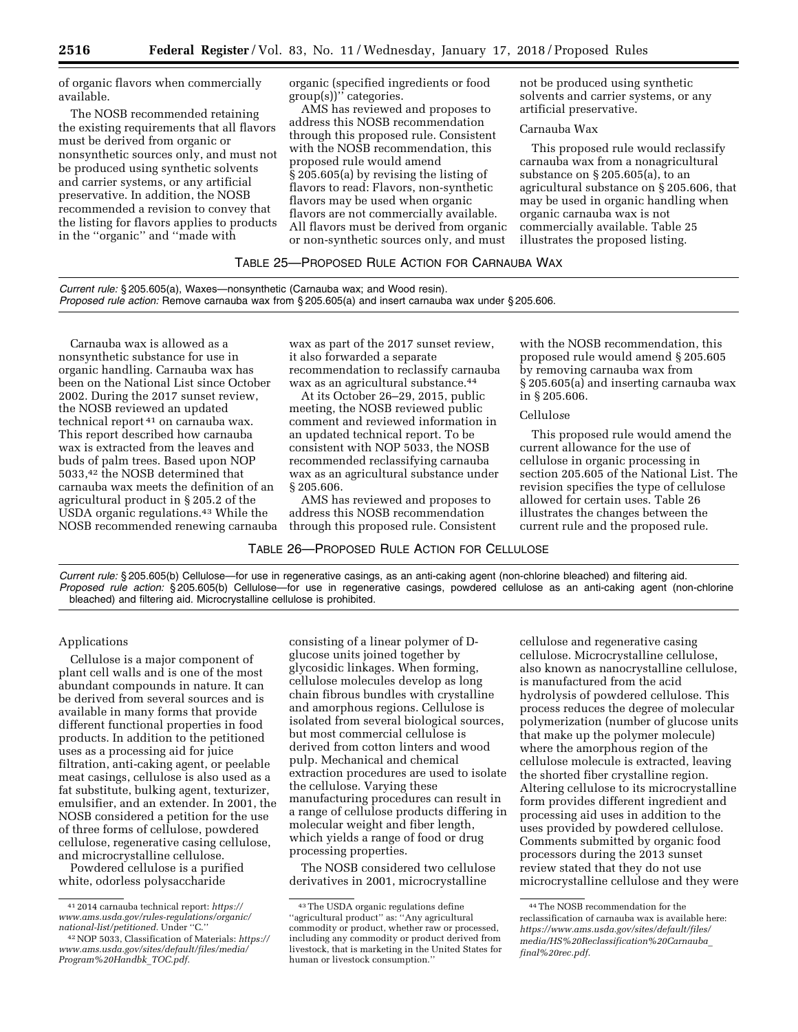of organic flavors when commercially available.

The NOSB recommended retaining the existing requirements that all flavors must be derived from organic or nonsynthetic sources only, and must not be produced using synthetic solvents and carrier systems, or any artificial preservative. In addition, the NOSB recommended a revision to convey that the listing for flavors applies to products in the ''organic'' and ''made with

organic (specified ingredients or food group(s))'' categories.

AMS has reviewed and proposes to address this NOSB recommendation through this proposed rule. Consistent with the NOSB recommendation, this proposed rule would amend § 205.605(a) by revising the listing of flavors to read: Flavors, non-synthetic flavors may be used when organic flavors are not commercially available. All flavors must be derived from organic or non-synthetic sources only, and must

not be produced using synthetic solvents and carrier systems, or any artificial preservative.

## Carnauba Wax

This proposed rule would reclassify carnauba wax from a nonagricultural substance on § 205.605(a), to an agricultural substance on § 205.606, that may be used in organic handling when organic carnauba wax is not commercially available. Table 25 illustrates the proposed listing.

# TABLE 25—PROPOSED RULE ACTION FOR CARNAUBA WAX

*Current rule:* § 205.605(a), Waxes—nonsynthetic (Carnauba wax; and Wood resin). *Proposed rule action:* Remove carnauba wax from § 205.605(a) and insert carnauba wax under § 205.606.

Carnauba wax is allowed as a nonsynthetic substance for use in organic handling. Carnauba wax has been on the National List since October 2002. During the 2017 sunset review, the NOSB reviewed an updated technical report 41 on carnauba wax. This report described how carnauba wax is extracted from the leaves and buds of palm trees. Based upon NOP 5033,42 the NOSB determined that carnauba wax meets the definition of an agricultural product in § 205.2 of the USDA organic regulations.43 While the NOSB recommended renewing carnauba wax as part of the 2017 sunset review, it also forwarded a separate recommendation to reclassify carnauba wax as an agricultural substance.44

At its October 26–29, 2015, public meeting, the NOSB reviewed public comment and reviewed information in an updated technical report. To be consistent with NOP 5033, the NOSB recommended reclassifying carnauba wax as an agricultural substance under § 205.606.

AMS has reviewed and proposes to address this NOSB recommendation through this proposed rule. Consistent

TABLE 26—PROPOSED RULE ACTION FOR CELLULOSE

with the NOSB recommendation, this proposed rule would amend § 205.605 by removing carnauba wax from § 205.605(a) and inserting carnauba wax in § 205.606.

### Cellulo*s*e

This proposed rule would amend the current allowance for the use of cellulose in organic processing in section 205.605 of the National List. The revision specifies the type of cellulose allowed for certain uses. Table 26 illustrates the changes between the current rule and the proposed rule.

*Current rule:* § 205.605(b) Cellulose—for use in regenerative casings, as an anti-caking agent (non-chlorine bleached) and filtering aid. *Proposed rule action:* § 205.605(b) Cellulose—for use in regenerative casings, powdered cellulose as an anti-caking agent (non-chlorine bleached) and filtering aid. Microcrystalline cellulose is prohibited.

# Applications

Cellulose is a major component of plant cell walls and is one of the most abundant compounds in nature. It can be derived from several sources and is available in many forms that provide different functional properties in food products. In addition to the petitioned uses as a processing aid for juice filtration, anti-caking agent, or peelable meat casings, cellulose is also used as a fat substitute, bulking agent, texturizer, emulsifier, and an extender. In 2001, the NOSB considered a petition for the use of three forms of cellulose, powdered cellulose, regenerative casing cellulose, and microcrystalline cellulose.

Powdered cellulose is a purified white, odorless polysaccharide

consisting of a linear polymer of Dglucose units joined together by glycosidic linkages. When forming, cellulose molecules develop as long chain fibrous bundles with crystalline and amorphous regions. Cellulose is isolated from several biological sources, but most commercial cellulose is derived from cotton linters and wood pulp. Mechanical and chemical extraction procedures are used to isolate the cellulose. Varying these manufacturing procedures can result in a range of cellulose products differing in molecular weight and fiber length, which yields a range of food or drug processing properties.

The NOSB considered two cellulose derivatives in 2001, microcrystalline

cellulose and regenerative casing cellulose. Microcrystalline cellulose, also known as nanocrystalline cellulose, is manufactured from the acid hydrolysis of powdered cellulose. This process reduces the degree of molecular polymerization (number of glucose units that make up the polymer molecule) where the amorphous region of the cellulose molecule is extracted, leaving the shorted fiber crystalline region. Altering cellulose to its microcrystalline form provides different ingredient and processing aid uses in addition to the uses provided by powdered cellulose. Comments submitted by organic food processors during the 2013 sunset review stated that they do not use microcrystalline cellulose and they were

<sup>41</sup> 2014 carnauba technical report: *[https://](https://www.ams.usda.gov/rules-regulations/organic/national-list/petitioned) [www.ams.usda.gov/rules-regulations/organic/](https://www.ams.usda.gov/rules-regulations/organic/national-list/petitioned)  [national-list/petitioned.](https://www.ams.usda.gov/rules-regulations/organic/national-list/petitioned)* Under ''C.''

<sup>42</sup>NOP 5033, Classification of Materials: *[https://](https://www.ams.usda.gov/sites/default/files/media/Program%20Handbk_TOC.pdf)  [www.ams.usda.gov/sites/default/files/media/](https://www.ams.usda.gov/sites/default/files/media/Program%20Handbk_TOC.pdf)  [Program%20Handbk](https://www.ams.usda.gov/sites/default/files/media/Program%20Handbk_TOC.pdf)*\_*TOC.pdf.* 

<sup>43</sup>The USDA organic regulations define ''agricultural product'' as: ''Any agricultural commodity or product, whether raw or processed, including any commodity or product derived from livestock, that is marketing in the United States for human or livestock consumption.''

<sup>44</sup>The NOSB recommendation for the reclassification of carnauba wax is available here: *[https://www.ams.usda.gov/sites/default/files/](https://www.ams.usda.gov/sites/default/files/media/HS%20Reclassification%20Carnauba_final%20rec.pdf)  [media/HS%20Reclassification%20Carnauba](https://www.ams.usda.gov/sites/default/files/media/HS%20Reclassification%20Carnauba_final%20rec.pdf)*\_ *[final%20rec.pdf.](https://www.ams.usda.gov/sites/default/files/media/HS%20Reclassification%20Carnauba_final%20rec.pdf)*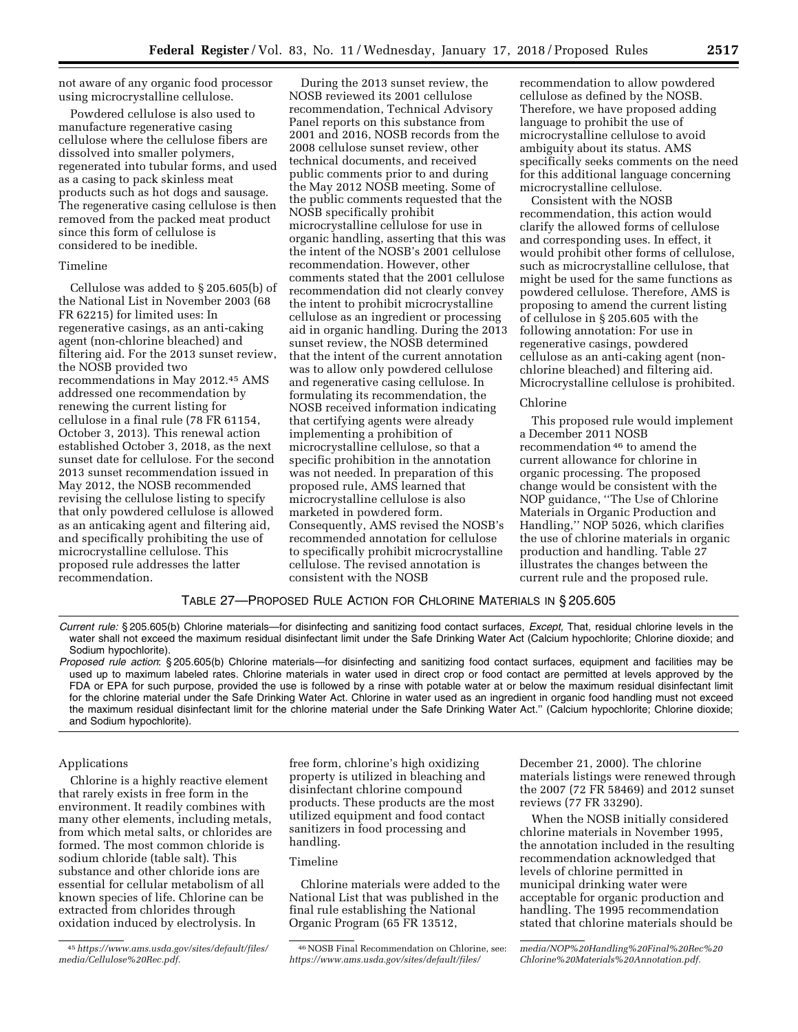not aware of any organic food processor using microcrystalline cellulose.

Powdered cellulose is also used to manufacture regenerative casing cellulose where the cellulose fibers are dissolved into smaller polymers, regenerated into tubular forms, and used as a casing to pack skinless meat products such as hot dogs and sausage. The regenerative casing cellulose is then removed from the packed meat product since this form of cellulose is considered to be inedible.

## Timeline

Cellulose was added to § 205.605(b) of the National List in November 2003 (68 FR 62215) for limited uses: In regenerative casings, as an anti-caking agent (non-chlorine bleached) and filtering aid. For the 2013 sunset review, the NOSB provided two recommendations in May 2012.45 AMS addressed one recommendation by renewing the current listing for cellulose in a final rule (78 FR 61154, October 3, 2013). This renewal action established October 3, 2018, as the next sunset date for cellulose. For the second 2013 sunset recommendation issued in May 2012, the NOSB recommended revising the cellulose listing to specify that only powdered cellulose is allowed as an anticaking agent and filtering aid, and specifically prohibiting the use of microcrystalline cellulose. This proposed rule addresses the latter recommendation.

During the 2013 sunset review, the NOSB reviewed its 2001 cellulose recommendation, Technical Advisory Panel reports on this substance from 2001 and 2016, NOSB records from the 2008 cellulose sunset review, other technical documents, and received public comments prior to and during the May 2012 NOSB meeting. Some of the public comments requested that the NOSB specifically prohibit microcrystalline cellulose for use in organic handling, asserting that this was the intent of the NOSB's 2001 cellulose recommendation. However, other comments stated that the 2001 cellulose recommendation did not clearly convey the intent to prohibit microcrystalline cellulose as an ingredient or processing aid in organic handling. During the 2013 sunset review, the NOSB determined that the intent of the current annotation was to allow only powdered cellulose and regenerative casing cellulose. In formulating its recommendation, the NOSB received information indicating that certifying agents were already implementing a prohibition of microcrystalline cellulose, so that a specific prohibition in the annotation was not needed. In preparation of this proposed rule, AMS learned that microcrystalline cellulose is also marketed in powdered form. Consequently, AMS revised the NOSB's recommended annotation for cellulose to specifically prohibit microcrystalline cellulose. The revised annotation is consistent with the NOSB

recommendation to allow powdered cellulose as defined by the NOSB. Therefore, we have proposed adding language to prohibit the use of microcrystalline cellulose to avoid ambiguity about its status. AMS specifically seeks comments on the need for this additional language concerning microcrystalline cellulose.

Consistent with the NOSB recommendation, this action would clarify the allowed forms of cellulose and corresponding uses. In effect, it would prohibit other forms of cellulose, such as microcrystalline cellulose, that might be used for the same functions as powdered cellulose. Therefore, AMS is proposing to amend the current listing of cellulose in § 205.605 with the following annotation: For use in regenerative casings, powdered cellulose as an anti-caking agent (nonchlorine bleached) and filtering aid. Microcrystalline cellulose is prohibited.

### Chlorine

This proposed rule would implement a December 2011 NOSB recommendation 46 to amend the current allowance for chlorine in organic processing. The proposed change would be consistent with the NOP guidance, ''The Use of Chlorine Materials in Organic Production and Handling,'' NOP 5026, which clarifies the use of chlorine materials in organic production and handling. Table 27 illustrates the changes between the current rule and the proposed rule.

TABLE 27—PROPOSED RULE ACTION FOR CHLORINE MATERIALS IN § 205.605

*Current rule:* § 205.605(b) Chlorine materials—for disinfecting and sanitizing food contact surfaces, *Except,* That, residual chlorine levels in the water shall not exceed the maximum residual disinfectant limit under the Safe Drinking Water Act (Calcium hypochlorite; Chlorine dioxide; and Sodium hypochlorite).

*Proposed rule action*: § 205.605(b) Chlorine materials—for disinfecting and sanitizing food contact surfaces, equipment and facilities may be used up to maximum labeled rates. Chlorine materials in water used in direct crop or food contact are permitted at levels approved by the FDA or EPA for such purpose, provided the use is followed by a rinse with potable water at or below the maximum residual disinfectant limit for the chlorine material under the Safe Drinking Water Act. Chlorine in water used as an ingredient in organic food handling must not exceed the maximum residual disinfectant limit for the chlorine material under the Safe Drinking Water Act.'' (Calcium hypochlorite; Chlorine dioxide; and Sodium hypochlorite).

# Applications

Chlorine is a highly reactive element that rarely exists in free form in the environment. It readily combines with many other elements, including metals, from which metal salts, or chlorides are formed. The most common chloride is sodium chloride (table salt). This substance and other chloride ions are essential for cellular metabolism of all known species of life. Chlorine can be extracted from chlorides through oxidation induced by electrolysis. In

free form, chlorine's high oxidizing property is utilized in bleaching and disinfectant chlorine compound products. These products are the most utilized equipment and food contact sanitizers in food processing and handling.

## Timeline

Chlorine materials were added to the National List that was published in the final rule establishing the National Organic Program (65 FR 13512,

December 21, 2000). The chlorine materials listings were renewed through the 2007 (72 FR 58469) and 2012 sunset reviews (77 FR 33290).

When the NOSB initially considered chlorine materials in November 1995, the annotation included in the resulting recommendation acknowledged that levels of chlorine permitted in municipal drinking water were acceptable for organic production and handling. The 1995 recommendation stated that chlorine materials should be

<sup>45</sup>*[https://www.ams.usda.gov/sites/default/files/](https://www.ams.usda.gov/sites/default/files/media/Cellulose%20Rec.pdf)  [media/Cellulose%20Rec.pdf.](https://www.ams.usda.gov/sites/default/files/media/Cellulose%20Rec.pdf)* 

<sup>46</sup>NOSB Final Recommendation on Chlorine, see: *[https://www.ams.usda.gov/sites/default/files/](https://www.ams.usda.gov/sites/default/files/media/NOP%20Handling%20Final%20Rec%20Chlorine%20Materials%20Annotation.pdf)* 

*[media/NOP%20Handling%20Final%20Rec%20](https://www.ams.usda.gov/sites/default/files/media/NOP%20Handling%20Final%20Rec%20Chlorine%20Materials%20Annotation.pdf) [Chlorine%20Materials%20Annotation.pdf.](https://www.ams.usda.gov/sites/default/files/media/NOP%20Handling%20Final%20Rec%20Chlorine%20Materials%20Annotation.pdf)*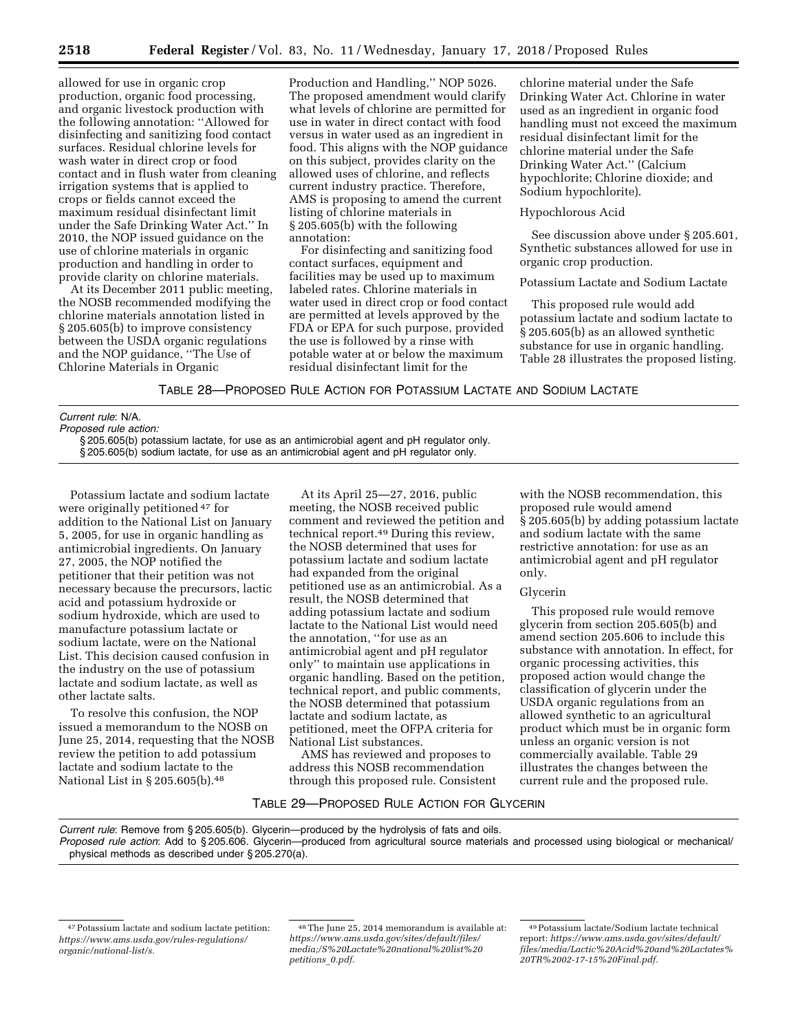allowed for use in organic crop production, organic food processing, and organic livestock production with the following annotation: ''Allowed for disinfecting and sanitizing food contact surfaces. Residual chlorine levels for wash water in direct crop or food contact and in flush water from cleaning irrigation systems that is applied to crops or fields cannot exceed the maximum residual disinfectant limit under the Safe Drinking Water Act.'' In 2010, the NOP issued guidance on the use of chlorine materials in organic production and handling in order to provide clarity on chlorine materials.

At its December 2011 public meeting, the NOSB recommended modifying the chlorine materials annotation listed in § 205.605(b) to improve consistency between the USDA organic regulations and the NOP guidance, ''The Use of Chlorine Materials in Organic

Production and Handling,'' NOP 5026. The proposed amendment would clarify what levels of chlorine are permitted for use in water in direct contact with food versus in water used as an ingredient in food. This aligns with the NOP guidance on this subject, provides clarity on the allowed uses of chlorine, and reflects current industry practice. Therefore, AMS is proposing to amend the current listing of chlorine materials in § 205.605(b) with the following annotation:

For disinfecting and sanitizing food contact surfaces, equipment and facilities may be used up to maximum labeled rates. Chlorine materials in water used in direct crop or food contact are permitted at levels approved by the FDA or EPA for such purpose, provided the use is followed by a rinse with potable water at or below the maximum residual disinfectant limit for the

chlorine material under the Safe Drinking Water Act. Chlorine in water used as an ingredient in organic food handling must not exceed the maximum residual disinfectant limit for the chlorine material under the Safe Drinking Water Act.'' (Calcium hypochlorite; Chlorine dioxide; and Sodium hypochlorite).

## Hypochlorous Acid

See discussion above under § 205.601, Synthetic substances allowed for use in organic crop production.

### Potassium Lactate and Sodium Lactate

This proposed rule would add potassium lactate and sodium lactate to § 205.605(b) as an allowed synthetic substance for use in organic handling. Table 28 illustrates the proposed listing.

TABLE 28—PROPOSED RULE ACTION FOR POTASSIUM LACTATE AND SODIUM LACTATE

## *Current rule*: N/A.

*Proposed rule action:*  § 205.605(b) potassium lactate, for use as an antimicrobial agent and pH regulator only. § 205.605(b) sodium lactate, for use as an antimicrobial agent and pH regulator only.

Potassium lactate and sodium lactate were originally petitioned 47 for addition to the National List on January 5, 2005, for use in organic handling as antimicrobial ingredients. On January 27, 2005, the NOP notified the petitioner that their petition was not necessary because the precursors, lactic acid and potassium hydroxide or sodium hydroxide, which are used to manufacture potassium lactate or sodium lactate, were on the National List. This decision caused confusion in the industry on the use of potassium lactate and sodium lactate, as well as other lactate salts.

To resolve this confusion, the NOP issued a memorandum to the NOSB on June 25, 2014, requesting that the NOSB review the petition to add potassium lactate and sodium lactate to the National List in § 205.605(b).<sup>48</sup>

At its April 25—27, 2016, public meeting, the NOSB received public comment and reviewed the petition and technical report.49 During this review, the NOSB determined that uses for potassium lactate and sodium lactate had expanded from the original petitioned use as an antimicrobial. As a result, the NOSB determined that adding potassium lactate and sodium lactate to the National List would need the annotation, ''for use as an antimicrobial agent and pH regulator only'' to maintain use applications in organic handling. Based on the petition, technical report, and public comments, the NOSB determined that potassium lactate and sodium lactate, as petitioned, meet the OFPA criteria for National List substances.

AMS has reviewed and proposes to address this NOSB recommendation through this proposed rule. Consistent

with the NOSB recommendation, this proposed rule would amend § 205.605(b) by adding potassium lactate and sodium lactate with the same restrictive annotation: for use as an antimicrobial agent and pH regulator only.

### Glycerin

This proposed rule would remove glycerin from section 205.605(b) and amend section 205.606 to include this substance with annotation. In effect, for organic processing activities, this proposed action would change the classification of glycerin under the USDA organic regulations from an allowed synthetic to an agricultural product which must be in organic form unless an organic version is not commercially available. Table 29 illustrates the changes between the current rule and the proposed rule.

# TABLE 29—PROPOSED RULE ACTION FOR GLYCERIN

*Current rule*: Remove from § 205.605(b). Glycerin—produced by the hydrolysis of fats and oils.

*Proposed rule action*: Add to § 205.606. Glycerin—produced from agricultural source materials and processed using biological or mechanical/ physical methods as described under § 205.270(a).

<sup>47</sup>Potassium lactate and sodium lactate petition: *[https://www.ams.usda.gov/rules-regulations/](https://www.ams.usda.gov/rules-regulations/organic/national-list/s)  [organic/national-list/s.](https://www.ams.usda.gov/rules-regulations/organic/national-list/s)* 

<sup>48</sup>The June 25, 2014 memorandum is available at: *[https://www.ams.usda.gov/sites/default/files/](https://www.ams.usda.gov/sites/default/files/media)  [media;/S](https://www.ams.usda.gov/sites/default/files/media)%20Lactate%20national%20list%20 petitions*\_*0.pdf.* 

<sup>49</sup>Potassium lactate/Sodium lactate technical report: *[https://www.ams.usda.gov/sites/default/](https://www.ams.usda.gov/sites/default/files/media/Lactic%20Acid%20and%20Lactates%20TR%2002-17-15%20Final.pdf)  [files/media/Lactic%20Acid%20and%20Lactates%](https://www.ams.usda.gov/sites/default/files/media/Lactic%20Acid%20and%20Lactates%20TR%2002-17-15%20Final.pdf) [20TR%2002-17-15%20Final.pdf.](https://www.ams.usda.gov/sites/default/files/media/Lactic%20Acid%20and%20Lactates%20TR%2002-17-15%20Final.pdf)*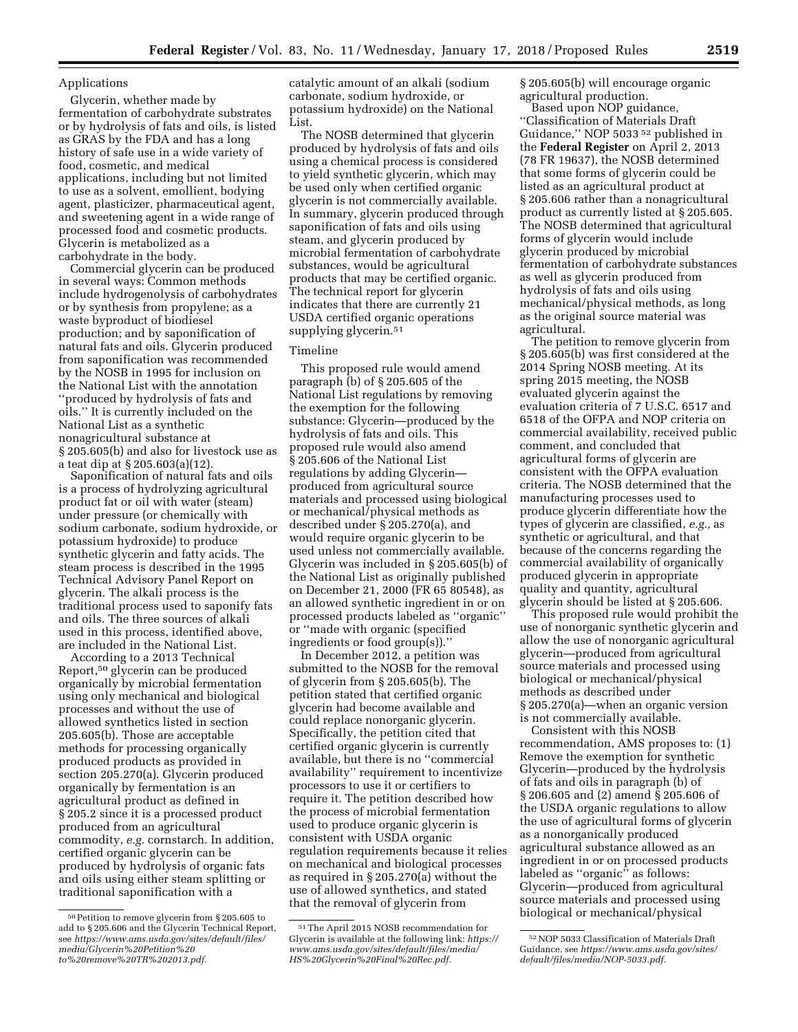### Applications

Glycerin, whether made by fermentation of carbohydrate substrates or by hydrolysis of fats and oils, is listed as GRAS by the FDA and has a long history of safe use in a wide variety of food, cosmetic, and medical applications, including but not limited to use as a solvent, emollient, bodying agent, plasticizer, pharmaceutical agent, and sweetening agent in a wide range of processed food and cosmetic products. Glycerin is metabolized as a carbohydrate in the body.

Commercial glycerin can be produced in several ways: Common methods include hydrogenolysis of carbohydrates or by synthesis from propylene; as a waste byproduct of biodiesel production; and by saponification of natural fats and oils. Glycerin produced from saponification was recommended by the NOSB in 1995 for inclusion on the National List with the annotation ''produced by hydrolysis of fats and oils.'' It is currently included on the National List as a synthetic nonagricultural substance at § 205.605(b) and also for livestock use as a teat dip at § 205.603(a)(12).

Saponification of natural fats and oils is a process of hydrolyzing agricultural product fat or oil with water (steam) under pressure (or chemically with sodium carbonate, sodium hydroxide, or potassium hydroxide) to produce synthetic glycerin and fatty acids. The steam process is described in the 1995 Technical Advisory Panel Report on glycerin. The alkali process is the traditional process used to saponify fats and oils. The three sources of alkali used in this process, identified above, are included in the National List.

According to a 2013 Technical Report,50 glycerin can be produced organically by microbial fermentation using only mechanical and biological processes and without the use of allowed synthetics listed in section 205.605(b). Those are acceptable methods for processing organically produced products as provided in section 205.270(a). Glycerin produced organically by fermentation is an agricultural product as defined in § 205.2 since it is a processed product produced from an agricultural commodity, *e.g.* cornstarch. In addition, certified organic glycerin can be produced by hydrolysis of organic fats and oils using either steam splitting or traditional saponification with a

catalytic amount of an alkali (sodium carbonate, sodium hydroxide, or potassium hydroxide) on the National List.

The NOSB determined that glycerin produced by hydrolysis of fats and oils using a chemical process is considered to yield synthetic glycerin, which may be used only when certified organic glycerin is not commercially available. In summary, glycerin produced through saponification of fats and oils using steam, and glycerin produced by microbial fermentation of carbohydrate substances, would be agricultural products that may be certified organic. The technical report for glycerin indicates that there are currently 21 USDA certified organic operations supplying glycerin.51

### Timeline

This proposed rule would amend paragraph (b) of § 205.605 of the National List regulations by removing the exemption for the following substance: Glycerin—produced by the hydrolysis of fats and oils. This proposed rule would also amend § 205.606 of the National List regulations by adding Glycerin produced from agricultural source materials and processed using biological or mechanical/physical methods as described under § 205.270(a), and would require organic glycerin to be used unless not commercially available. Glycerin was included in § 205.605(b) of the National List as originally published on December 21, 2000 (FR 65 80548), as an allowed synthetic ingredient in or on processed products labeled as ''organic'' or ''made with organic (specified ingredients or food group(s)).''

In December 2012, a petition was submitted to the NOSB for the removal of glycerin from § 205.605(b). The petition stated that certified organic glycerin had become available and could replace nonorganic glycerin. Specifically, the petition cited that certified organic glycerin is currently available, but there is no ''commercial availability'' requirement to incentivize processors to use it or certifiers to require it. The petition described how the process of microbial fermentation used to produce organic glycerin is consistent with USDA organic regulation requirements because it relies on mechanical and biological processes as required in § 205.270(a) without the use of allowed synthetics, and stated that the removal of glycerin from

§ 205.605(b) will encourage organic agricultural production.

Based upon NOP guidance, ''Classification of Materials Draft Guidance,'' NOP 5033 52 published in the **Federal Register** on April 2, 2013 (78 FR 19637), the NOSB determined that some forms of glycerin could be listed as an agricultural product at § 205.606 rather than a nonagricultural product as currently listed at § 205.605. The NOSB determined that agricultural forms of glycerin would include glycerin produced by microbial fermentation of carbohydrate substances as well as glycerin produced from hydrolysis of fats and oils using mechanical/physical methods, as long as the original source material was agricultural.

The petition to remove glycerin from § 205.605(b) was first considered at the 2014 Spring NOSB meeting. At its spring 2015 meeting, the NOSB evaluated glycerin against the evaluation criteria of 7 U.S.C. 6517 and 6518 of the OFPA and NOP criteria on commercial availability, received public comment, and concluded that agricultural forms of glycerin are consistent with the OFPA evaluation criteria. The NOSB determined that the manufacturing processes used to produce glycerin differentiate how the types of glycerin are classified, *e.g.,* as synthetic or agricultural, and that because of the concerns regarding the commercial availability of organically produced glycerin in appropriate quality and quantity, agricultural glycerin should be listed at § 205.606.

This proposed rule would prohibit the use of nonorganic synthetic glycerin and allow the use of nonorganic agricultural glycerin—produced from agricultural source materials and processed using biological or mechanical/physical methods as described under § 205.270(a)—when an organic version is not commercially available.

Consistent with this NOSB recommendation, AMS proposes to: (1) Remove the exemption for synthetic Glycerin—produced by the hydrolysis of fats and oils in paragraph (b) of § 206.605 and (2) amend § 205.606 of the USDA organic regulations to allow the use of agricultural forms of glycerin as a nonorganically produced agricultural substance allowed as an ingredient in or on processed products labeled as ''organic'' as follows: Glycerin—produced from agricultural source materials and processed using biological or mechanical/physical

 $^{50}\rm{Petition}$  to remove glycerin from § 205.605 to add to § 205.606 and the Glycerin Technical Report, see *[https://www.ams.usda.gov/sites/default/files/](https://www.ams.usda.gov/sites/default/files/media/Glycerin%20Petition%20to%20remove%20TR%202013.pdf)  [media/Glycerin%20Petition%20](https://www.ams.usda.gov/sites/default/files/media/Glycerin%20Petition%20to%20remove%20TR%202013.pdf) [to%20remove%20TR%202013.pdf.](https://www.ams.usda.gov/sites/default/files/media/Glycerin%20Petition%20to%20remove%20TR%202013.pdf)* 

<sup>51</sup>The April 2015 NOSB recommendation for Glycerin is available at the following link: *[https://](https://www.ams.usda.gov/sites/default/files/media/HS%20Glycerin%20Final%20Rec.pdf) [www.ams.usda.gov/sites/default/files/media/](https://www.ams.usda.gov/sites/default/files/media/HS%20Glycerin%20Final%20Rec.pdf)  [HS%20Glycerin%20Final%20Rec.pdf.](https://www.ams.usda.gov/sites/default/files/media/HS%20Glycerin%20Final%20Rec.pdf)* 

<sup>52</sup>NOP 5033 Classification of Materials Draft Guidance, see *[https://www.ams.usda.gov/sites/](https://www.ams.usda.gov/sites/default/files/media/NOP-5033.pdf)  [default/files/media/NOP-5033.pdf.](https://www.ams.usda.gov/sites/default/files/media/NOP-5033.pdf)*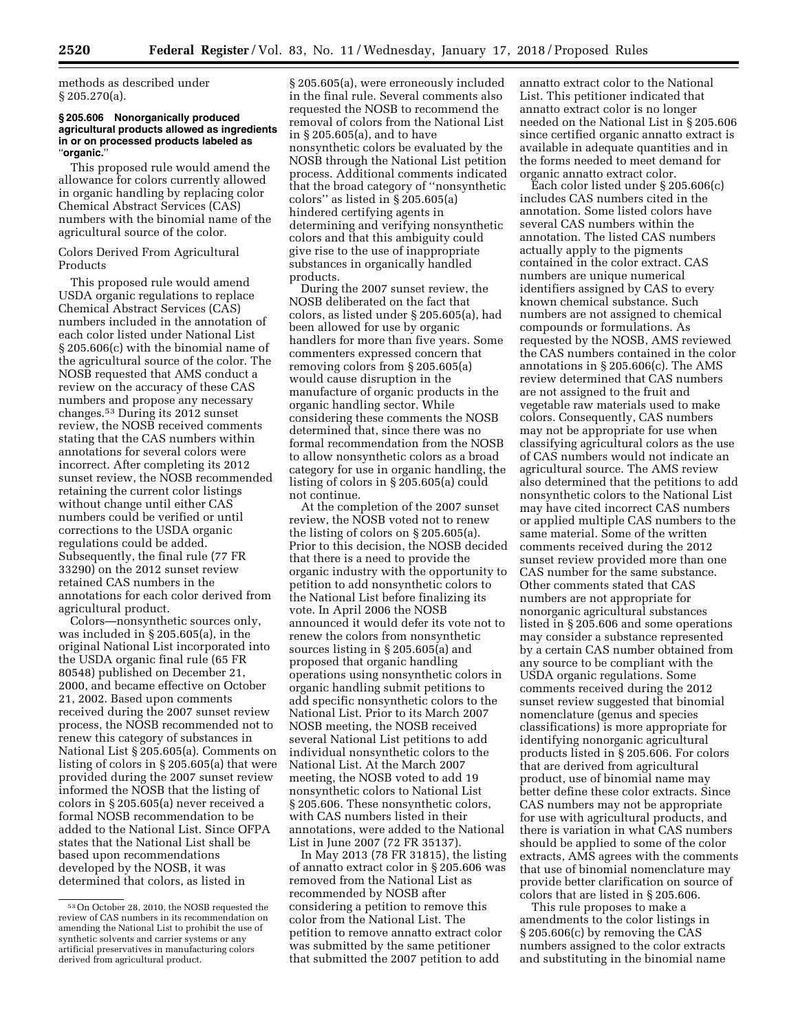methods as described under § 205.270(a).

### **§ 205.606 Nonorganically produced agricultural products allowed as ingredients in or on processed products labeled as**  ''**organic.**''

This proposed rule would amend the allowance for colors currently allowed in organic handling by replacing color Chemical Abstract Services (CAS) numbers with the binomial name of the agricultural source of the color.

## Colors Derived From Agricultural Products

This proposed rule would amend USDA organic regulations to replace Chemical Abstract Services (CAS) numbers included in the annotation of each color listed under National List § 205.606(c) with the binomial name of the agricultural source of the color. The NOSB requested that AMS conduct a review on the accuracy of these CAS numbers and propose any necessary changes.53 During its 2012 sunset review, the NOSB received comments stating that the CAS numbers within annotations for several colors were incorrect. After completing its 2012 sunset review, the NOSB recommended retaining the current color listings without change until either CAS numbers could be verified or until corrections to the USDA organic regulations could be added. Subsequently, the final rule (77 FR 33290) on the 2012 sunset review retained CAS numbers in the annotations for each color derived from agricultural product.

Colors—nonsynthetic sources only, was included in § 205.605(a), in the original National List incorporated into the USDA organic final rule (65 FR 80548) published on December 21, 2000, and became effective on October 21, 2002. Based upon comments received during the 2007 sunset review process, the NOSB recommended not to renew this category of substances in National List § 205.605(a). Comments on listing of colors in § 205.605(a) that were provided during the 2007 sunset review informed the NOSB that the listing of colors in § 205.605(a) never received a formal NOSB recommendation to be added to the National List. Since OFPA states that the National List shall be based upon recommendations developed by the NOSB, it was determined that colors, as listed in

§ 205.605(a), were erroneously included in the final rule. Several comments also requested the NOSB to recommend the removal of colors from the National List in § 205.605(a), and to have nonsynthetic colors be evaluated by the NOSB through the National List petition process. Additional comments indicated that the broad category of ''nonsynthetic colors'' as listed in § 205.605(a) hindered certifying agents in determining and verifying nonsynthetic colors and that this ambiguity could give rise to the use of inappropriate substances in organically handled products.

During the 2007 sunset review, the NOSB deliberated on the fact that colors, as listed under § 205.605(a), had been allowed for use by organic handlers for more than five years. Some commenters expressed concern that removing colors from § 205.605(a) would cause disruption in the manufacture of organic products in the organic handling sector. While considering these comments the NOSB determined that, since there was no formal recommendation from the NOSB to allow nonsynthetic colors as a broad category for use in organic handling, the listing of colors in § 205.605(a) could not continue.

At the completion of the 2007 sunset review, the NOSB voted not to renew the listing of colors on § 205.605(a). Prior to this decision, the NOSB decided that there is a need to provide the organic industry with the opportunity to petition to add nonsynthetic colors to the National List before finalizing its vote. In April 2006 the NOSB announced it would defer its vote not to renew the colors from nonsynthetic sources listing in § 205.605(a) and proposed that organic handling operations using nonsynthetic colors in organic handling submit petitions to add specific nonsynthetic colors to the National List. Prior to its March 2007 NOSB meeting, the NOSB received several National List petitions to add individual nonsynthetic colors to the National List. At the March 2007 meeting, the NOSB voted to add 19 nonsynthetic colors to National List § 205.606. These nonsynthetic colors, with CAS numbers listed in their annotations, were added to the National List in June 2007 (72 FR 35137).

In May 2013 (78 FR 31815), the listing of annatto extract color in § 205.606 was removed from the National List as recommended by NOSB after considering a petition to remove this color from the National List. The petition to remove annatto extract color was submitted by the same petitioner that submitted the 2007 petition to add

annatto extract color to the National List. This petitioner indicated that annatto extract color is no longer needed on the National List in § 205.606 since certified organic annatto extract is available in adequate quantities and in the forms needed to meet demand for organic annatto extract color.

Each color listed under § 205.606(c) includes CAS numbers cited in the annotation. Some listed colors have several CAS numbers within the annotation. The listed CAS numbers actually apply to the pigments contained in the color extract. CAS numbers are unique numerical identifiers assigned by CAS to every known chemical substance. Such numbers are not assigned to chemical compounds or formulations. As requested by the NOSB, AMS reviewed the CAS numbers contained in the color annotations in § 205.606(c). The AMS review determined that CAS numbers are not assigned to the fruit and vegetable raw materials used to make colors. Consequently, CAS numbers may not be appropriate for use when classifying agricultural colors as the use of CAS numbers would not indicate an agricultural source. The AMS review also determined that the petitions to add nonsynthetic colors to the National List may have cited incorrect CAS numbers or applied multiple CAS numbers to the same material. Some of the written comments received during the 2012 sunset review provided more than one CAS number for the same substance. Other comments stated that CAS numbers are not appropriate for nonorganic agricultural substances listed in § 205.606 and some operations may consider a substance represented by a certain CAS number obtained from any source to be compliant with the USDA organic regulations. Some comments received during the 2012 sunset review suggested that binomial nomenclature (genus and species classifications) is more appropriate for identifying nonorganic agricultural products listed in § 205.606. For colors that are derived from agricultural product, use of binomial name may better define these color extracts. Since CAS numbers may not be appropriate for use with agricultural products, and there is variation in what CAS numbers should be applied to some of the color extracts, AMS agrees with the comments that use of binomial nomenclature may provide better clarification on source of colors that are listed in § 205.606.

This rule proposes to make a amendments to the color listings in § 205.606(c) by removing the CAS numbers assigned to the color extracts and substituting in the binomial name

<sup>53</sup>On October 28, 2010, the NOSB requested the review of CAS numbers in its recommendation on amending the National List to prohibit the use of synthetic solvents and carrier systems or any artificial preservatives in manufacturing colors derived from agricultural product.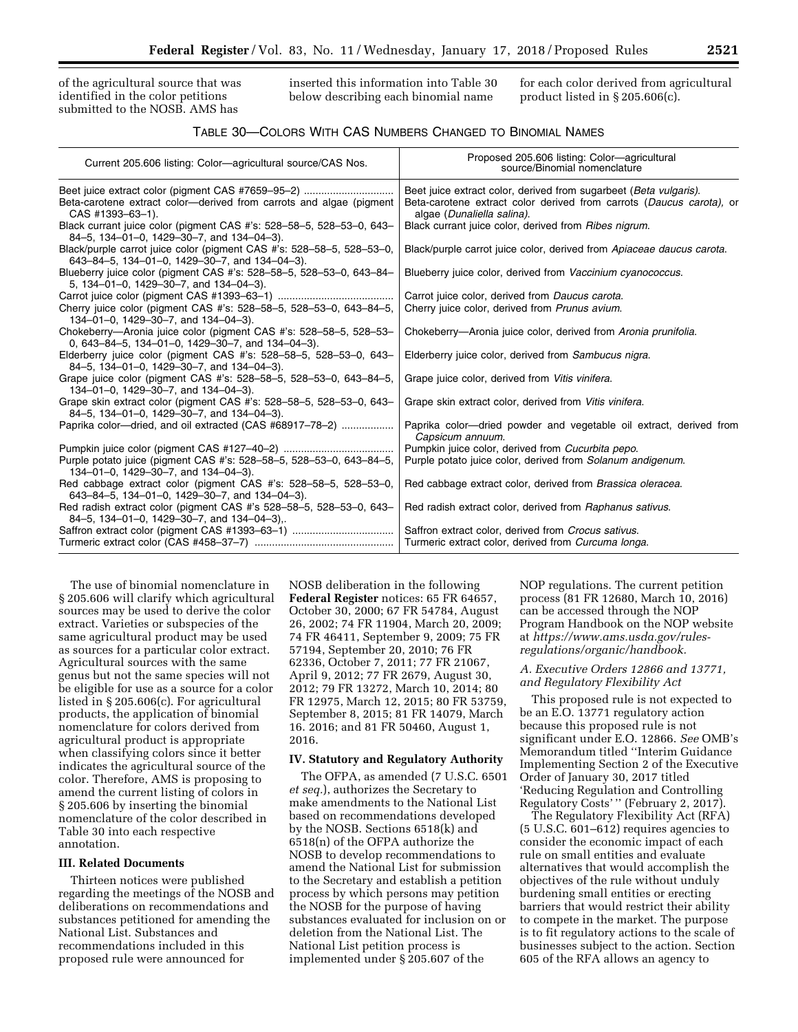of the agricultural source that was identified in the color petitions submitted to the NOSB. AMS has

inserted this information into Table 30 below describing each binomial name

for each color derived from agricultural product listed in § 205.606(c).

# TABLE 30—COLORS WITH CAS NUMBERS CHANGED TO BINOMIAL NAMES

| Current 205.606 listing: Color—agricultural source/CAS Nos.                                                                       | Proposed 205.606 listing: Color-agricultural<br>source/Binomial nomenclature                                                              |
|-----------------------------------------------------------------------------------------------------------------------------------|-------------------------------------------------------------------------------------------------------------------------------------------|
| Beet juice extract color (pigment CAS #7659-95-2)                                                                                 | Beet juice extract color, derived from sugarbeet (Beta vulgaris).<br>Beta-carotene extract color derived from carrots (Daucus carota), or |
| Beta-carotene extract color—derived from carrots and algae (pigment<br>CAS #1393-63-1).                                           | algae (Dunaliella salina).                                                                                                                |
| Black currant juice color (pigment CAS #'s: 528-58-5, 528-53-0, 643-<br>84-5, 134-01-0, 1429-30-7, and 134-04-3).                 | Black currant juice color, derived from Ribes nigrum.                                                                                     |
| Black/purple carrot juice color (pigment CAS #'s: 528–58–5, 528–53–0,<br>643-84-5, 134-01-0, 1429-30-7, and 134-04-3).            | Black/purple carrot juice color, derived from Apiaceae daucus carota.                                                                     |
| Blueberry juice color (pigment CAS #'s: 528-58-5, 528-53-0, 643-84-<br>5, 134-01-0, 1429-30-7, and 134-04-3).                     | Blueberry juice color, derived from Vaccinium cyanococcus.                                                                                |
|                                                                                                                                   | Carrot juice color, derived from Daucus carota.                                                                                           |
| Cherry juice color (pigment CAS #'s: 528-58-5, 528-53-0, 643-84-5,<br>134-01-0, 1429-30-7, and 134-04-3).                         | Cherry juice color, derived from Prunus avium.                                                                                            |
| Chokeberry—Aronia juice color (pigment CAS #'s: 528-58-5, 528-53-<br>0, $643-84-5$ , $134-01-0$ , $1429-30-7$ , and $134-04-3$ ). | Chokeberry-Aronia juice color, derived from Aronia prunifolia.                                                                            |
| Elderberry juice color (pigment CAS #'s: 528-58-5, 528-53-0, 643-<br>84-5, 134-01-0, 1429-30-7, and 134-04-3).                    | Elderberry juice color, derived from Sambucus nigra.                                                                                      |
| Grape juice color (pigment CAS #'s: 528-58-5, 528-53-0, 643-84-5,<br>134-01-0, 1429-30-7, and 134-04-3).                          | Grape juice color, derived from Vitis vinifera.                                                                                           |
| Grape skin extract color (pigment CAS #'s: 528-58-5, 528-53-0, 643-<br>84-5, 134-01-0, 1429-30-7, and 134-04-3).                  | Grape skin extract color, derived from Vitis vinifera.                                                                                    |
| Paprika color—dried, and oil extracted (CAS #68917-78-2)                                                                          | Paprika color—dried powder and vegetable oil extract, derived from<br>Capsicum annuum.                                                    |
|                                                                                                                                   | Pumpkin juice color, derived from Cucurbita pepo.                                                                                         |
| Purple potato juice (pigment CAS #'s: 528-58-5, 528-53-0, 643-84-5,<br>134-01-0, 1429-30-7, and 134-04-3).                        | Purple potato juice color, derived from Solanum andigenum.                                                                                |
| Red cabbage extract color (pigment CAS #'s: 528–58–5, 528–53–0,<br>643-84-5, 134-01-0, 1429-30-7, and 134-04-3).                  | Red cabbage extract color, derived from Brassica oleracea.                                                                                |
| Red radish extract color (pigment CAS #'s 528-58-5, 528-53-0, 643-<br>$84-5$ , 134-01-0, 1429-30-7, and 134-04-3),.               | Red radish extract color, derived from Raphanus sativus.                                                                                  |
| Saffron extract color (pigment CAS #1393-63-1)                                                                                    | Saffron extract color, derived from Crocus sativus.                                                                                       |
|                                                                                                                                   | Turmeric extract color, derived from Curcuma longa.                                                                                       |

The use of binomial nomenclature in § 205.606 will clarify which agricultural sources may be used to derive the color extract. Varieties or subspecies of the same agricultural product may be used as sources for a particular color extract. Agricultural sources with the same genus but not the same species will not be eligible for use as a source for a color listed in § 205.606(c). For agricultural products, the application of binomial nomenclature for colors derived from agricultural product is appropriate when classifying colors since it better indicates the agricultural source of the color. Therefore, AMS is proposing to amend the current listing of colors in § 205.606 by inserting the binomial nomenclature of the color described in Table 30 into each respective annotation.

## **III. Related Documents**

Thirteen notices were published regarding the meetings of the NOSB and deliberations on recommendations and substances petitioned for amending the National List. Substances and recommendations included in this proposed rule were announced for

NOSB deliberation in the following **Federal Register** notices: 65 FR 64657, October 30, 2000; 67 FR 54784, August 26, 2002; 74 FR 11904, March 20, 2009; 74 FR 46411, September 9, 2009; 75 FR 57194, September 20, 2010; 76 FR 62336, October 7, 2011; 77 FR 21067, April 9, 2012; 77 FR 2679, August 30, 2012; 79 FR 13272, March 10, 2014; 80 FR 12975, March 12, 2015; 80 FR 53759, September 8, 2015; 81 FR 14079, March 16. 2016; and 81 FR 50460, August 1, 2016.

## **IV. Statutory and Regulatory Authority**

The OFPA, as amended (7 U.S.C. 6501 *et seq.*), authorizes the Secretary to make amendments to the National List based on recommendations developed by the NOSB. Sections 6518(k) and 6518(n) of the OFPA authorize the NOSB to develop recommendations to amend the National List for submission to the Secretary and establish a petition process by which persons may petition the NOSB for the purpose of having substances evaluated for inclusion on or deletion from the National List. The National List petition process is implemented under § 205.607 of the

NOP regulations. The current petition process (81 FR 12680, March 10, 2016) can be accessed through the NOP Program Handbook on the NOP website at *[https://www.ams.usda.gov/rules](https://www.ams.usda.gov/rules-regulations/organic/handbook)[regulations/organic/handbook.](https://www.ams.usda.gov/rules-regulations/organic/handbook)* 

### *A. Executive Orders 12866 and 13771, and Regulatory Flexibility Act*

This proposed rule is not expected to be an E.O. 13771 regulatory action because this proposed rule is not significant under E.O. 12866. *See* OMB's Memorandum titled ''Interim Guidance Implementing Section 2 of the Executive Order of January 30, 2017 titled 'Reducing Regulation and Controlling Regulatory Costs' '' (February 2, 2017).

The Regulatory Flexibility Act (RFA) (5 U.S.C. 601–612) requires agencies to consider the economic impact of each rule on small entities and evaluate alternatives that would accomplish the objectives of the rule without unduly burdening small entities or erecting barriers that would restrict their ability to compete in the market. The purpose is to fit regulatory actions to the scale of businesses subject to the action. Section 605 of the RFA allows an agency to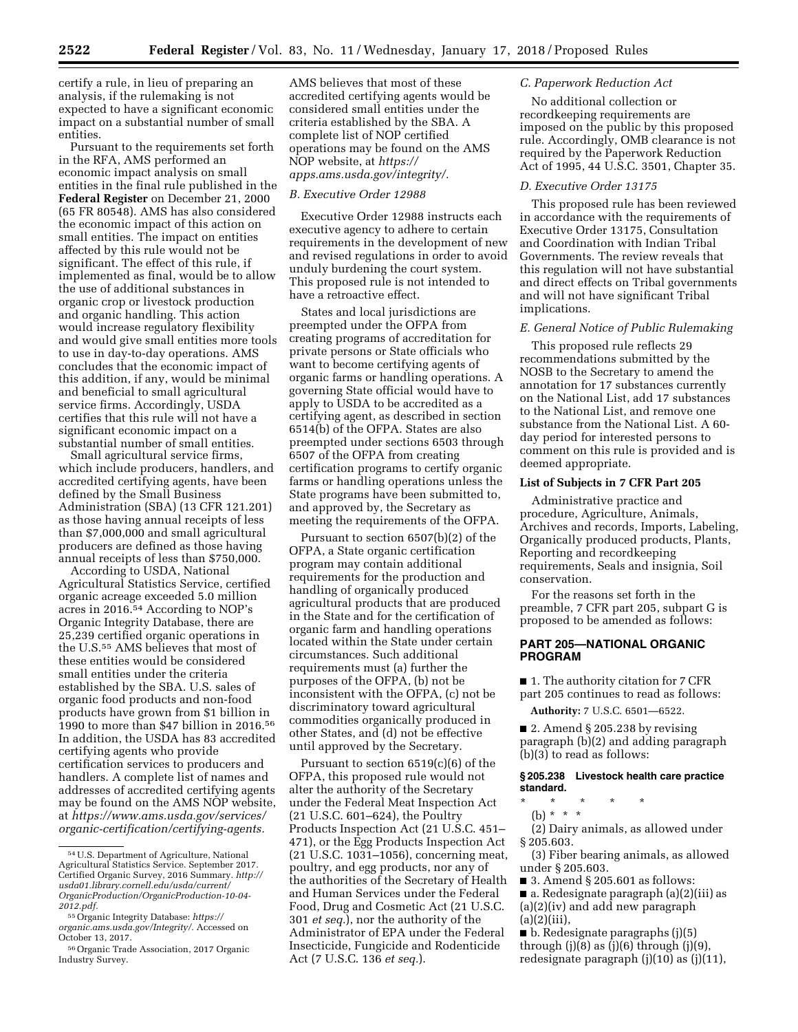certify a rule, in lieu of preparing an analysis, if the rulemaking is not expected to have a significant economic impact on a substantial number of small entities.

Pursuant to the requirements set forth in the RFA, AMS performed an economic impact analysis on small entities in the final rule published in the **Federal Register** on December 21, 2000 (65 FR 80548). AMS has also considered the economic impact of this action on small entities. The impact on entities affected by this rule would not be significant. The effect of this rule, if implemented as final, would be to allow the use of additional substances in organic crop or livestock production and organic handling. This action would increase regulatory flexibility and would give small entities more tools to use in day-to-day operations. AMS concludes that the economic impact of this addition, if any, would be minimal and beneficial to small agricultural service firms. Accordingly, USDA certifies that this rule will not have a significant economic impact on a substantial number of small entities.

Small agricultural service firms, which include producers, handlers, and accredited certifying agents, have been defined by the Small Business Administration (SBA) (13 CFR 121.201) as those having annual receipts of less than \$7,000,000 and small agricultural producers are defined as those having annual receipts of less than \$750,000.

According to USDA, National Agricultural Statistics Service, certified organic acreage exceeded 5.0 million acres in 2016.54 According to NOP's Organic Integrity Database, there are 25,239 certified organic operations in the U.S.55 AMS believes that most of these entities would be considered small entities under the criteria established by the SBA. U.S. sales of organic food products and non-food products have grown from \$1 billion in 1990 to more than \$47 billion in 2016.56 In addition, the USDA has 83 accredited certifying agents who provide certification services to producers and handlers. A complete list of names and addresses of accredited certifying agents may be found on the AMS NOP website, at *[https://www.ams.usda.gov/services/](https://www.ams.usda.gov/services/organic-certification/certifying-agents) [organic-certification/certifying-agents.](https://www.ams.usda.gov/services/organic-certification/certifying-agents)* 

AMS believes that most of these accredited certifying agents would be considered small entities under the criteria established by the SBA. A complete list of NOP certified operations may be found on the AMS NOP website, at *[https://](https://apps.ams.usda.gov/integrity/) [apps.ams.usda.gov/integrity/.](https://apps.ams.usda.gov/integrity/)* 

#### *B. Executive Order 12988*

Executive Order 12988 instructs each executive agency to adhere to certain requirements in the development of new and revised regulations in order to avoid unduly burdening the court system. This proposed rule is not intended to have a retroactive effect.

States and local jurisdictions are preempted under the OFPA from creating programs of accreditation for private persons or State officials who want to become certifying agents of organic farms or handling operations. A governing State official would have to apply to USDA to be accredited as a certifying agent, as described in section 6514(b) of the OFPA. States are also preempted under sections 6503 through 6507 of the OFPA from creating certification programs to certify organic farms or handling operations unless the State programs have been submitted to, and approved by, the Secretary as meeting the requirements of the OFPA.

Pursuant to section 6507(b)(2) of the OFPA, a State organic certification program may contain additional requirements for the production and handling of organically produced agricultural products that are produced in the State and for the certification of organic farm and handling operations located within the State under certain circumstances. Such additional requirements must (a) further the purposes of the OFPA, (b) not be inconsistent with the OFPA, (c) not be discriminatory toward agricultural commodities organically produced in other States, and (d) not be effective until approved by the Secretary.

Pursuant to section 6519(c)(6) of the OFPA, this proposed rule would not alter the authority of the Secretary under the Federal Meat Inspection Act (21 U.S.C. 601–624), the Poultry Products Inspection Act (21 U.S.C. 451– 471), or the Egg Products Inspection Act (21 U.S.C. 1031–1056), concerning meat, poultry, and egg products, nor any of the authorities of the Secretary of Health and Human Services under the Federal Food, Drug and Cosmetic Act (21 U.S.C. 301 *et seq.*), nor the authority of the Administrator of EPA under the Federal Insecticide, Fungicide and Rodenticide Act (7 U.S.C. 136 *et seq.*).

## *C. Paperwork Reduction Act*

No additional collection or recordkeeping requirements are imposed on the public by this proposed rule. Accordingly, OMB clearance is not required by the Paperwork Reduction Act of 1995, 44 U.S.C. 3501, Chapter 35.

### *D. Executive Order 13175*

This proposed rule has been reviewed in accordance with the requirements of Executive Order 13175, Consultation and Coordination with Indian Tribal Governments. The review reveals that this regulation will not have substantial and direct effects on Tribal governments and will not have significant Tribal implications.

### *E. General Notice of Public Rulemaking*

This proposed rule reflects 29 recommendations submitted by the NOSB to the Secretary to amend the annotation for 17 substances currently on the National List, add 17 substances to the National List, and remove one substance from the National List. A 60 day period for interested persons to comment on this rule is provided and is deemed appropriate.

# **List of Subjects in 7 CFR Part 205**

Administrative practice and procedure, Agriculture, Animals, Archives and records, Imports, Labeling, Organically produced products, Plants, Reporting and recordkeeping requirements, Seals and insignia, Soil conservation.

For the reasons set forth in the preamble, 7 CFR part 205, subpart G is proposed to be amended as follows:

## **PART 205—NATIONAL ORGANIC PROGRAM**

■ 1. The authority citation for 7 CFR part 205 continues to read as follows:

**Authority:** 7 U.S.C. 6501—6522.

 $\blacksquare$  2. Amend § 205.238 by revising paragraph (b)(2) and adding paragraph (b)(3) to read as follows:

#### **§ 205.238 Livestock health care practice standard.**

\* \* \* \* \*

(b)  $* * * *$ 

(2) Dairy animals, as allowed under § 205.603.

(3) Fiber bearing animals, as allowed under § 205.603.

- 3. Amend § 205.601 as follows:
- a. Redesignate paragraph (a)(2)(iii) as (a)(2)(iv) and add new paragraph  $(a)(2)(iii)$ ,

■ b. Redesignate paragraphs (j)(5) through  $(j)(8)$  as  $(j)(6)$  through  $(j)(9)$ , redesignate paragraph (j)(10) as (j)(11),

<sup>54</sup>U.S. Department of Agriculture, National Agricultural Statistics Service. September 2017. Certified Organic Survey, 2016 Summary. *[http://](http://usda01.library.cornell.edu/usda/current/OrganicProduction/OrganicProduction-10-04-2012.pdf) [usda01.library.cornell.edu/usda/current/](http://usda01.library.cornell.edu/usda/current/OrganicProduction/OrganicProduction-10-04-2012.pdf)  [OrganicProduction/OrganicProduction-10-04-](http://usda01.library.cornell.edu/usda/current/OrganicProduction/OrganicProduction-10-04-2012.pdf)  [2012.pdf.](http://usda01.library.cornell.edu/usda/current/OrganicProduction/OrganicProduction-10-04-2012.pdf)* 

<sup>55</sup>Organic Integrity Database: *[https://](https://organic.ams.usda.gov/Integrity/) [organic.ams.usda.gov/Integrity/.](https://organic.ams.usda.gov/Integrity/)* Accessed on October 13, 2017.

<sup>56</sup>Organic Trade Association, 2017 Organic Industry Survey.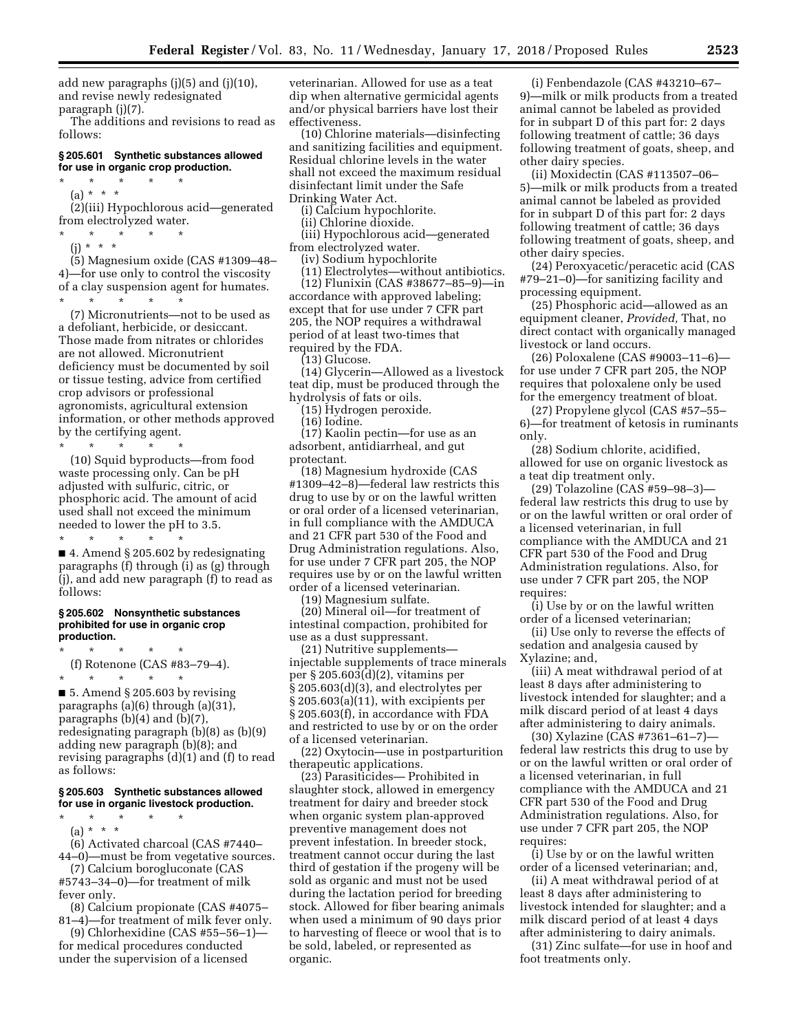add new paragraphs (j)(5) and (j)(10), and revise newly redesignated paragraph (j)(7).

The additions and revisions to read as follows:

### **§ 205.601 Synthetic substances allowed for use in organic crop production.**

\* \* \* \* \* (a) \* \* \*

(2)(iii) Hypochlorous acid—generated from electrolyzed water.

- \* \* \* \* \*
- (j) \* \* \*

(5) Magnesium oxide (CAS #1309–48– 4)—for use only to control the viscosity of a clay suspension agent for humates. \* \* \* \* \*

(7) Micronutrients—not to be used as a defoliant, herbicide, or desiccant. Those made from nitrates or chlorides are not allowed. Micronutrient deficiency must be documented by soil or tissue testing, advice from certified crop advisors or professional agronomists, agricultural extension information, or other methods approved by the certifying agent.

\* \* \* \* \* (10) Squid byproducts—from food waste processing only. Can be pH adjusted with sulfuric, citric, or phosphoric acid. The amount of acid used shall not exceed the minimum needed to lower the pH to 3.5.

\* \* \* \* \* ■ 4. Amend § 205.602 by redesignating paragraphs (f) through (i) as (g) through (j), and add new paragraph (f) to read as follows:

### **§ 205.602 Nonsynthetic substances prohibited for use in organic crop production.**

\* \* \* \* \* (f) Rotenone (CAS #83–79–4).

\* \* \* \* \* ■ 5. Amend § 205.603 by revising paragraphs (a)(6) through (a)(31), paragraphs (b)(4) and (b)(7), redesignating paragraph (b)(8) as (b)(9) adding new paragraph (b)(8); and revising paragraphs (d)(1) and (f) to read as follows:

## **§ 205.603 Synthetic substances allowed for use in organic livestock production.**

\* \* \* \* \*

(a) \* \* \* (6) Activated charcoal (CAS #7440– 44–0)—must be from vegetative sources.

(7) Calcium borogluconate (CAS #5743–34–0)—for treatment of milk fever only.

(8) Calcium propionate (CAS #4075– 81–4)—for treatment of milk fever only.

(9) Chlorhexidine (CAS #55–56–1) for medical procedures conducted under the supervision of a licensed

veterinarian. Allowed for use as a teat dip when alternative germicidal agents and/or physical barriers have lost their effectiveness.

(10) Chlorine materials—disinfecting and sanitizing facilities and equipment. Residual chlorine levels in the water shall not exceed the maximum residual disinfectant limit under the Safe Drinking Water Act.

(i) Calcium hypochlorite.

(ii) Chlorine dioxide.

(iii) Hypochlorous acid—generated from electrolyzed water.

(iv) Sodium hypochlorite

(11) Electrolytes—without antibiotics. (12) Flunixin (CAS #38677–85–9)—in accordance with approved labeling; except that for use under 7 CFR part 205, the NOP requires a withdrawal period of at least two-times that required by the FDA.

(13) Glucose.

(14) Glycerin—Allowed as a livestock teat dip, must be produced through the hydrolysis of fats or oils.

(15) Hydrogen peroxide.

(16) Iodine.

(17) Kaolin pectin—for use as an adsorbent, antidiarrheal, and gut protectant.

(18) Magnesium hydroxide (CAS #1309–42–8)—federal law restricts this drug to use by or on the lawful written or oral order of a licensed veterinarian, in full compliance with the AMDUCA and 21 CFR part 530 of the Food and Drug Administration regulations. Also, for use under 7 CFR part 205, the NOP requires use by or on the lawful written order of a licensed veterinarian.

(19) Magnesium sulfate.

(20) Mineral oil—for treatment of intestinal compaction, prohibited for use as a dust suppressant.

(21) Nutritive supplements injectable supplements of trace minerals per § 205.603(d)(2), vitamins per § 205.603(d)(3), and electrolytes per § 205.603(a)(11), with excipients per § 205.603(f), in accordance with FDA and restricted to use by or on the order of a licensed veterinarian.

(22) Oxytocin—use in postparturition therapeutic applications.

(23) Parasiticides— Prohibited in slaughter stock, allowed in emergency treatment for dairy and breeder stock when organic system plan-approved preventive management does not prevent infestation. In breeder stock, treatment cannot occur during the last third of gestation if the progeny will be sold as organic and must not be used during the lactation period for breeding stock. Allowed for fiber bearing animals when used a minimum of 90 days prior to harvesting of fleece or wool that is to be sold, labeled, or represented as organic.

(i) Fenbendazole (CAS #43210–67– 9)—milk or milk products from a treated animal cannot be labeled as provided for in subpart D of this part for: 2 days following treatment of cattle; 36 days following treatment of goats, sheep, and other dairy species.

(ii) Moxidectin (CAS #113507–06– 5)—milk or milk products from a treated animal cannot be labeled as provided for in subpart D of this part for: 2 days following treatment of cattle; 36 days following treatment of goats, sheep, and other dairy species.

(24) Peroxyacetic/peracetic acid (CAS #79–21–0)—for sanitizing facility and processing equipment.

(25) Phosphoric acid—allowed as an equipment cleaner, *Provided,* That, no direct contact with organically managed livestock or land occurs.

(26) Poloxalene (CAS #9003–11–6) for use under 7 CFR part 205, the NOP requires that poloxalene only be used for the emergency treatment of bloat.

(27) Propylene glycol (CAS #57–55– 6)—for treatment of ketosis in ruminants only.

(28) Sodium chlorite, acidified, allowed for use on organic livestock as a teat dip treatment only.

(29) Tolazoline (CAS #59–98–3) federal law restricts this drug to use by or on the lawful written or oral order of a licensed veterinarian, in full compliance with the AMDUCA and 21 CFR part 530 of the Food and Drug Administration regulations. Also, for use under 7 CFR part 205, the NOP requires:

(i) Use by or on the lawful written order of a licensed veterinarian;

(ii) Use only to reverse the effects of sedation and analgesia caused by Xylazine; and,

(iii) A meat withdrawal period of at least 8 days after administering to livestock intended for slaughter; and a milk discard period of at least 4 days after administering to dairy animals.

(30) Xylazine (CAS #7361–61–7) federal law restricts this drug to use by or on the lawful written or oral order of a licensed veterinarian, in full compliance with the AMDUCA and 21 CFR part 530 of the Food and Drug Administration regulations. Also, for use under 7 CFR part 205, the NOP requires:

(i) Use by or on the lawful written order of a licensed veterinarian; and,

(ii) A meat withdrawal period of at least 8 days after administering to livestock intended for slaughter; and a milk discard period of at least 4 days after administering to dairy animals.

(31) Zinc sulfate—for use in hoof and foot treatments only.